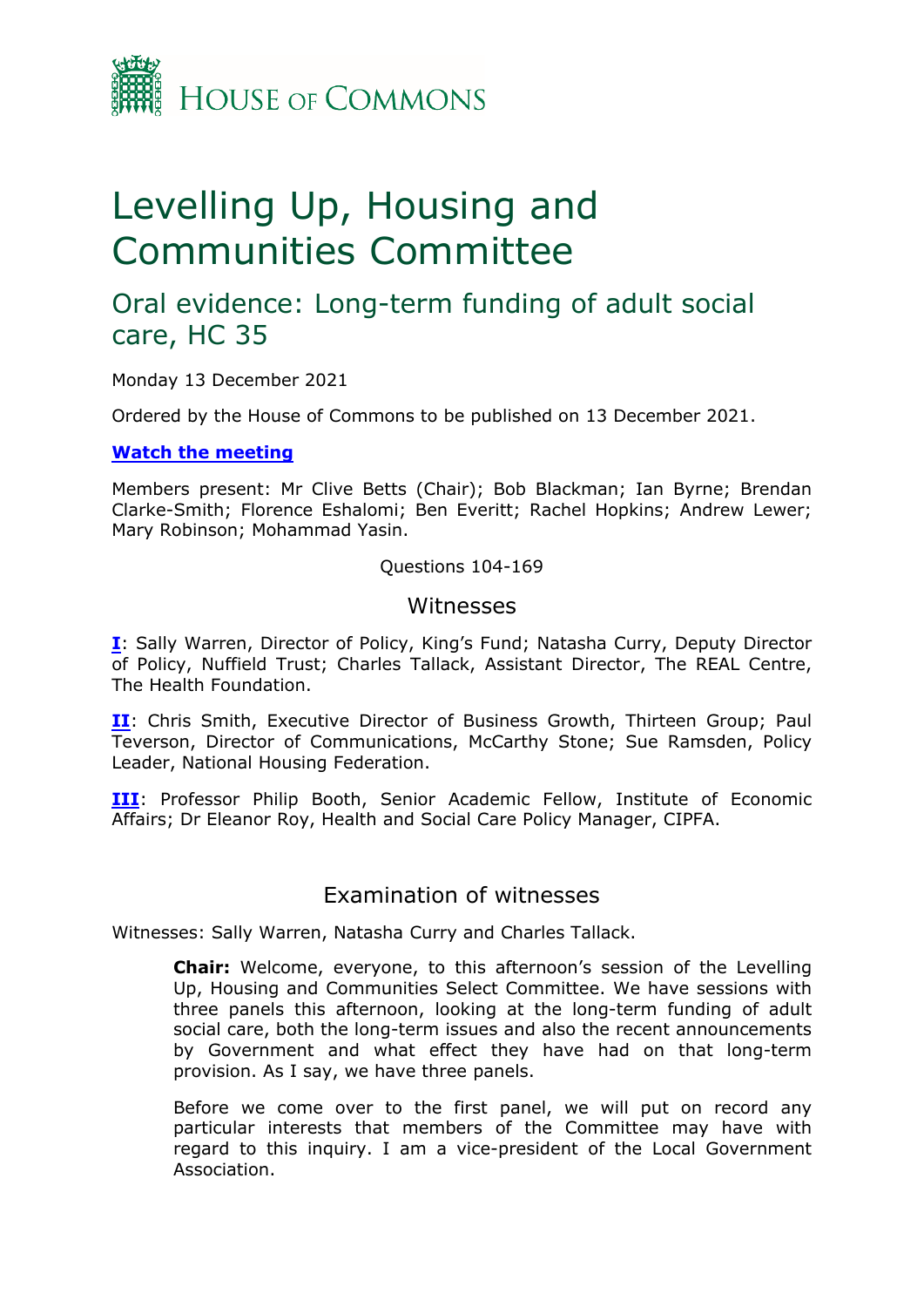

# Levelling Up, Housing and Communities Committee

# Oral evidence: Long-term funding of adult social care, HC 35

Monday 13 December 2021

Ordered by the House of Commons to be published on 13 December 2021.

#### **[Watch](https://www.parliamentlive.tv/Event/Index/2783efa2-390a-41c1-b938-09e306fab65b) [the](https://www.parliamentlive.tv/Event/Index/2783efa2-390a-41c1-b938-09e306fab65b) [meeting](https://www.parliamentlive.tv/Event/Index/2783efa2-390a-41c1-b938-09e306fab65b)**

Members present: Mr Clive Betts (Chair); Bob Blackman; Ian Byrne; Brendan Clarke-Smith; Florence Eshalomi; Ben Everitt; Rachel Hopkins; Andrew Lewer; Mary Robinson; Mohammad Yasin.

#### Questions 104-169

## **Witnesses**

**[I](#page-0-0)**: Sally Warren, Director of Policy, King's Fund; Natasha Curry, Deputy Director of Policy, Nuffield Trust; Charles Tallack, Assistant Director, The REAL Centre, The Health Foundation.

**[II](#page-15-0)**: Chris Smith, Executive Director of Business Growth, Thirteen Group; Paul Teverson, Director of Communications, McCarthy Stone; Sue Ramsden, Policy Leader, National Housing Federation.

**[III](#page-30-0)**: Professor Philip Booth, Senior Academic Fellow, Institute of Economic Affairs; Dr Eleanor Roy, Health and Social Care Policy Manager, CIPFA.

# <span id="page-0-0"></span>Examination of witnesses

Witnesses: Sally Warren, Natasha Curry and Charles Tallack.

**Chair:** Welcome, everyone, to this afternoon's session of the Levelling Up, Housing and Communities Select Committee. We have sessions with three panels this afternoon, looking at the long-term funding of adult social care, both the long-term issues and also the recent announcements by Government and what effect they have had on that long-term provision. As I say, we have three panels.

Before we come over to the first panel, we will put on record any particular interests that members of the Committee may have with regard to this inquiry. I am a vice-president of the Local Government Association.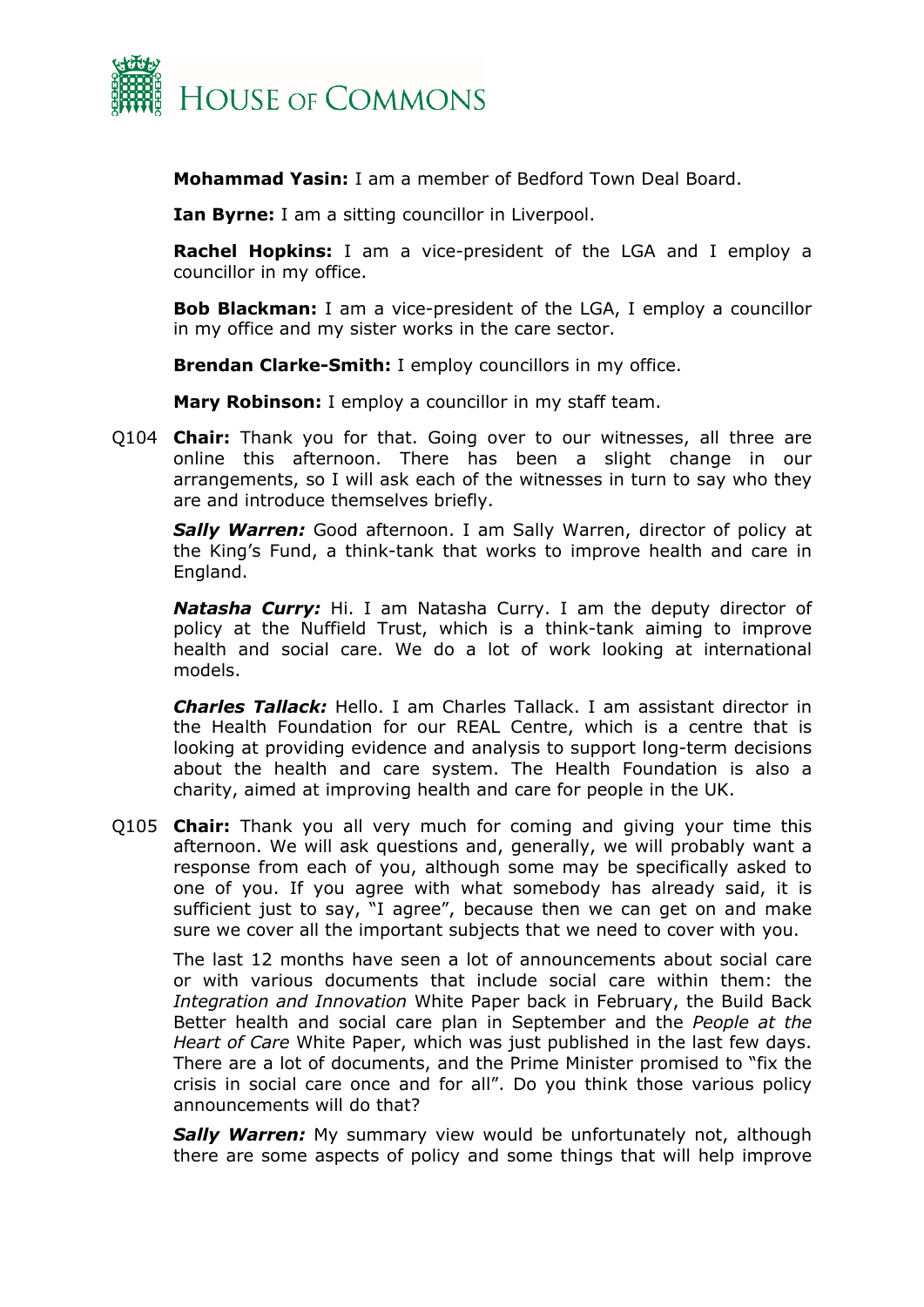

**Mohammad Yasin:** I am a member of Bedford Town Deal Board.

**Ian Byrne:** I am a sitting councillor in Liverpool.

**Rachel Hopkins:** I am a vice-president of the LGA and I employ a councillor in my office.

**Bob Blackman:** I am a vice-president of the LGA, I employ a councillor in my office and my sister works in the care sector.

**Brendan Clarke-Smith:** I employ councillors in my office.

**Mary Robinson:** I employ a councillor in my staff team.

Q104 **Chair:** Thank you for that. Going over to our witnesses, all three are online this afternoon. There has been a slight change in our arrangements, so I will ask each of the witnesses in turn to say who they are and introduce themselves briefly.

**Sally Warren:** Good afternoon. I am Sally Warren, director of policy at the King's Fund, a think-tank that works to improve health and care in England.

*Natasha Curry:* Hi. I am Natasha Curry. I am the deputy director of policy at the Nuffield Trust, which is a think-tank aiming to improve health and social care. We do a lot of work looking at international models.

*Charles Tallack:* Hello. I am Charles Tallack. I am assistant director in the Health Foundation for our REAL Centre, which is a centre that is looking at providing evidence and analysis to support long-term decisions about the health and care system. The Health Foundation is also a charity, aimed at improving health and care for people in the UK.

Q105 **Chair:** Thank you all very much for coming and giving your time this afternoon. We will ask questions and, generally, we will probably want a response from each of you, although some may be specifically asked to one of you. If you agree with what somebody has already said, it is sufficient just to say, "I agree", because then we can get on and make sure we cover all the important subjects that we need to cover with you.

The last 12 months have seen a lot of announcements about social care or with various documents that include social care within them: the *Integration and Innovation* White Paper back in February, the Build Back Better health and social care plan in September and the *People at the Heart of Care* White Paper, which was just published in the last few days. There are a lot of documents, and the Prime Minister promised to "fix the crisis in social care once and for all". Do you think those various policy announcements will do that?

*Sally Warren:* My summary view would be unfortunately not, although there are some aspects of policy and some things that will help improve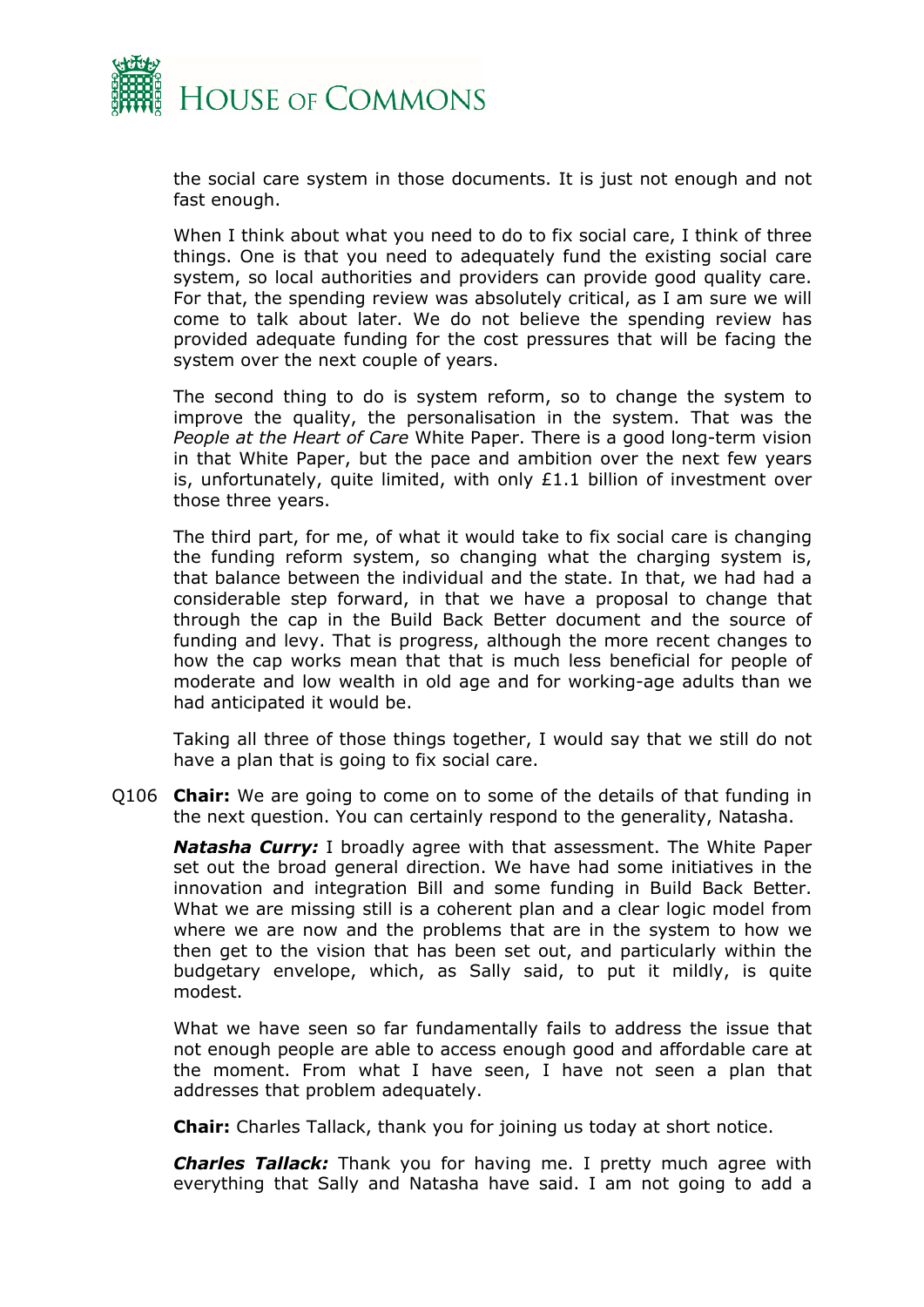

the social care system in those documents. It is just not enough and not fast enough.

When I think about what you need to do to fix social care, I think of three things. One is that you need to adequately fund the existing social care system, so local authorities and providers can provide good quality care. For that, the spending review was absolutely critical, as I am sure we will come to talk about later. We do not believe the spending review has provided adequate funding for the cost pressures that will be facing the system over the next couple of years.

The second thing to do is system reform, so to change the system to improve the quality, the personalisation in the system. That was the *People at the Heart of Care* White Paper. There is a good long-term vision in that White Paper, but the pace and ambition over the next few years is, unfortunately, quite limited, with only £1.1 billion of investment over those three years.

The third part, for me, of what it would take to fix social care is changing the funding reform system, so changing what the charging system is, that balance between the individual and the state. In that, we had had a considerable step forward, in that we have a proposal to change that through the cap in the Build Back Better document and the source of funding and levy. That is progress, although the more recent changes to how the cap works mean that that is much less beneficial for people of moderate and low wealth in old age and for working-age adults than we had anticipated it would be.

Taking all three of those things together, I would say that we still do not have a plan that is going to fix social care.

Q106 **Chair:** We are going to come on to some of the details of that funding in the next question. You can certainly respond to the generality, Natasha.

*Natasha Curry:* I broadly agree with that assessment. The White Paper set out the broad general direction. We have had some initiatives in the innovation and integration Bill and some funding in Build Back Better. What we are missing still is a coherent plan and a clear logic model from where we are now and the problems that are in the system to how we then get to the vision that has been set out, and particularly within the budgetary envelope, which, as Sally said, to put it mildly, is quite modest.

What we have seen so far fundamentally fails to address the issue that not enough people are able to access enough good and affordable care at the moment. From what I have seen, I have not seen a plan that addresses that problem adequately.

**Chair:** Charles Tallack, thank you for joining us today at short notice.

*Charles Tallack:* Thank you for having me. I pretty much agree with everything that Sally and Natasha have said. I am not going to add a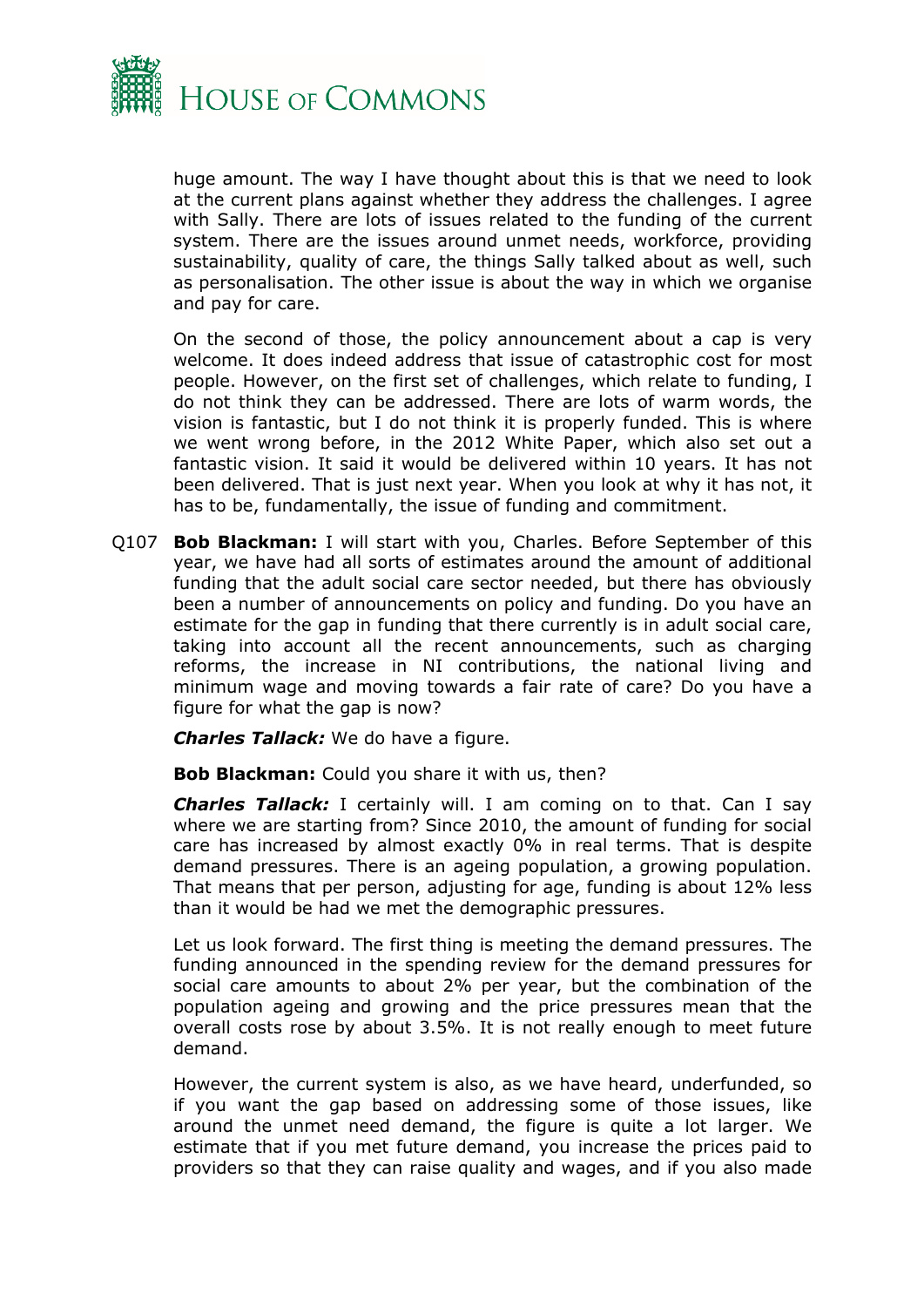

huge amount. The way I have thought about this is that we need to look at the current plans against whether they address the challenges. I agree with Sally. There are lots of issues related to the funding of the current system. There are the issues around unmet needs, workforce, providing sustainability, quality of care, the things Sally talked about as well, such as personalisation. The other issue is about the way in which we organise and pay for care.

On the second of those, the policy announcement about a cap is very welcome. It does indeed address that issue of catastrophic cost for most people. However, on the first set of challenges, which relate to funding, I do not think they can be addressed. There are lots of warm words, the vision is fantastic, but I do not think it is properly funded. This is where we went wrong before, in the 2012 White Paper, which also set out a fantastic vision. It said it would be delivered within 10 years. It has not been delivered. That is just next year. When you look at why it has not, it has to be, fundamentally, the issue of funding and commitment.

Q107 **Bob Blackman:** I will start with you, Charles. Before September of this year, we have had all sorts of estimates around the amount of additional funding that the adult social care sector needed, but there has obviously been a number of announcements on policy and funding. Do you have an estimate for the gap in funding that there currently is in adult social care, taking into account all the recent announcements, such as charging reforms, the increase in NI contributions, the national living and minimum wage and moving towards a fair rate of care? Do you have a figure for what the gap is now?

*Charles Tallack:* We do have a figure.

**Bob Blackman:** Could you share it with us, then?

*Charles Tallack:* I certainly will. I am coming on to that. Can I say where we are starting from? Since 2010, the amount of funding for social care has increased by almost exactly 0% in real terms. That is despite demand pressures. There is an ageing population, a growing population. That means that per person, adjusting for age, funding is about 12% less than it would be had we met the demographic pressures.

Let us look forward. The first thing is meeting the demand pressures. The funding announced in the spending review for the demand pressures for social care amounts to about 2% per year, but the combination of the population ageing and growing and the price pressures mean that the overall costs rose by about 3.5%. It is not really enough to meet future demand.

However, the current system is also, as we have heard, underfunded, so if you want the gap based on addressing some of those issues, like around the unmet need demand, the figure is quite a lot larger. We estimate that if you met future demand, you increase the prices paid to providers so that they can raise quality and wages, and if you also made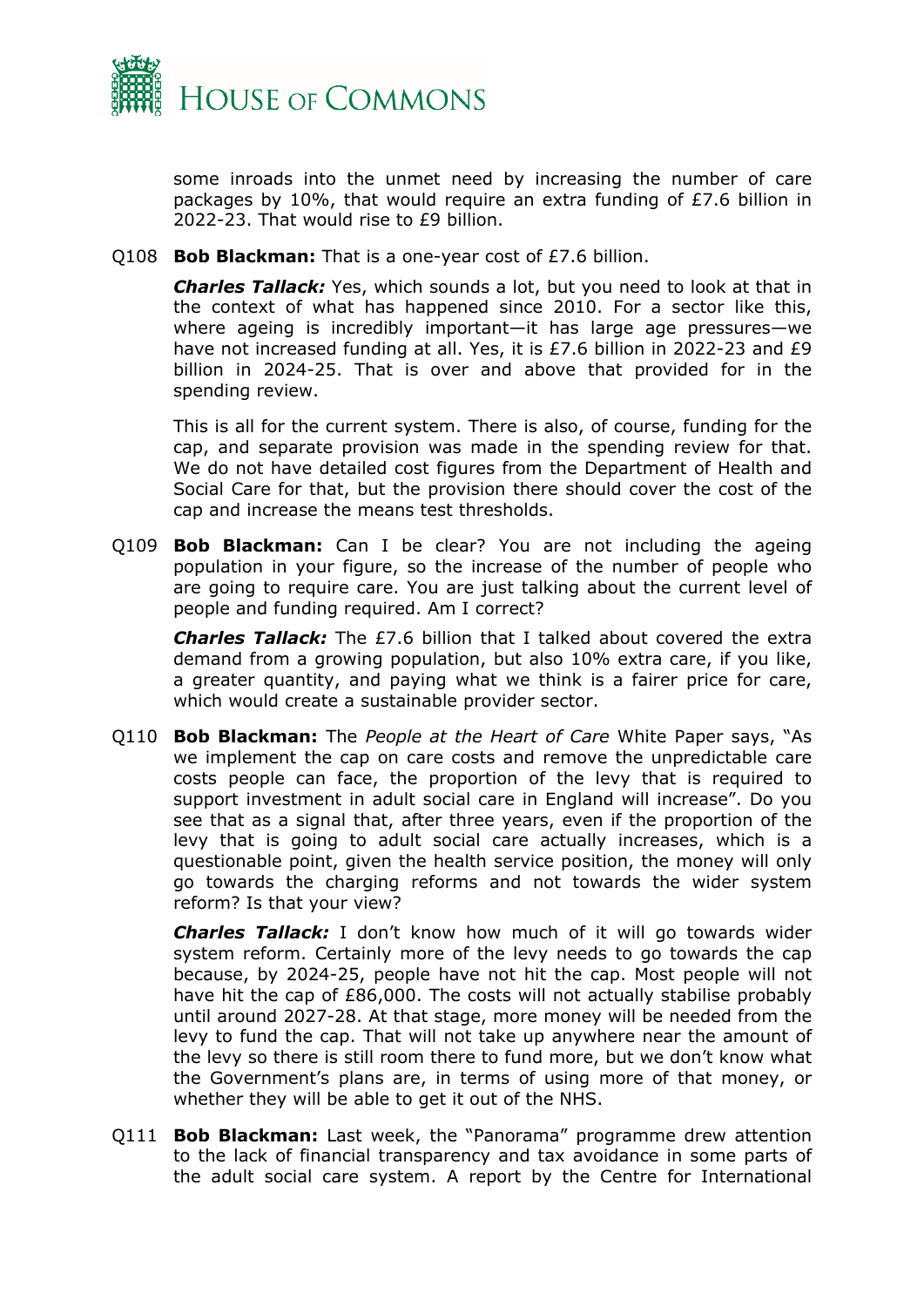

some inroads into the unmet need by increasing the number of care packages by 10%, that would require an extra funding of £7.6 billion in 2022-23. That would rise to £9 billion.

Q108 **Bob Blackman:** That is a one-year cost of £7.6 billion.

*Charles Tallack:* Yes, which sounds a lot, but you need to look at that in the context of what has happened since 2010. For a sector like this, where ageing is incredibly important—it has large age pressures—we have not increased funding at all. Yes, it is £7.6 billion in 2022-23 and £9 billion in 2024-25. That is over and above that provided for in the spending review.

This is all for the current system. There is also, of course, funding for the cap, and separate provision was made in the spending review for that. We do not have detailed cost figures from the Department of Health and Social Care for that, but the provision there should cover the cost of the cap and increase the means test thresholds.

Q109 **Bob Blackman:** Can I be clear? You are not including the ageing population in your figure, so the increase of the number of people who are going to require care. You are just talking about the current level of people and funding required. Am I correct?

*Charles Tallack:* The £7.6 billion that I talked about covered the extra demand from a growing population, but also 10% extra care, if you like, a greater quantity, and paying what we think is a fairer price for care, which would create a sustainable provider sector.

Q110 **Bob Blackman:** The *People at the Heart of Care* White Paper says, "As we implement the cap on care costs and remove the unpredictable care costs people can face, the proportion of the levy that is required to support investment in adult social care in England will increase". Do you see that as a signal that, after three years, even if the proportion of the levy that is going to adult social care actually increases, which is a questionable point, given the health service position, the money will only go towards the charging reforms and not towards the wider system reform? Is that your view?

*Charles Tallack:* I don't know how much of it will go towards wider system reform. Certainly more of the levy needs to go towards the cap because, by 2024-25, people have not hit the cap. Most people will not have hit the cap of £86,000. The costs will not actually stabilise probably until around 2027-28. At that stage, more money will be needed from the levy to fund the cap. That will not take up anywhere near the amount of the levy so there is still room there to fund more, but we don't know what the Government's plans are, in terms of using more of that money, or whether they will be able to get it out of the NHS.

Q111 **Bob Blackman:** Last week, the "Panorama" programme drew attention to the lack of financial transparency and tax avoidance in some parts of the adult social care system. A report by the Centre for International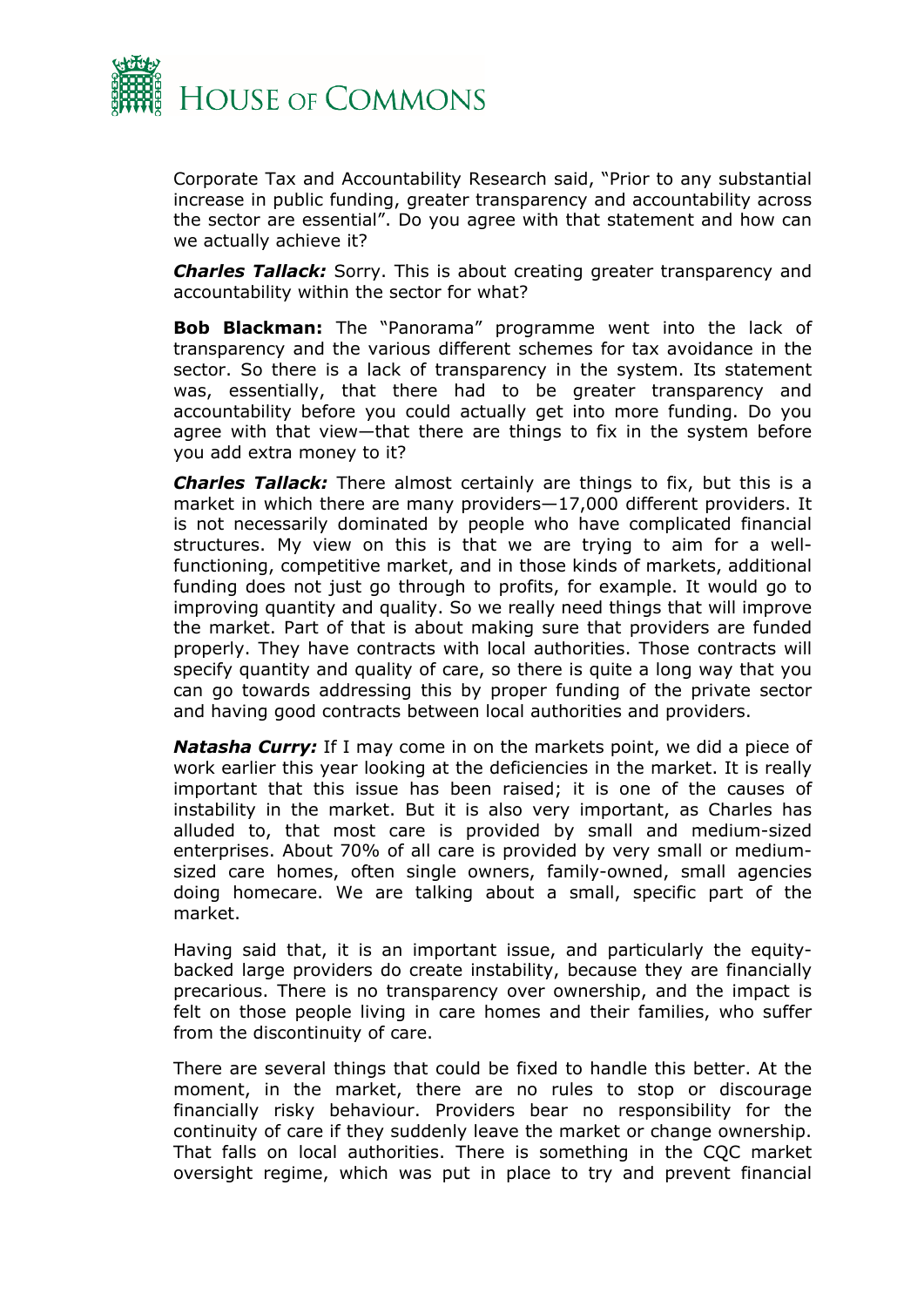

Corporate Tax and Accountability Research said, "Prior to any substantial increase in public funding, greater transparency and accountability across the sector are essential". Do you agree with that statement and how can we actually achieve it?

*Charles Tallack:* Sorry. This is about creating greater transparency and accountability within the sector for what?

**Bob Blackman:** The "Panorama" programme went into the lack of transparency and the various different schemes for tax avoidance in the sector. So there is a lack of transparency in the system. Its statement was, essentially, that there had to be greater transparency and accountability before you could actually get into more funding. Do you agree with that view—that there are things to fix in the system before you add extra money to it?

*Charles Tallack:* There almost certainly are things to fix, but this is a market in which there are many providers—17,000 different providers. It is not necessarily dominated by people who have complicated financial structures. My view on this is that we are trying to aim for a wellfunctioning, competitive market, and in those kinds of markets, additional funding does not just go through to profits, for example. It would go to improving quantity and quality. So we really need things that will improve the market. Part of that is about making sure that providers are funded properly. They have contracts with local authorities. Those contracts will specify quantity and quality of care, so there is quite a long way that you can go towards addressing this by proper funding of the private sector and having good contracts between local authorities and providers.

*Natasha Curry:* If I may come in on the markets point, we did a piece of work earlier this year looking at the deficiencies in the market. It is really important that this issue has been raised; it is one of the causes of instability in the market. But it is also very important, as Charles has alluded to, that most care is provided by small and medium-sized enterprises. About 70% of all care is provided by very small or mediumsized care homes, often single owners, family-owned, small agencies doing homecare. We are talking about a small, specific part of the market.

Having said that, it is an important issue, and particularly the equitybacked large providers do create instability, because they are financially precarious. There is no transparency over ownership, and the impact is felt on those people living in care homes and their families, who suffer from the discontinuity of care.

There are several things that could be fixed to handle this better. At the moment, in the market, there are no rules to stop or discourage financially risky behaviour. Providers bear no responsibility for the continuity of care if they suddenly leave the market or change ownership. That falls on local authorities. There is something in the CQC market oversight regime, which was put in place to try and prevent financial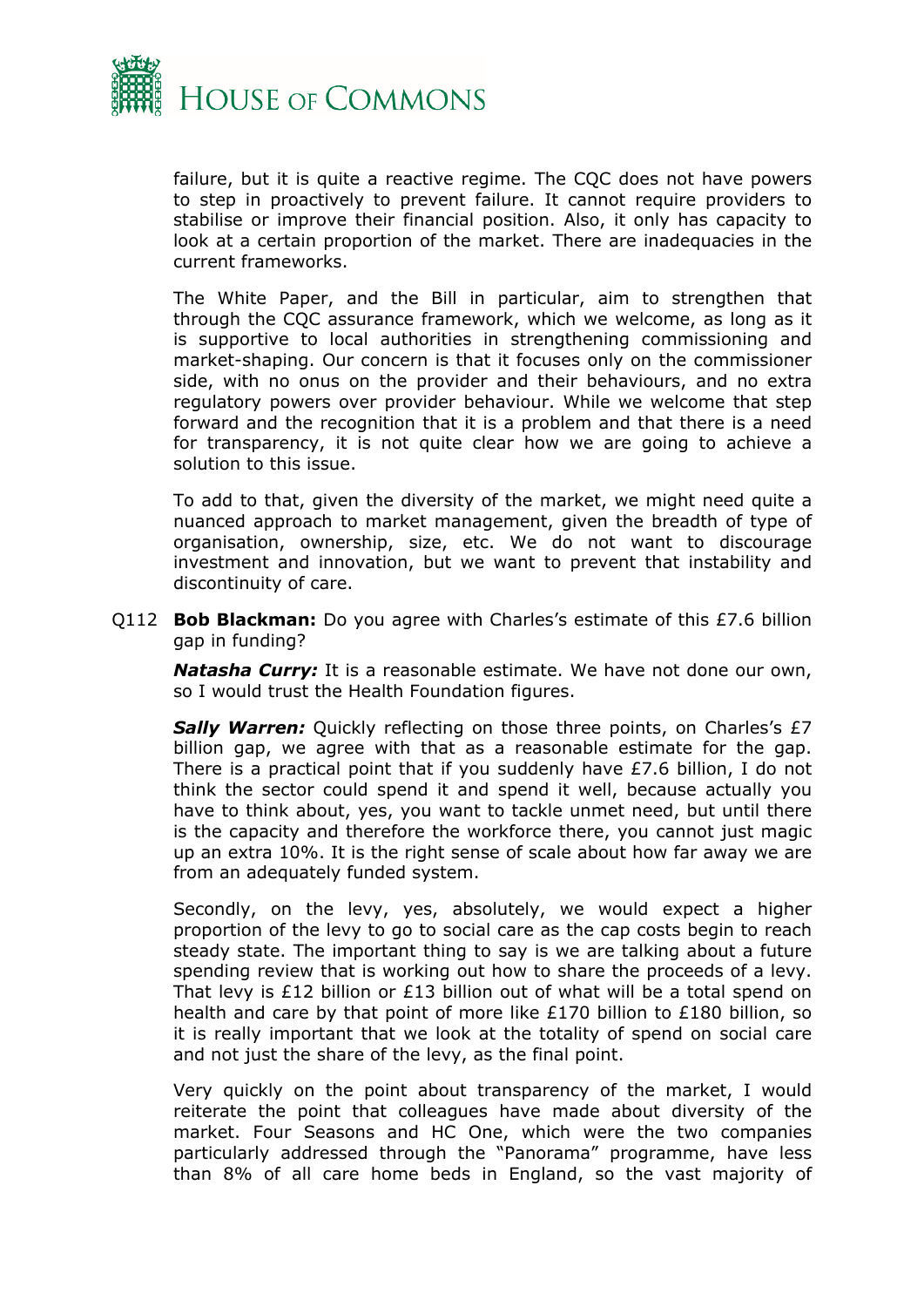

failure, but it is quite a reactive regime. The CQC does not have powers to step in proactively to prevent failure. It cannot require providers to stabilise or improve their financial position. Also, it only has capacity to look at a certain proportion of the market. There are inadequacies in the current frameworks.

The White Paper, and the Bill in particular, aim to strengthen that through the CQC assurance framework, which we welcome, as long as it is supportive to local authorities in strengthening commissioning and market-shaping. Our concern is that it focuses only on the commissioner side, with no onus on the provider and their behaviours, and no extra regulatory powers over provider behaviour. While we welcome that step forward and the recognition that it is a problem and that there is a need for transparency, it is not quite clear how we are going to achieve a solution to this issue.

To add to that, given the diversity of the market, we might need quite a nuanced approach to market management, given the breadth of type of organisation, ownership, size, etc. We do not want to discourage investment and innovation, but we want to prevent that instability and discontinuity of care.

Q112 **Bob Blackman:** Do you agree with Charles's estimate of this £7.6 billion gap in funding?

*Natasha Curry:* It is a reasonable estimate. We have not done our own, so I would trust the Health Foundation figures.

**Sally Warren:** Quickly reflecting on those three points, on Charles's £7 billion gap, we agree with that as a reasonable estimate for the gap. There is a practical point that if you suddenly have £7.6 billion, I do not think the sector could spend it and spend it well, because actually you have to think about, yes, you want to tackle unmet need, but until there is the capacity and therefore the workforce there, you cannot just magic up an extra 10%. It is the right sense of scale about how far away we are from an adequately funded system.

Secondly, on the levy, yes, absolutely, we would expect a higher proportion of the levy to go to social care as the cap costs begin to reach steady state. The important thing to say is we are talking about a future spending review that is working out how to share the proceeds of a levy. That levy is £12 billion or £13 billion out of what will be a total spend on health and care by that point of more like £170 billion to £180 billion, so it is really important that we look at the totality of spend on social care and not just the share of the levy, as the final point.

Very quickly on the point about transparency of the market, I would reiterate the point that colleagues have made about diversity of the market. Four Seasons and HC One, which were the two companies particularly addressed through the "Panorama" programme, have less than 8% of all care home beds in England, so the vast majority of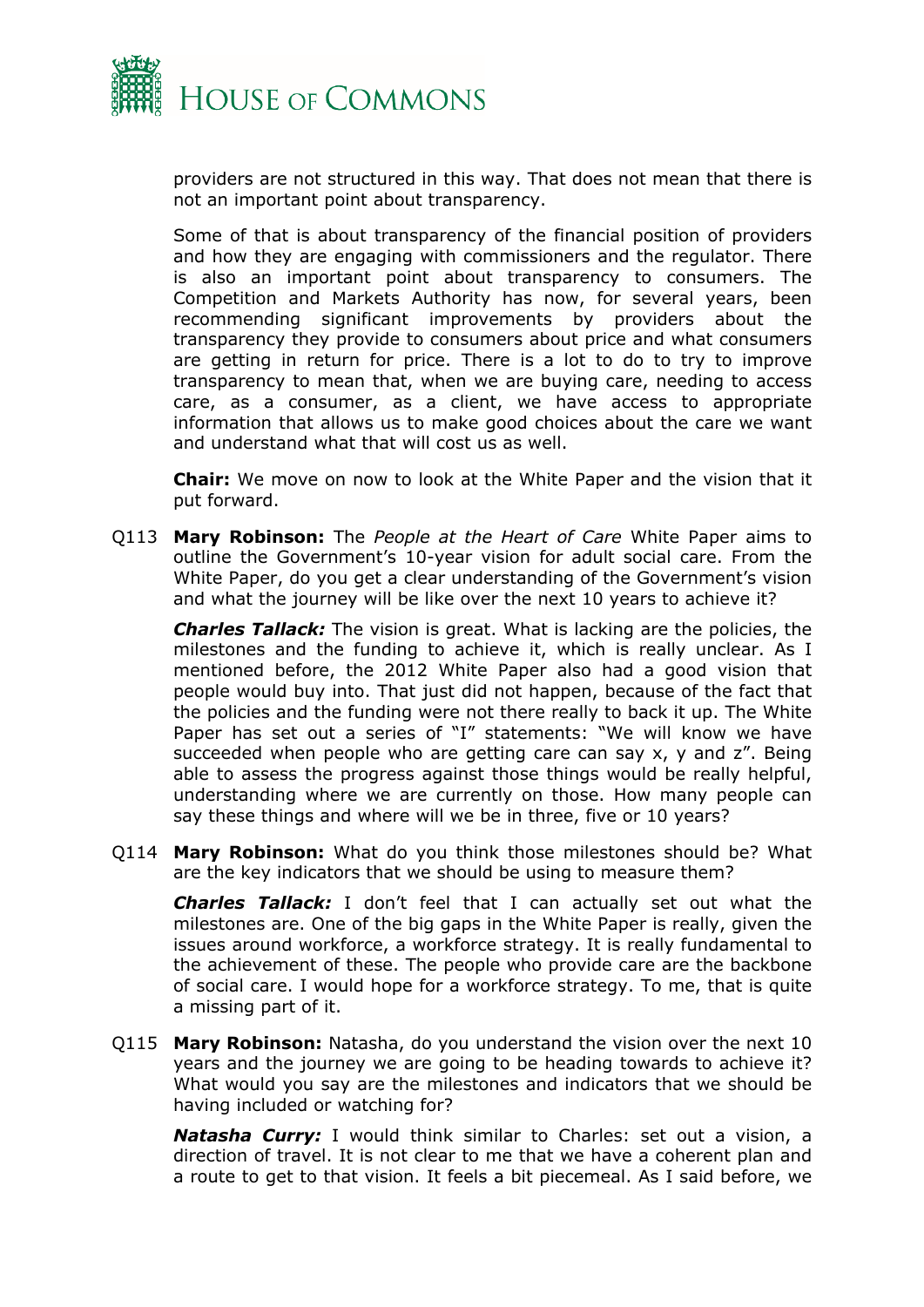

providers are not structured in this way. That does not mean that there is not an important point about transparency.

Some of that is about transparency of the financial position of providers and how they are engaging with commissioners and the regulator. There is also an important point about transparency to consumers. The Competition and Markets Authority has now, for several years, been recommending significant improvements by providers about the transparency they provide to consumers about price and what consumers are getting in return for price. There is a lot to do to try to improve transparency to mean that, when we are buying care, needing to access care, as a consumer, as a client, we have access to appropriate information that allows us to make good choices about the care we want and understand what that will cost us as well.

**Chair:** We move on now to look at the White Paper and the vision that it put forward.

Q113 **Mary Robinson:** The *People at the Heart of Care* White Paper aims to outline the Government's 10-year vision for adult social care. From the White Paper, do you get a clear understanding of the Government's vision and what the journey will be like over the next 10 years to achieve it?

*Charles Tallack:* The vision is great. What is lacking are the policies, the milestones and the funding to achieve it, which is really unclear. As I mentioned before, the 2012 White Paper also had a good vision that people would buy into. That just did not happen, because of the fact that the policies and the funding were not there really to back it up. The White Paper has set out a series of "I" statements: "We will know we have succeeded when people who are getting care can say x, y and z". Being able to assess the progress against those things would be really helpful, understanding where we are currently on those. How many people can say these things and where will we be in three, five or 10 years?

Q114 **Mary Robinson:** What do you think those milestones should be? What are the key indicators that we should be using to measure them?

*Charles Tallack:* I don't feel that I can actually set out what the milestones are. One of the big gaps in the White Paper is really, given the issues around workforce, a workforce strategy. It is really fundamental to the achievement of these. The people who provide care are the backbone of social care. I would hope for a workforce strategy. To me, that is quite a missing part of it.

Q115 **Mary Robinson:** Natasha, do you understand the vision over the next 10 years and the journey we are going to be heading towards to achieve it? What would you say are the milestones and indicators that we should be having included or watching for?

*Natasha Curry:* I would think similar to Charles: set out a vision, a direction of travel. It is not clear to me that we have a coherent plan and a route to get to that vision. It feels a bit piecemeal. As I said before, we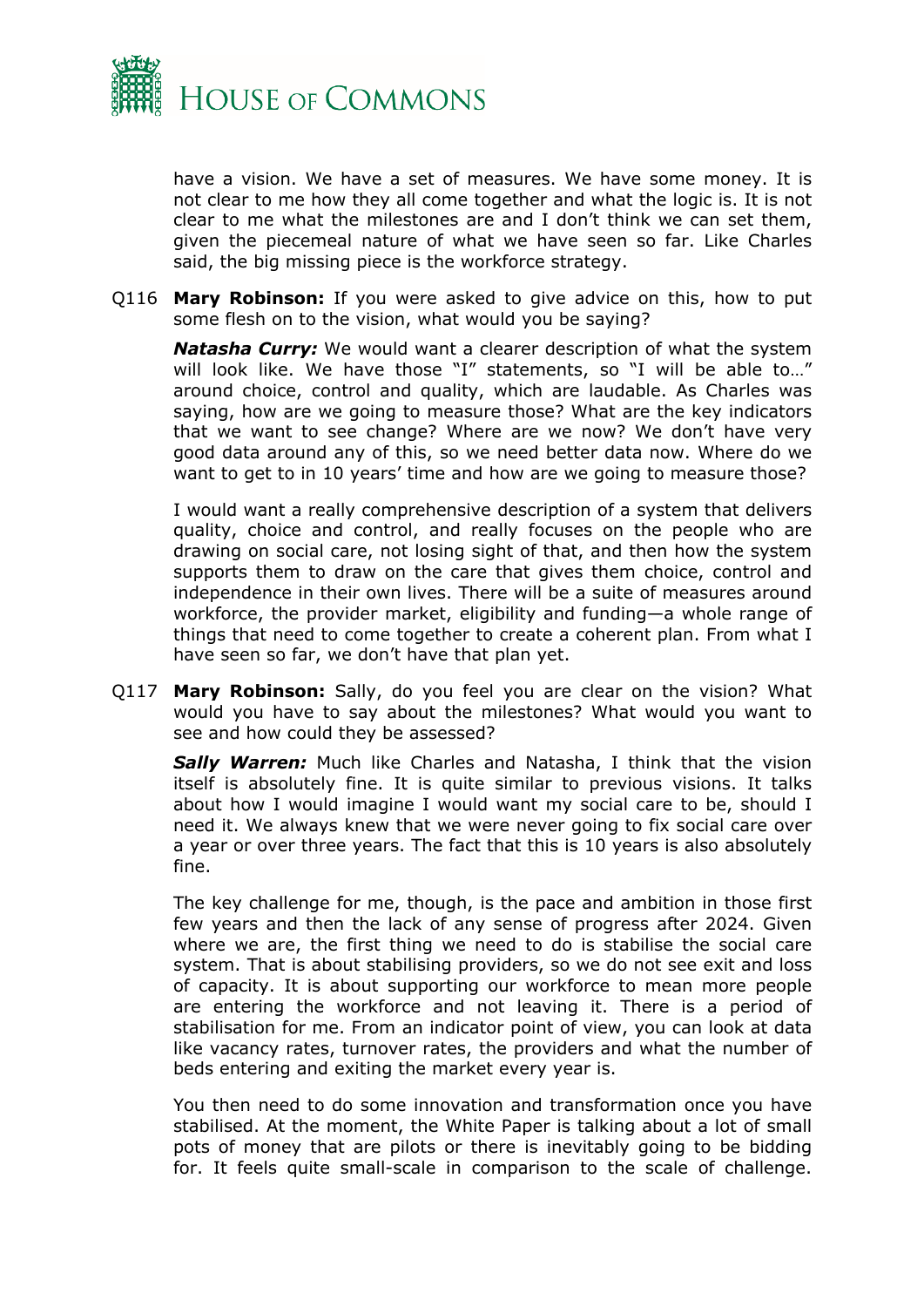

have a vision. We have a set of measures. We have some money. It is not clear to me how they all come together and what the logic is. It is not clear to me what the milestones are and I don't think we can set them, given the piecemeal nature of what we have seen so far. Like Charles said, the big missing piece is the workforce strategy.

Q116 **Mary Robinson:** If you were asked to give advice on this, how to put some flesh on to the vision, what would you be saying?

*Natasha Curry:* We would want a clearer description of what the system will look like. We have those "I" statements, so "I will be able to..." around choice, control and quality, which are laudable. As Charles was saying, how are we going to measure those? What are the key indicators that we want to see change? Where are we now? We don't have very good data around any of this, so we need better data now. Where do we want to get to in 10 years' time and how are we going to measure those?

I would want a really comprehensive description of a system that delivers quality, choice and control, and really focuses on the people who are drawing on social care, not losing sight of that, and then how the system supports them to draw on the care that gives them choice, control and independence in their own lives. There will be a suite of measures around workforce, the provider market, eligibility and funding—a whole range of things that need to come together to create a coherent plan. From what I have seen so far, we don't have that plan yet.

Q117 **Mary Robinson:** Sally, do you feel you are clear on the vision? What would you have to say about the milestones? What would you want to see and how could they be assessed?

**Sally Warren:** Much like Charles and Natasha, I think that the vision itself is absolutely fine. It is quite similar to previous visions. It talks about how I would imagine I would want my social care to be, should I need it. We always knew that we were never going to fix social care over a year or over three years. The fact that this is 10 years is also absolutely fine.

The key challenge for me, though, is the pace and ambition in those first few years and then the lack of any sense of progress after 2024. Given where we are, the first thing we need to do is stabilise the social care system. That is about stabilising providers, so we do not see exit and loss of capacity. It is about supporting our workforce to mean more people are entering the workforce and not leaving it. There is a period of stabilisation for me. From an indicator point of view, you can look at data like vacancy rates, turnover rates, the providers and what the number of beds entering and exiting the market every year is.

You then need to do some innovation and transformation once you have stabilised. At the moment, the White Paper is talking about a lot of small pots of money that are pilots or there is inevitably going to be bidding for. It feels quite small-scale in comparison to the scale of challenge.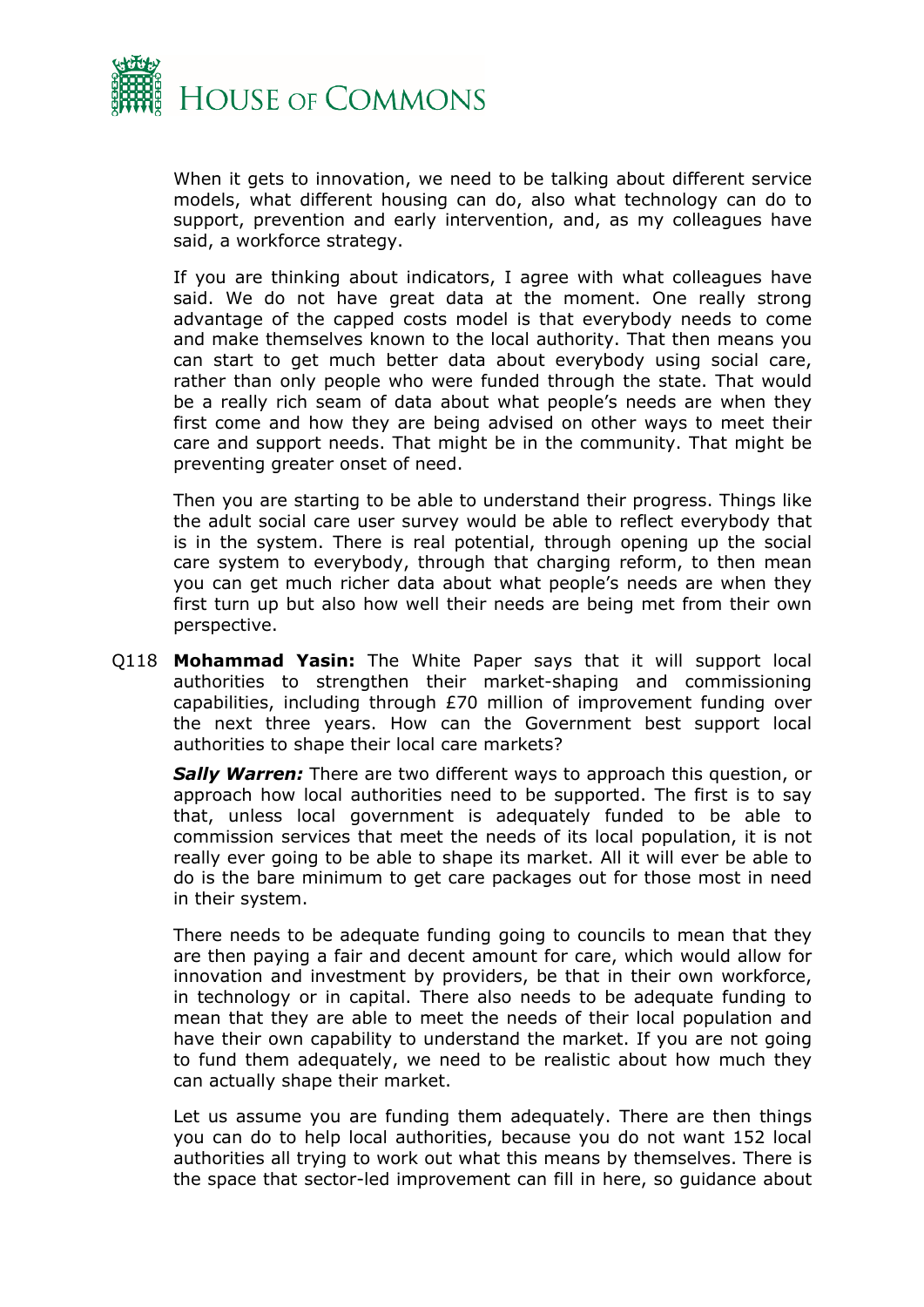

When it gets to innovation, we need to be talking about different service models, what different housing can do, also what technology can do to support, prevention and early intervention, and, as my colleagues have said, a workforce strategy.

If you are thinking about indicators, I agree with what colleagues have said. We do not have great data at the moment. One really strong advantage of the capped costs model is that everybody needs to come and make themselves known to the local authority. That then means you can start to get much better data about everybody using social care, rather than only people who were funded through the state. That would be a really rich seam of data about what people's needs are when they first come and how they are being advised on other ways to meet their care and support needs. That might be in the community. That might be preventing greater onset of need.

Then you are starting to be able to understand their progress. Things like the adult social care user survey would be able to reflect everybody that is in the system. There is real potential, through opening up the social care system to everybody, through that charging reform, to then mean you can get much richer data about what people's needs are when they first turn up but also how well their needs are being met from their own perspective.

Q118 **Mohammad Yasin:** The White Paper says that it will support local authorities to strengthen their market-shaping and commissioning capabilities, including through £70 million of improvement funding over the next three years. How can the Government best support local authorities to shape their local care markets?

*Sally Warren:* There are two different ways to approach this question, or approach how local authorities need to be supported. The first is to say that, unless local government is adequately funded to be able to commission services that meet the needs of its local population, it is not really ever going to be able to shape its market. All it will ever be able to do is the bare minimum to get care packages out for those most in need in their system.

There needs to be adequate funding going to councils to mean that they are then paying a fair and decent amount for care, which would allow for innovation and investment by providers, be that in their own workforce, in technology or in capital. There also needs to be adequate funding to mean that they are able to meet the needs of their local population and have their own capability to understand the market. If you are not going to fund them adequately, we need to be realistic about how much they can actually shape their market.

Let us assume you are funding them adequately. There are then things you can do to help local authorities, because you do not want 152 local authorities all trying to work out what this means by themselves. There is the space that sector-led improvement can fill in here, so guidance about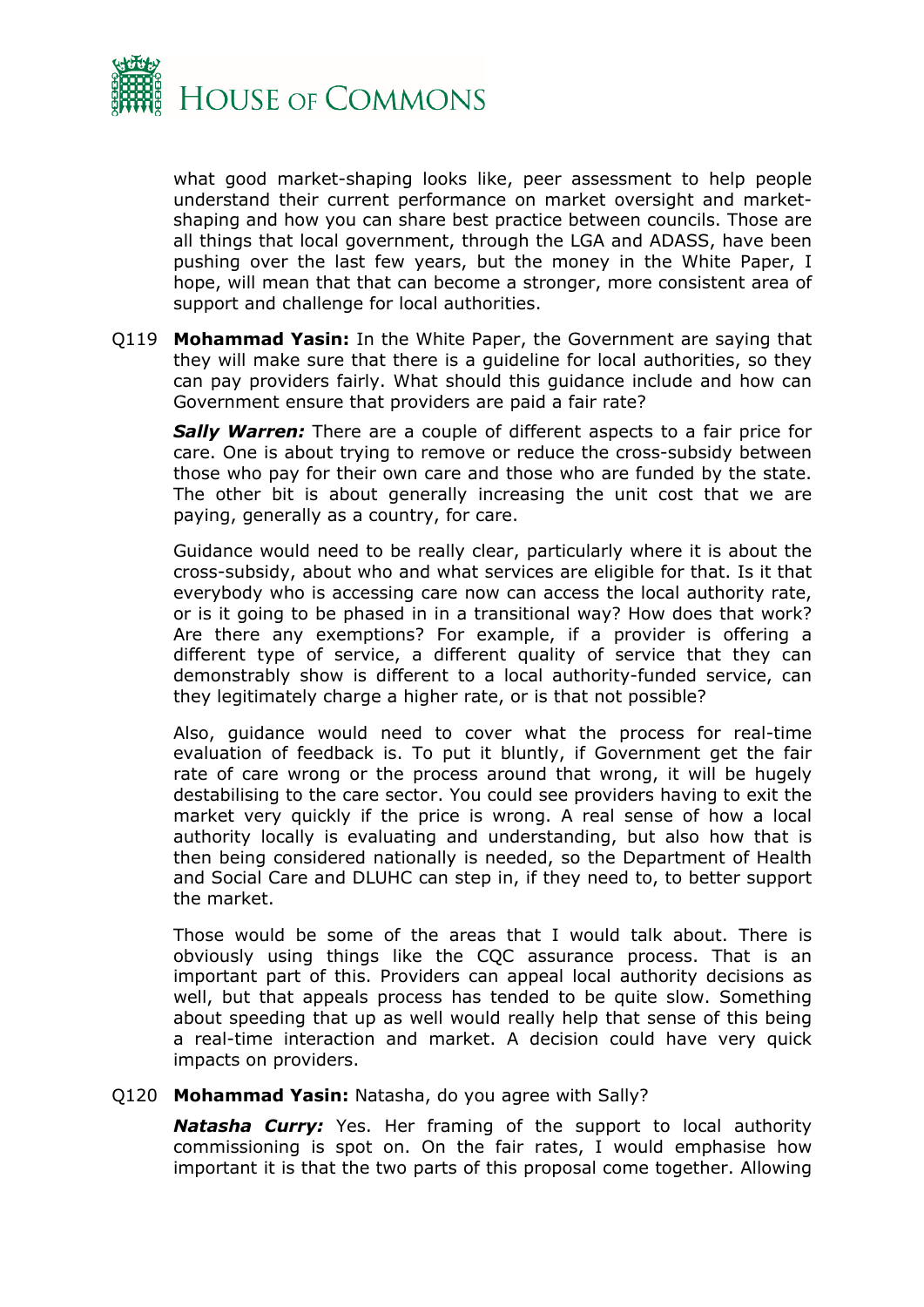

what good market-shaping looks like, peer assessment to help people understand their current performance on market oversight and marketshaping and how you can share best practice between councils. Those are all things that local government, through the LGA and ADASS, have been pushing over the last few years, but the money in the White Paper, I hope, will mean that that can become a stronger, more consistent area of support and challenge for local authorities.

Q119 **Mohammad Yasin:** In the White Paper, the Government are saying that they will make sure that there is a guideline for local authorities, so they can pay providers fairly. What should this guidance include and how can Government ensure that providers are paid a fair rate?

*Sally Warren:* There are a couple of different aspects to a fair price for care. One is about trying to remove or reduce the cross-subsidy between those who pay for their own care and those who are funded by the state. The other bit is about generally increasing the unit cost that we are paying, generally as a country, for care.

Guidance would need to be really clear, particularly where it is about the cross-subsidy, about who and what services are eligible for that. Is it that everybody who is accessing care now can access the local authority rate, or is it going to be phased in in a transitional way? How does that work? Are there any exemptions? For example, if a provider is offering a different type of service, a different quality of service that they can demonstrably show is different to a local authority-funded service, can they legitimately charge a higher rate, or is that not possible?

Also, guidance would need to cover what the process for real-time evaluation of feedback is. To put it bluntly, if Government get the fair rate of care wrong or the process around that wrong, it will be hugely destabilising to the care sector. You could see providers having to exit the market very quickly if the price is wrong. A real sense of how a local authority locally is evaluating and understanding, but also how that is then being considered nationally is needed, so the Department of Health and Social Care and DLUHC can step in, if they need to, to better support the market.

Those would be some of the areas that I would talk about. There is obviously using things like the CQC assurance process. That is an important part of this. Providers can appeal local authority decisions as well, but that appeals process has tended to be quite slow. Something about speeding that up as well would really help that sense of this being a real-time interaction and market. A decision could have very quick impacts on providers.

#### Q120 **Mohammad Yasin:** Natasha, do you agree with Sally?

*Natasha Curry:* Yes. Her framing of the support to local authority commissioning is spot on. On the fair rates, I would emphasise how important it is that the two parts of this proposal come together. Allowing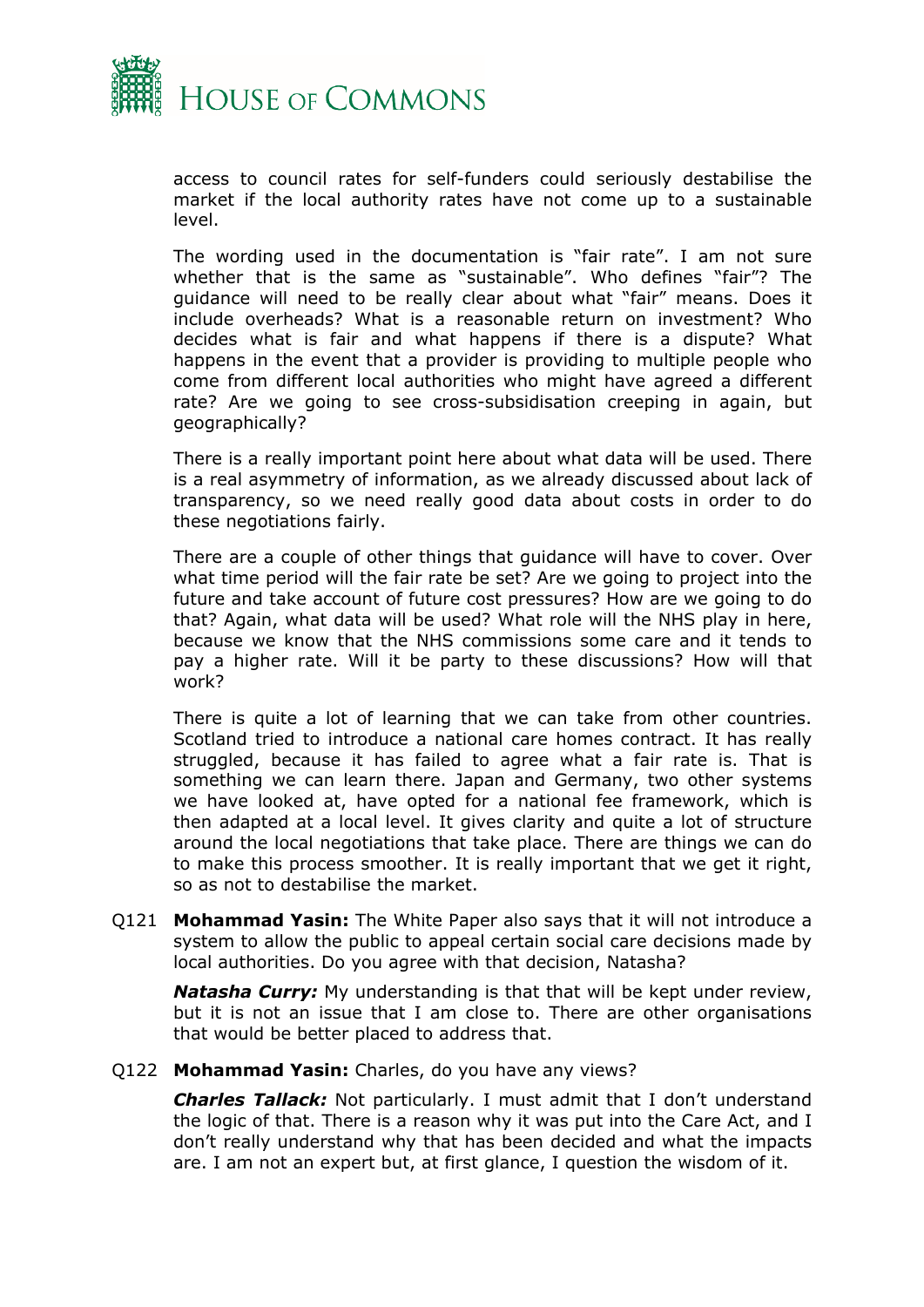

access to council rates for self-funders could seriously destabilise the market if the local authority rates have not come up to a sustainable level.

The wording used in the documentation is "fair rate". I am not sure whether that is the same as "sustainable". Who defines "fair"? The guidance will need to be really clear about what "fair" means. Does it include overheads? What is a reasonable return on investment? Who decides what is fair and what happens if there is a dispute? What happens in the event that a provider is providing to multiple people who come from different local authorities who might have agreed a different rate? Are we going to see cross-subsidisation creeping in again, but geographically?

There is a really important point here about what data will be used. There is a real asymmetry of information, as we already discussed about lack of transparency, so we need really good data about costs in order to do these negotiations fairly.

There are a couple of other things that guidance will have to cover. Over what time period will the fair rate be set? Are we going to project into the future and take account of future cost pressures? How are we going to do that? Again, what data will be used? What role will the NHS play in here, because we know that the NHS commissions some care and it tends to pay a higher rate. Will it be party to these discussions? How will that work?

There is quite a lot of learning that we can take from other countries. Scotland tried to introduce a national care homes contract. It has really struggled, because it has failed to agree what a fair rate is. That is something we can learn there. Japan and Germany, two other systems we have looked at, have opted for a national fee framework, which is then adapted at a local level. It gives clarity and quite a lot of structure around the local negotiations that take place. There are things we can do to make this process smoother. It is really important that we get it right, so as not to destabilise the market.

Q121 **Mohammad Yasin:** The White Paper also says that it will not introduce a system to allow the public to appeal certain social care decisions made by local authorities. Do you agree with that decision, Natasha?

*Natasha Curry:* My understanding is that that will be kept under review, but it is not an issue that I am close to. There are other organisations that would be better placed to address that.

#### Q122 **Mohammad Yasin:** Charles, do you have any views?

*Charles Tallack:* Not particularly. I must admit that I don't understand the logic of that. There is a reason why it was put into the Care Act, and I don't really understand why that has been decided and what the impacts are. I am not an expert but, at first glance, I question the wisdom of it.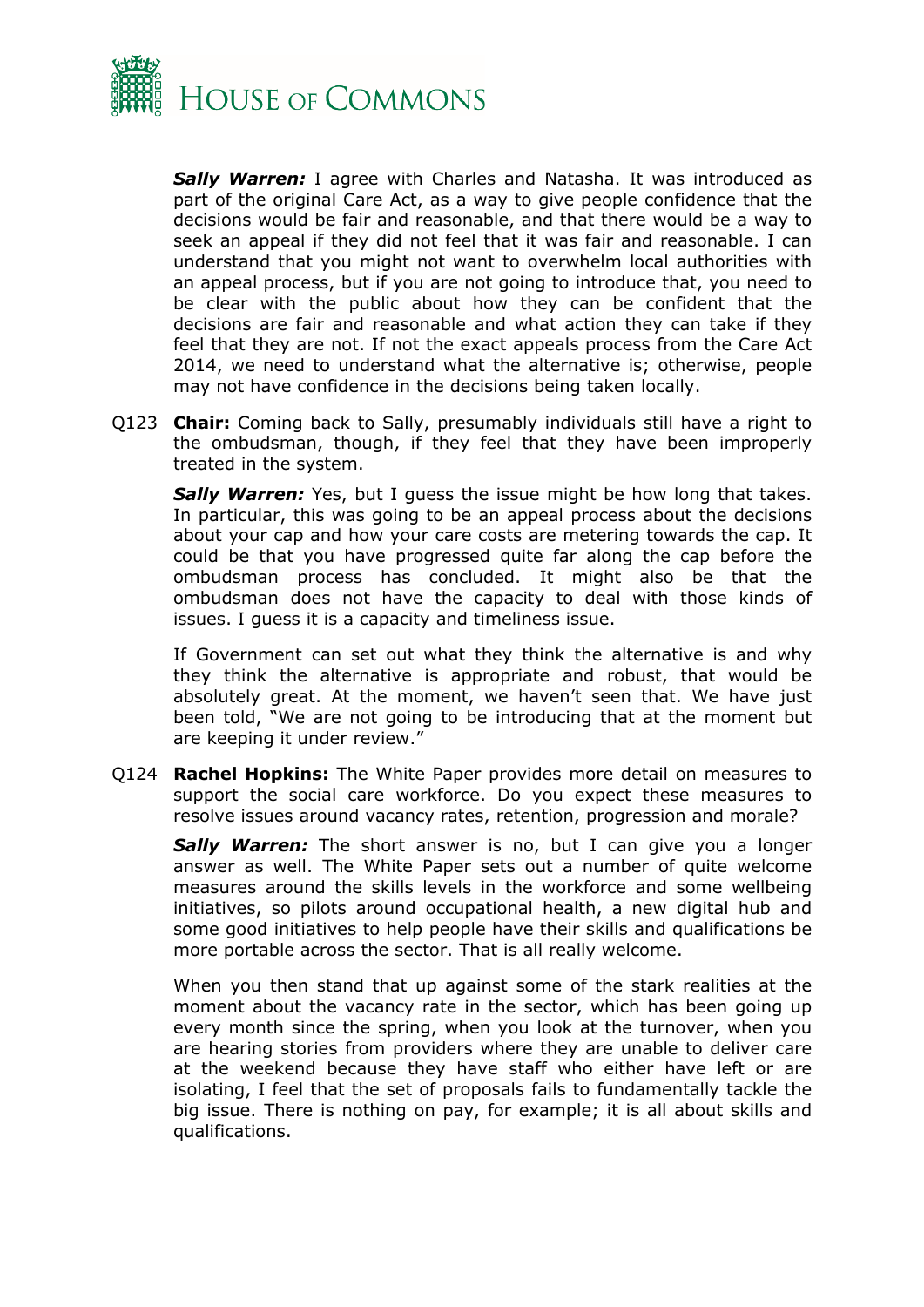

*Sally Warren:* I agree with Charles and Natasha. It was introduced as part of the original Care Act, as a way to give people confidence that the decisions would be fair and reasonable, and that there would be a way to seek an appeal if they did not feel that it was fair and reasonable. I can understand that you might not want to overwhelm local authorities with an appeal process, but if you are not going to introduce that, you need to be clear with the public about how they can be confident that the decisions are fair and reasonable and what action they can take if they feel that they are not. If not the exact appeals process from the Care Act 2014, we need to understand what the alternative is; otherwise, people may not have confidence in the decisions being taken locally.

Q123 **Chair:** Coming back to Sally, presumably individuals still have a right to the ombudsman, though, if they feel that they have been improperly treated in the system.

**Sally Warren:** Yes, but I guess the issue might be how long that takes. In particular, this was going to be an appeal process about the decisions about your cap and how your care costs are metering towards the cap. It could be that you have progressed quite far along the cap before the ombudsman process has concluded. It might also be that the ombudsman does not have the capacity to deal with those kinds of issues. I guess it is a capacity and timeliness issue.

If Government can set out what they think the alternative is and why they think the alternative is appropriate and robust, that would be absolutely great. At the moment, we haven't seen that. We have just been told, "We are not going to be introducing that at the moment but are keeping it under review."

Q124 **Rachel Hopkins:** The White Paper provides more detail on measures to support the social care workforce. Do you expect these measures to resolve issues around vacancy rates, retention, progression and morale?

**Sally Warren:** The short answer is no, but I can give you a longer answer as well. The White Paper sets out a number of quite welcome measures around the skills levels in the workforce and some wellbeing initiatives, so pilots around occupational health, a new digital hub and some good initiatives to help people have their skills and qualifications be more portable across the sector. That is all really welcome.

When you then stand that up against some of the stark realities at the moment about the vacancy rate in the sector, which has been going up every month since the spring, when you look at the turnover, when you are hearing stories from providers where they are unable to deliver care at the weekend because they have staff who either have left or are isolating, I feel that the set of proposals fails to fundamentally tackle the big issue. There is nothing on pay, for example; it is all about skills and qualifications.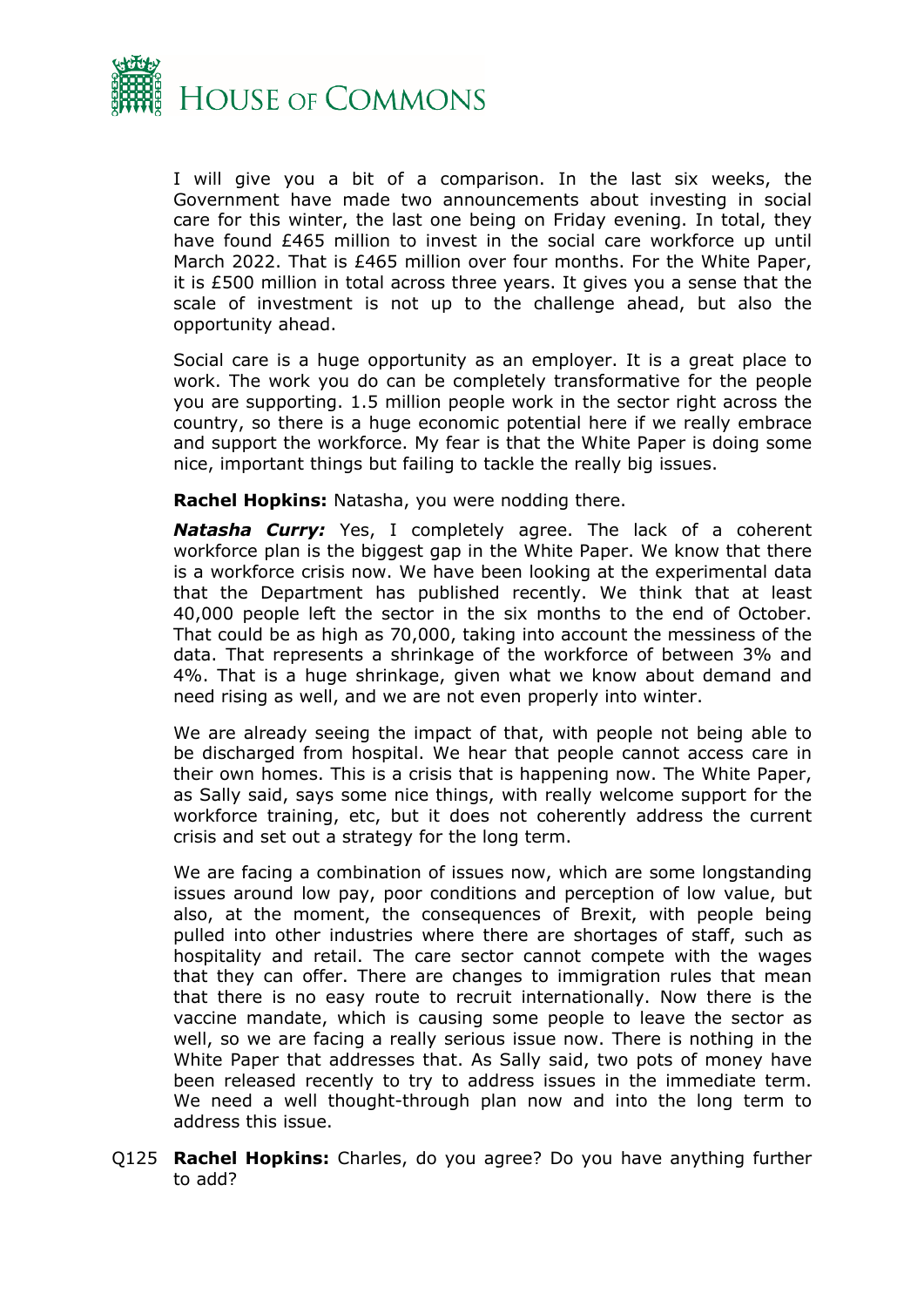

I will give you a bit of a comparison. In the last six weeks, the Government have made two announcements about investing in social care for this winter, the last one being on Friday evening. In total, they have found £465 million to invest in the social care workforce up until March 2022. That is £465 million over four months. For the White Paper, it is £500 million in total across three years. It gives you a sense that the scale of investment is not up to the challenge ahead, but also the opportunity ahead.

Social care is a huge opportunity as an employer. It is a great place to work. The work you do can be completely transformative for the people you are supporting. 1.5 million people work in the sector right across the country, so there is a huge economic potential here if we really embrace and support the workforce. My fear is that the White Paper is doing some nice, important things but failing to tackle the really big issues.

**Rachel Hopkins:** Natasha, you were nodding there.

*Natasha Curry:* Yes, I completely agree. The lack of a coherent workforce plan is the biggest gap in the White Paper. We know that there is a workforce crisis now. We have been looking at the experimental data that the Department has published recently. We think that at least 40,000 people left the sector in the six months to the end of October. That could be as high as 70,000, taking into account the messiness of the data. That represents a shrinkage of the workforce of between 3% and 4%. That is a huge shrinkage, given what we know about demand and need rising as well, and we are not even properly into winter.

We are already seeing the impact of that, with people not being able to be discharged from hospital. We hear that people cannot access care in their own homes. This is a crisis that is happening now. The White Paper, as Sally said, says some nice things, with really welcome support for the workforce training, etc, but it does not coherently address the current crisis and set out a strategy for the long term.

We are facing a combination of issues now, which are some longstanding issues around low pay, poor conditions and perception of low value, but also, at the moment, the consequences of Brexit, with people being pulled into other industries where there are shortages of staff, such as hospitality and retail. The care sector cannot compete with the wages that they can offer. There are changes to immigration rules that mean that there is no easy route to recruit internationally. Now there is the vaccine mandate, which is causing some people to leave the sector as well, so we are facing a really serious issue now. There is nothing in the White Paper that addresses that. As Sally said, two pots of money have been released recently to try to address issues in the immediate term. We need a well thought-through plan now and into the long term to address this issue.

Q125 **Rachel Hopkins:** Charles, do you agree? Do you have anything further to add?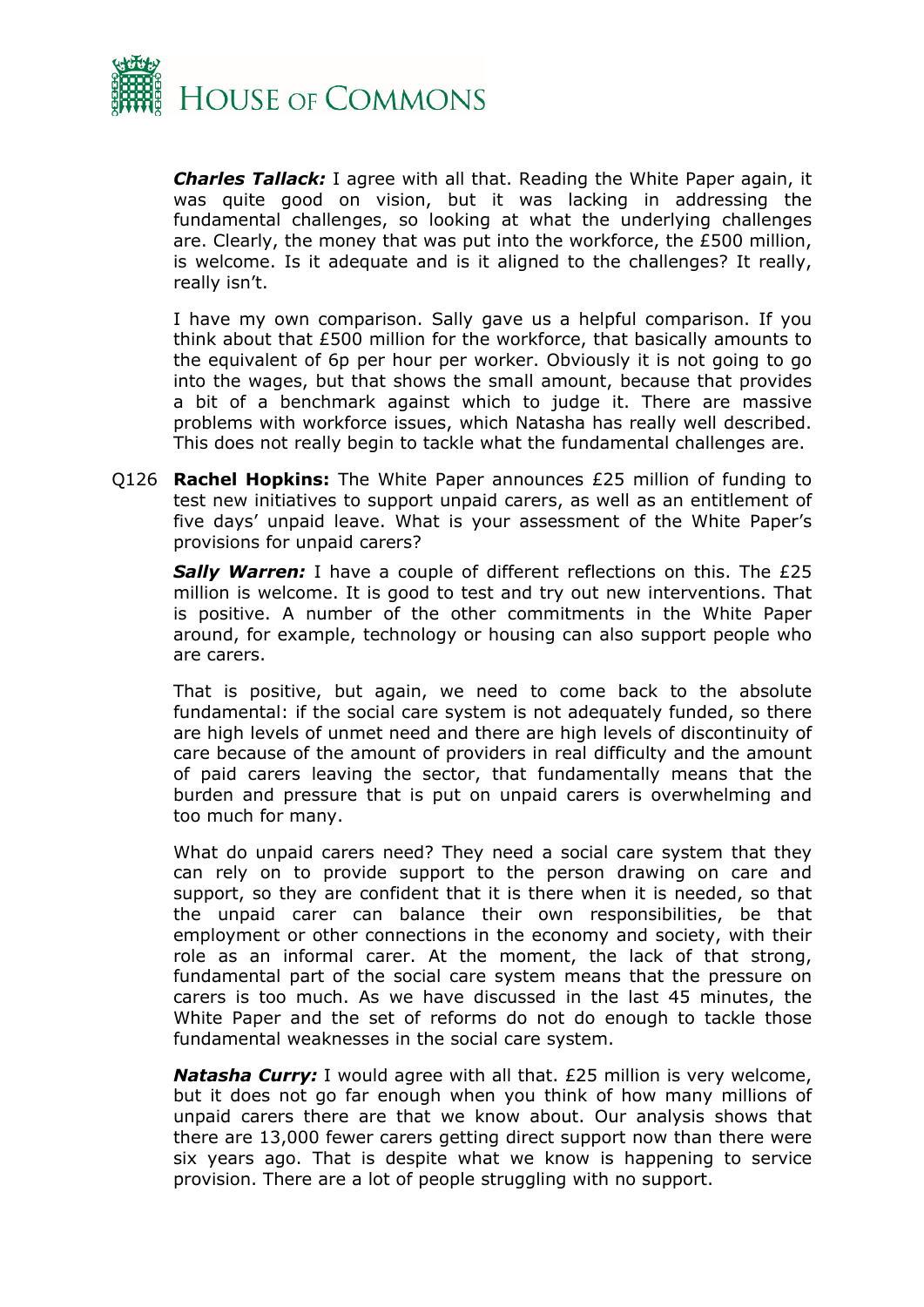

*Charles Tallack:* I agree with all that. Reading the White Paper again, it was quite good on vision, but it was lacking in addressing the fundamental challenges, so looking at what the underlying challenges are. Clearly, the money that was put into the workforce, the £500 million, is welcome. Is it adequate and is it aligned to the challenges? It really, really isn't.

I have my own comparison. Sally gave us a helpful comparison. If you think about that £500 million for the workforce, that basically amounts to the equivalent of 6p per hour per worker. Obviously it is not going to go into the wages, but that shows the small amount, because that provides a bit of a benchmark against which to judge it. There are massive problems with workforce issues, which Natasha has really well described. This does not really begin to tackle what the fundamental challenges are.

Q126 **Rachel Hopkins:** The White Paper announces £25 million of funding to test new initiatives to support unpaid carers, as well as an entitlement of five days' unpaid leave. What is your assessment of the White Paper's provisions for unpaid carers?

*Sally Warren:* I have a couple of different reflections on this. The £25 million is welcome. It is good to test and try out new interventions. That is positive. A number of the other commitments in the White Paper around, for example, technology or housing can also support people who are carers.

That is positive, but again, we need to come back to the absolute fundamental: if the social care system is not adequately funded, so there are high levels of unmet need and there are high levels of discontinuity of care because of the amount of providers in real difficulty and the amount of paid carers leaving the sector, that fundamentally means that the burden and pressure that is put on unpaid carers is overwhelming and too much for many.

What do unpaid carers need? They need a social care system that they can rely on to provide support to the person drawing on care and support, so they are confident that it is there when it is needed, so that the unpaid carer can balance their own responsibilities, be that employment or other connections in the economy and society, with their role as an informal carer. At the moment, the lack of that strong, fundamental part of the social care system means that the pressure on carers is too much. As we have discussed in the last 45 minutes, the White Paper and the set of reforms do not do enough to tackle those fundamental weaknesses in the social care system.

*Natasha Curry:* I would agree with all that. £25 million is very welcome, but it does not go far enough when you think of how many millions of unpaid carers there are that we know about. Our analysis shows that there are 13,000 fewer carers getting direct support now than there were six years ago. That is despite what we know is happening to service provision. There are a lot of people struggling with no support.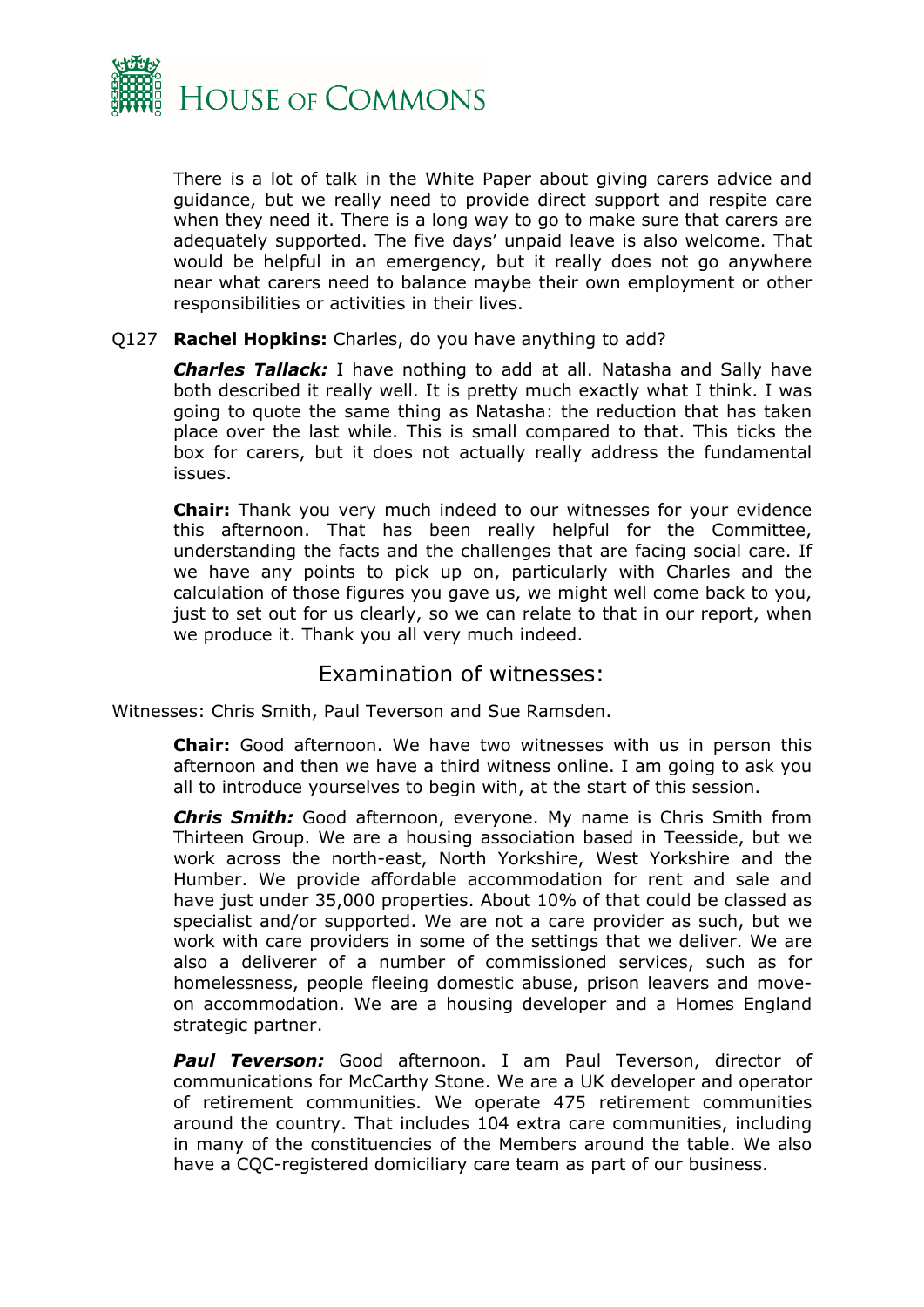

There is a lot of talk in the White Paper about giving carers advice and guidance, but we really need to provide direct support and respite care when they need it. There is a long way to go to make sure that carers are adequately supported. The five days' unpaid leave is also welcome. That would be helpful in an emergency, but it really does not go anywhere near what carers need to balance maybe their own employment or other responsibilities or activities in their lives.

#### Q127 **Rachel Hopkins:** Charles, do you have anything to add?

*Charles Tallack:* I have nothing to add at all. Natasha and Sally have both described it really well. It is pretty much exactly what I think. I was going to quote the same thing as Natasha: the reduction that has taken place over the last while. This is small compared to that. This ticks the box for carers, but it does not actually really address the fundamental issues.

**Chair:** Thank you very much indeed to our witnesses for your evidence this afternoon. That has been really helpful for the Committee, understanding the facts and the challenges that are facing social care. If we have any points to pick up on, particularly with Charles and the calculation of those figures you gave us, we might well come back to you, just to set out for us clearly, so we can relate to that in our report, when we produce it. Thank you all very much indeed.

# <span id="page-15-0"></span>Examination of witnesses:

Witnesses: Chris Smith, Paul Teverson and Sue Ramsden.

**Chair:** Good afternoon. We have two witnesses with us in person this afternoon and then we have a third witness online. I am going to ask you all to introduce yourselves to begin with, at the start of this session.

*Chris Smith:* Good afternoon, everyone. My name is Chris Smith from Thirteen Group. We are a housing association based in Teesside, but we work across the north-east, North Yorkshire, West Yorkshire and the Humber. We provide affordable accommodation for rent and sale and have just under 35,000 properties. About 10% of that could be classed as specialist and/or supported. We are not a care provider as such, but we work with care providers in some of the settings that we deliver. We are also a deliverer of a number of commissioned services, such as for homelessness, people fleeing domestic abuse, prison leavers and moveon accommodation. We are a housing developer and a Homes England strategic partner.

*Paul Teverson:* Good afternoon. I am Paul Teverson, director of communications for McCarthy Stone. We are a UK developer and operator of retirement communities. We operate 475 retirement communities around the country. That includes 104 extra care communities, including in many of the constituencies of the Members around the table. We also have a CQC-registered domiciliary care team as part of our business.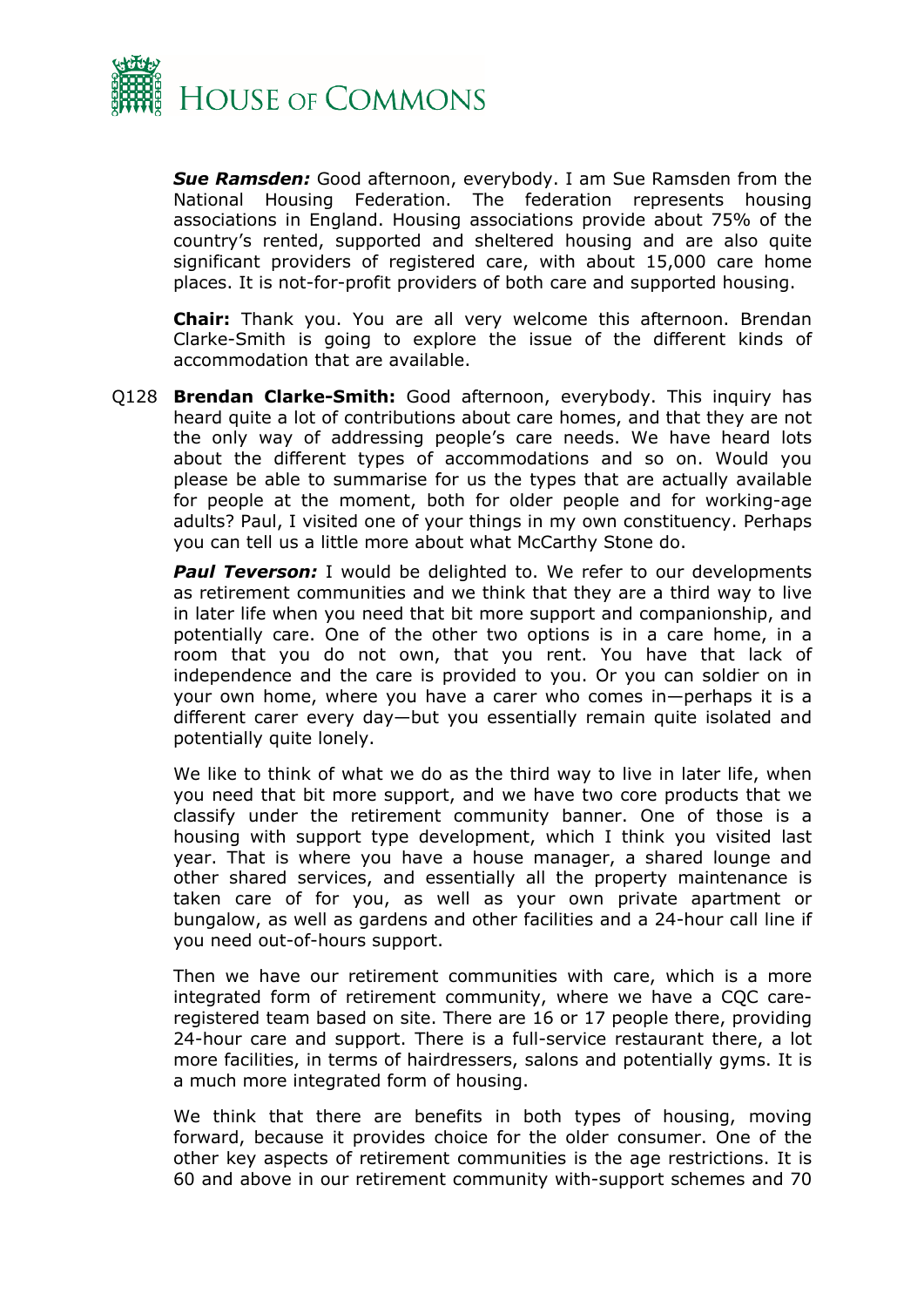

*Sue Ramsden:* Good afternoon, everybody. I am Sue Ramsden from the National Housing Federation. The federation represents housing associations in England. Housing associations provide about 75% of the country's rented, supported and sheltered housing and are also quite significant providers of registered care, with about 15,000 care home places. It is not-for-profit providers of both care and supported housing.

**Chair:** Thank you. You are all very welcome this afternoon. Brendan Clarke-Smith is going to explore the issue of the different kinds of accommodation that are available.

Q128 **Brendan Clarke-Smith:** Good afternoon, everybody. This inquiry has heard quite a lot of contributions about care homes, and that they are not the only way of addressing people's care needs. We have heard lots about the different types of accommodations and so on. Would you please be able to summarise for us the types that are actually available for people at the moment, both for older people and for working-age adults? Paul, I visited one of your things in my own constituency. Perhaps you can tell us a little more about what McCarthy Stone do.

**Paul Teverson:** I would be delighted to. We refer to our developments as retirement communities and we think that they are a third way to live in later life when you need that bit more support and companionship, and potentially care. One of the other two options is in a care home, in a room that you do not own, that you rent. You have that lack of independence and the care is provided to you. Or you can soldier on in your own home, where you have a carer who comes in—perhaps it is a different carer every day—but you essentially remain quite isolated and potentially quite lonely.

We like to think of what we do as the third way to live in later life, when you need that bit more support, and we have two core products that we classify under the retirement community banner. One of those is a housing with support type development, which I think you visited last year. That is where you have a house manager, a shared lounge and other shared services, and essentially all the property maintenance is taken care of for you, as well as your own private apartment or bungalow, as well as gardens and other facilities and a 24-hour call line if you need out-of-hours support.

Then we have our retirement communities with care, which is a more integrated form of retirement community, where we have a CQC careregistered team based on site. There are 16 or 17 people there, providing 24-hour care and support. There is a full-service restaurant there, a lot more facilities, in terms of hairdressers, salons and potentially gyms. It is a much more integrated form of housing.

We think that there are benefits in both types of housing, moving forward, because it provides choice for the older consumer. One of the other key aspects of retirement communities is the age restrictions. It is 60 and above in our retirement community with-support schemes and 70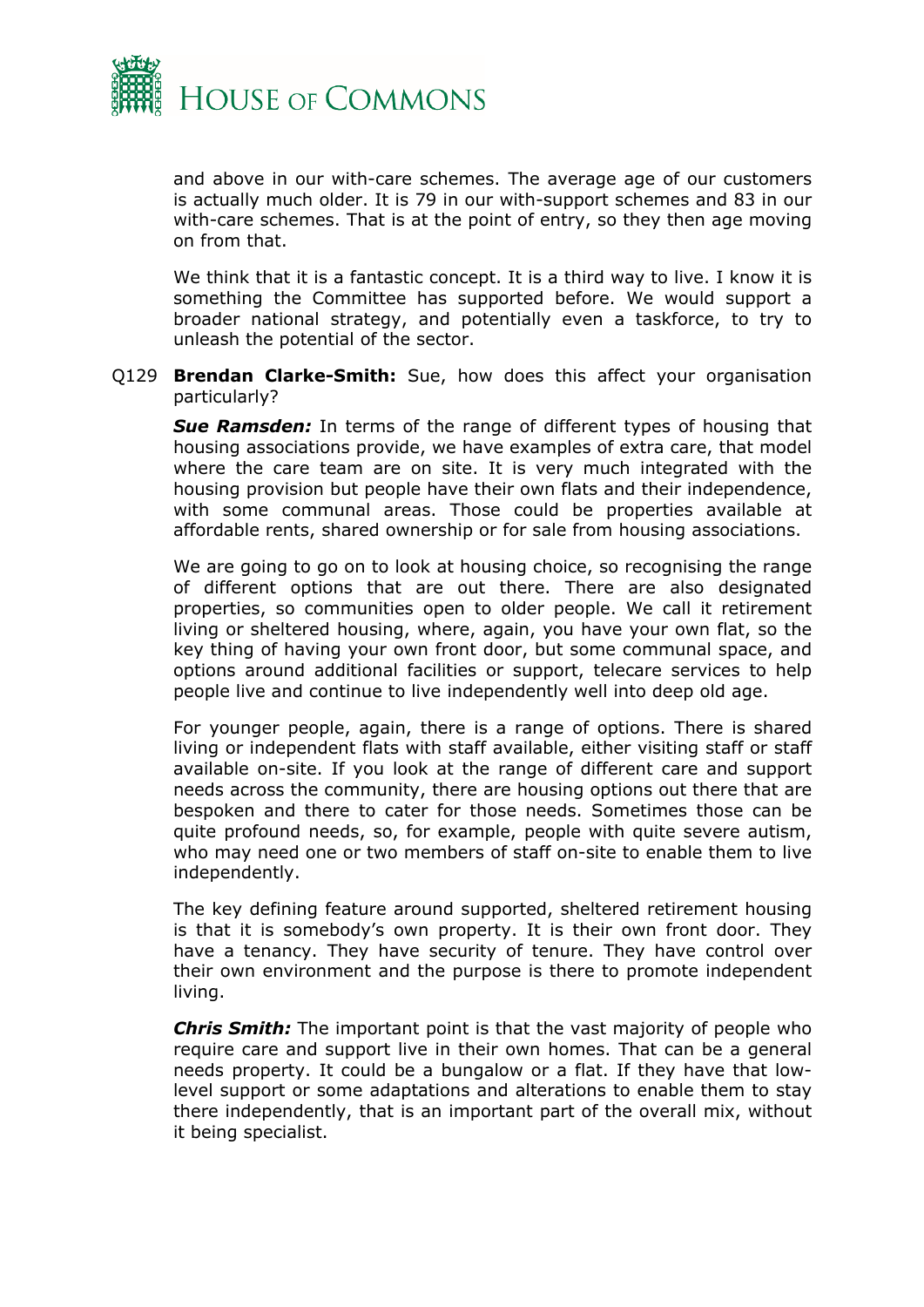

and above in our with-care schemes. The average age of our customers is actually much older. It is 79 in our with-support schemes and 83 in our with-care schemes. That is at the point of entry, so they then age moving on from that.

We think that it is a fantastic concept. It is a third way to live. I know it is something the Committee has supported before. We would support a broader national strategy, and potentially even a taskforce, to try to unleash the potential of the sector.

Q129 **Brendan Clarke-Smith:** Sue, how does this affect your organisation particularly?

*Sue Ramsden:* In terms of the range of different types of housing that housing associations provide, we have examples of extra care, that model where the care team are on site. It is very much integrated with the housing provision but people have their own flats and their independence, with some communal areas. Those could be properties available at affordable rents, shared ownership or for sale from housing associations.

We are going to go on to look at housing choice, so recognising the range of different options that are out there. There are also designated properties, so communities open to older people. We call it retirement living or sheltered housing, where, again, you have your own flat, so the key thing of having your own front door, but some communal space, and options around additional facilities or support, telecare services to help people live and continue to live independently well into deep old age.

For younger people, again, there is a range of options. There is shared living or independent flats with staff available, either visiting staff or staff available on-site. If you look at the range of different care and support needs across the community, there are housing options out there that are bespoken and there to cater for those needs. Sometimes those can be quite profound needs, so, for example, people with quite severe autism, who may need one or two members of staff on-site to enable them to live independently.

The key defining feature around supported, sheltered retirement housing is that it is somebody's own property. It is their own front door. They have a tenancy. They have security of tenure. They have control over their own environment and the purpose is there to promote independent living.

*Chris Smith:* The important point is that the vast majority of people who require care and support live in their own homes. That can be a general needs property. It could be a bungalow or a flat. If they have that lowlevel support or some adaptations and alterations to enable them to stay there independently, that is an important part of the overall mix, without it being specialist.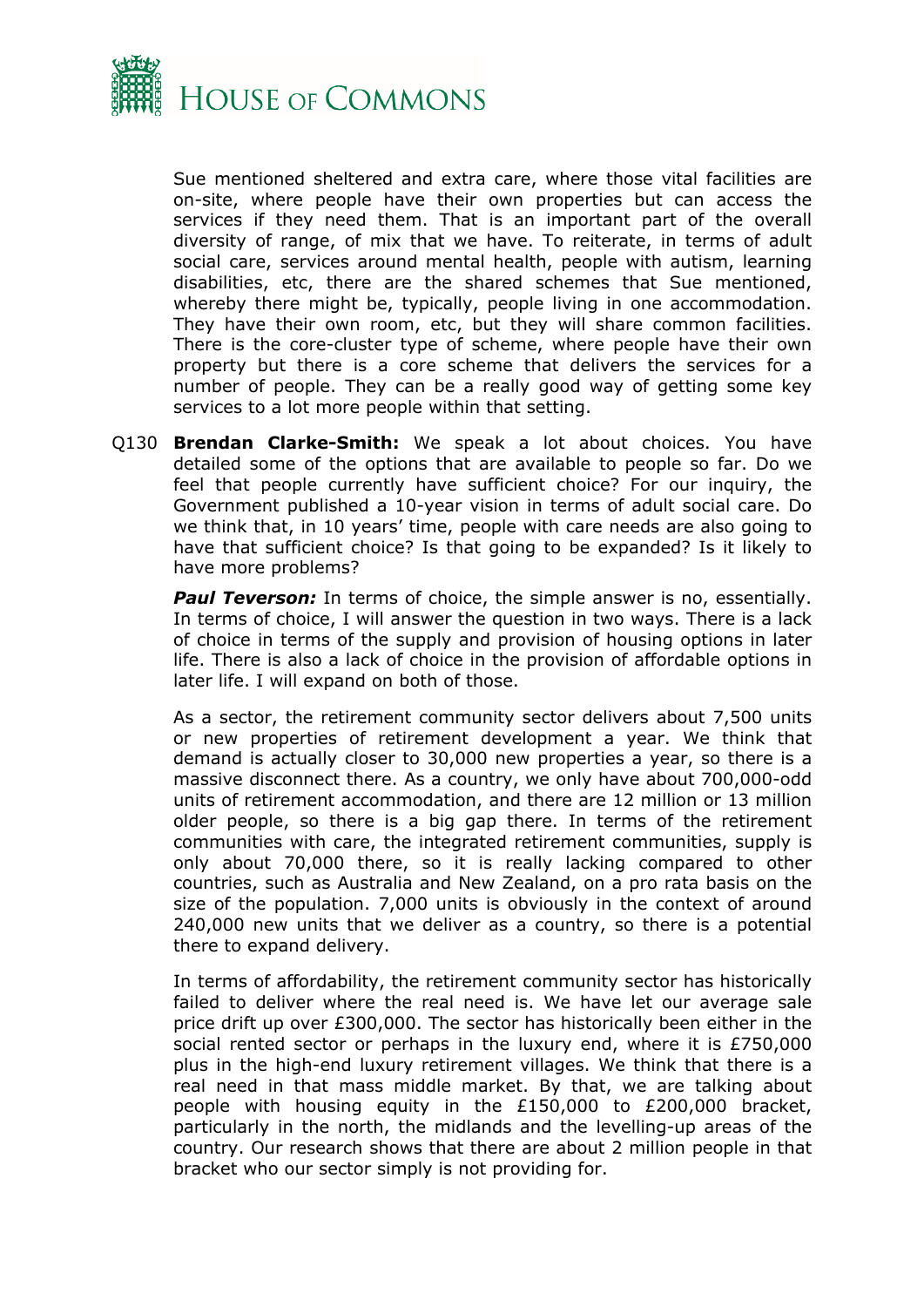

Sue mentioned sheltered and extra care, where those vital facilities are on-site, where people have their own properties but can access the services if they need them. That is an important part of the overall diversity of range, of mix that we have. To reiterate, in terms of adult social care, services around mental health, people with autism, learning disabilities, etc, there are the shared schemes that Sue mentioned, whereby there might be, typically, people living in one accommodation. They have their own room, etc, but they will share common facilities. There is the core-cluster type of scheme, where people have their own property but there is a core scheme that delivers the services for a number of people. They can be a really good way of getting some key services to a lot more people within that setting.

Q130 **Brendan Clarke-Smith:** We speak a lot about choices. You have detailed some of the options that are available to people so far. Do we feel that people currently have sufficient choice? For our inquiry, the Government published a 10-year vision in terms of adult social care. Do we think that, in 10 years' time, people with care needs are also going to have that sufficient choice? Is that going to be expanded? Is it likely to have more problems?

**Paul Teverson:** In terms of choice, the simple answer is no, essentially. In terms of choice, I will answer the question in two ways. There is a lack of choice in terms of the supply and provision of housing options in later life. There is also a lack of choice in the provision of affordable options in later life. I will expand on both of those.

As a sector, the retirement community sector delivers about 7,500 units or new properties of retirement development a year. We think that demand is actually closer to 30,000 new properties a year, so there is a massive disconnect there. As a country, we only have about 700,000-odd units of retirement accommodation, and there are 12 million or 13 million older people, so there is a big gap there. In terms of the retirement communities with care, the integrated retirement communities, supply is only about 70,000 there, so it is really lacking compared to other countries, such as Australia and New Zealand, on a pro rata basis on the size of the population. 7,000 units is obviously in the context of around 240,000 new units that we deliver as a country, so there is a potential there to expand delivery.

In terms of affordability, the retirement community sector has historically failed to deliver where the real need is. We have let our average sale price drift up over £300,000. The sector has historically been either in the social rented sector or perhaps in the luxury end, where it is £750,000 plus in the high-end luxury retirement villages. We think that there is a real need in that mass middle market. By that, we are talking about people with housing equity in the £150,000 to £200,000 bracket, particularly in the north, the midlands and the levelling-up areas of the country. Our research shows that there are about 2 million people in that bracket who our sector simply is not providing for.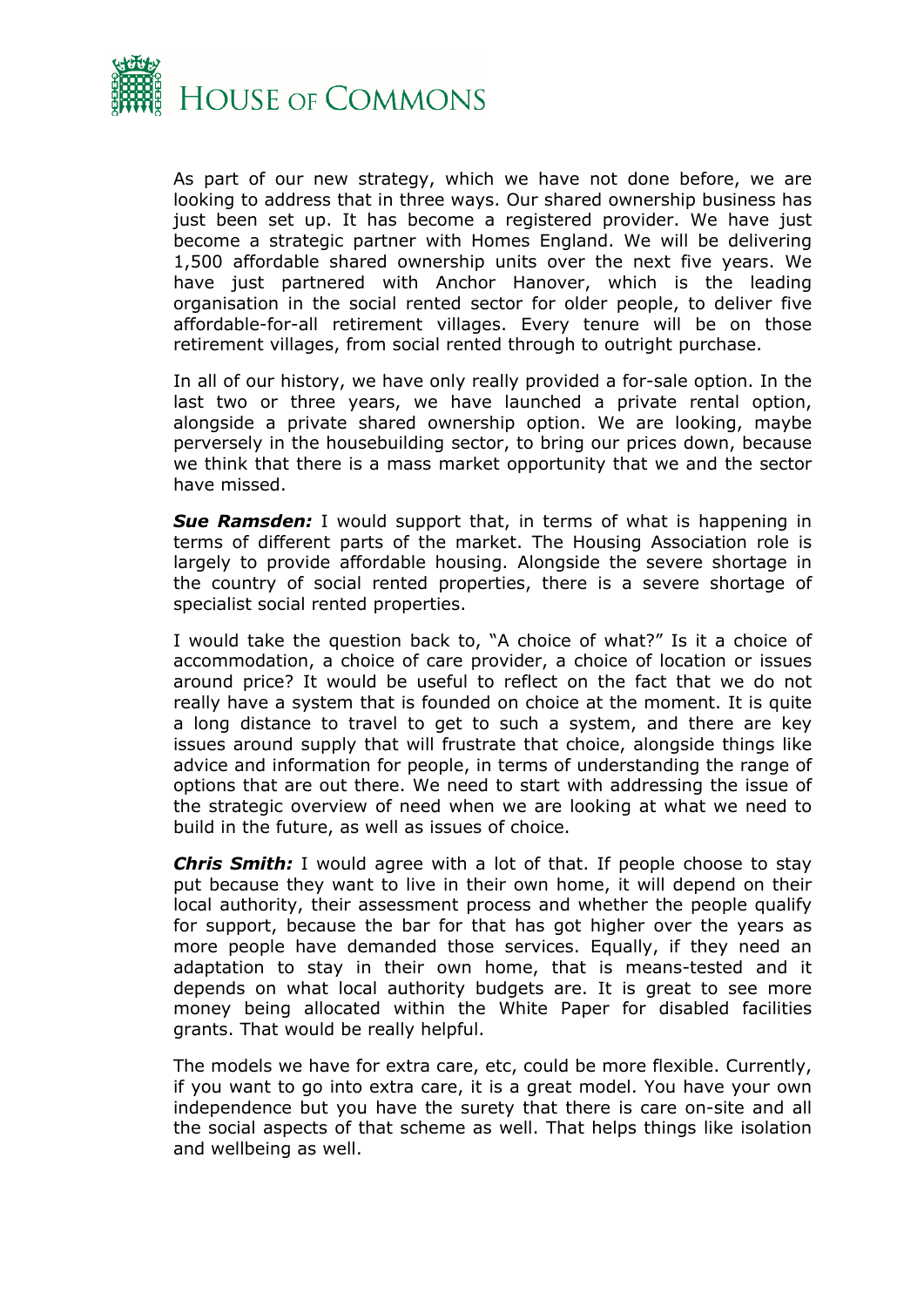

As part of our new strategy, which we have not done before, we are looking to address that in three ways. Our shared ownership business has just been set up. It has become a registered provider. We have just become a strategic partner with Homes England. We will be delivering 1,500 affordable shared ownership units over the next five years. We have just partnered with Anchor Hanover, which is the leading organisation in the social rented sector for older people, to deliver five affordable-for-all retirement villages. Every tenure will be on those retirement villages, from social rented through to outright purchase.

In all of our history, we have only really provided a for-sale option. In the last two or three years, we have launched a private rental option, alongside a private shared ownership option. We are looking, maybe perversely in the housebuilding sector, to bring our prices down, because we think that there is a mass market opportunity that we and the sector have missed.

*Sue Ramsden:* I would support that, in terms of what is happening in terms of different parts of the market. The Housing Association role is largely to provide affordable housing. Alongside the severe shortage in the country of social rented properties, there is a severe shortage of specialist social rented properties.

I would take the question back to, "A choice of what?" Is it a choice of accommodation, a choice of care provider, a choice of location or issues around price? It would be useful to reflect on the fact that we do not really have a system that is founded on choice at the moment. It is quite a long distance to travel to get to such a system, and there are key issues around supply that will frustrate that choice, alongside things like advice and information for people, in terms of understanding the range of options that are out there. We need to start with addressing the issue of the strategic overview of need when we are looking at what we need to build in the future, as well as issues of choice.

*Chris Smith:* I would agree with a lot of that. If people choose to stay put because they want to live in their own home, it will depend on their local authority, their assessment process and whether the people qualify for support, because the bar for that has got higher over the years as more people have demanded those services. Equally, if they need an adaptation to stay in their own home, that is means-tested and it depends on what local authority budgets are. It is great to see more money being allocated within the White Paper for disabled facilities grants. That would be really helpful.

The models we have for extra care, etc, could be more flexible. Currently, if you want to go into extra care, it is a great model. You have your own independence but you have the surety that there is care on-site and all the social aspects of that scheme as well. That helps things like isolation and wellbeing as well.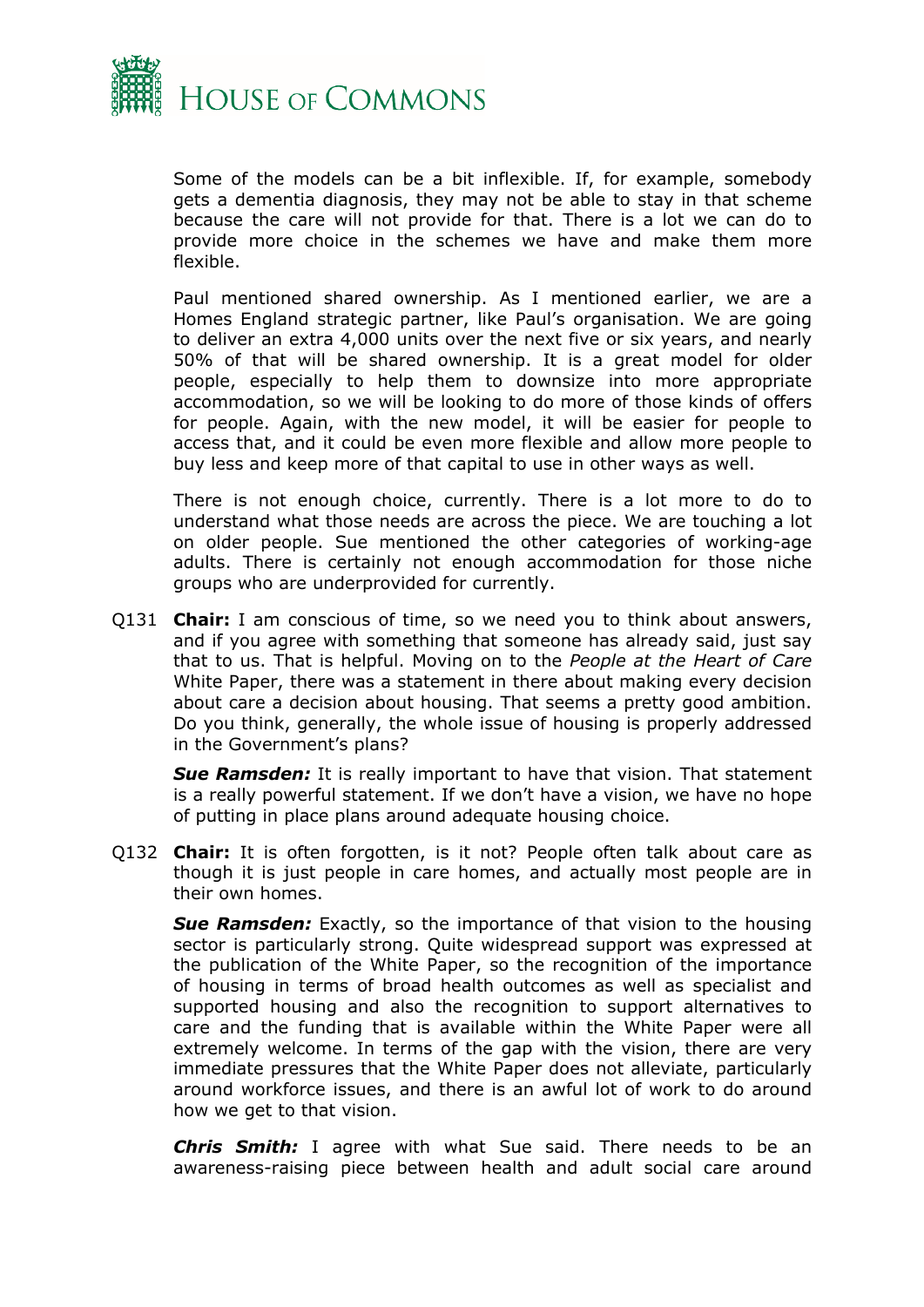

Some of the models can be a bit inflexible. If, for example, somebody gets a dementia diagnosis, they may not be able to stay in that scheme because the care will not provide for that. There is a lot we can do to provide more choice in the schemes we have and make them more flexible.

Paul mentioned shared ownership. As I mentioned earlier, we are a Homes England strategic partner, like Paul's organisation. We are going to deliver an extra 4,000 units over the next five or six years, and nearly 50% of that will be shared ownership. It is a great model for older people, especially to help them to downsize into more appropriate accommodation, so we will be looking to do more of those kinds of offers for people. Again, with the new model, it will be easier for people to access that, and it could be even more flexible and allow more people to buy less and keep more of that capital to use in other ways as well.

There is not enough choice, currently. There is a lot more to do to understand what those needs are across the piece. We are touching a lot on older people. Sue mentioned the other categories of working-age adults. There is certainly not enough accommodation for those niche groups who are underprovided for currently.

Q131 **Chair:** I am conscious of time, so we need you to think about answers, and if you agree with something that someone has already said, just say that to us. That is helpful. Moving on to the *People at the Heart of Care* White Paper, there was a statement in there about making every decision about care a decision about housing. That seems a pretty good ambition. Do you think, generally, the whole issue of housing is properly addressed in the Government's plans?

**Sue Ramsden:** It is really important to have that vision. That statement is a really powerful statement. If we don't have a vision, we have no hope of putting in place plans around adequate housing choice.

Q132 **Chair:** It is often forgotten, is it not? People often talk about care as though it is just people in care homes, and actually most people are in their own homes.

**Sue Ramsden:** Exactly, so the importance of that vision to the housing sector is particularly strong. Quite widespread support was expressed at the publication of the White Paper, so the recognition of the importance of housing in terms of broad health outcomes as well as specialist and supported housing and also the recognition to support alternatives to care and the funding that is available within the White Paper were all extremely welcome. In terms of the gap with the vision, there are very immediate pressures that the White Paper does not alleviate, particularly around workforce issues, and there is an awful lot of work to do around how we get to that vision.

*Chris Smith:* I agree with what Sue said. There needs to be an awareness-raising piece between health and adult social care around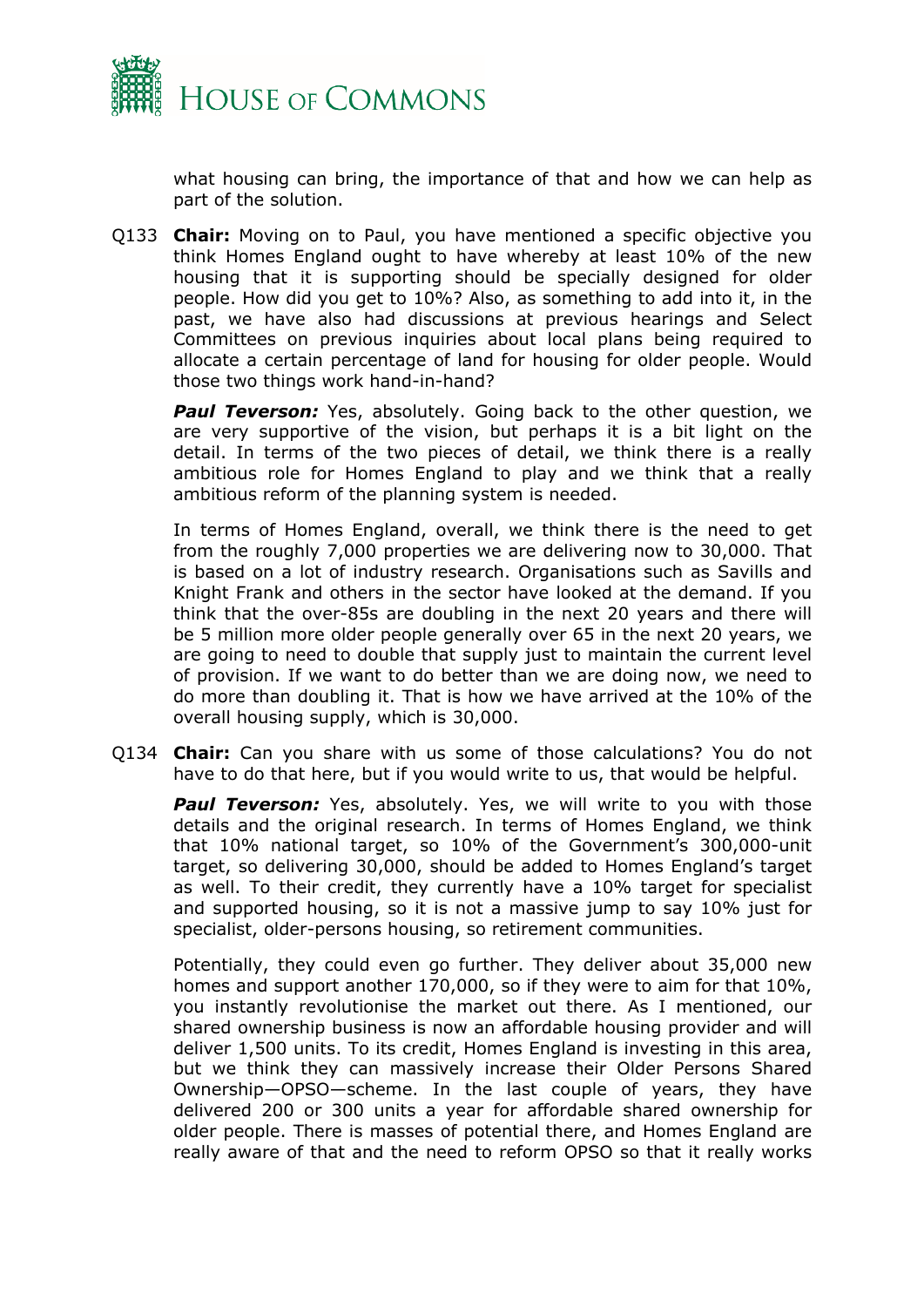

what housing can bring, the importance of that and how we can help as part of the solution.

Q133 **Chair:** Moving on to Paul, you have mentioned a specific objective you think Homes England ought to have whereby at least 10% of the new housing that it is supporting should be specially designed for older people. How did you get to 10%? Also, as something to add into it, in the past, we have also had discussions at previous hearings and Select Committees on previous inquiries about local plans being required to allocate a certain percentage of land for housing for older people. Would those two things work hand-in-hand?

**Paul Teverson:** Yes, absolutely. Going back to the other question, we are very supportive of the vision, but perhaps it is a bit light on the detail. In terms of the two pieces of detail, we think there is a really ambitious role for Homes England to play and we think that a really ambitious reform of the planning system is needed.

In terms of Homes England, overall, we think there is the need to get from the roughly 7,000 properties we are delivering now to 30,000. That is based on a lot of industry research. Organisations such as Savills and Knight Frank and others in the sector have looked at the demand. If you think that the over-85s are doubling in the next 20 years and there will be 5 million more older people generally over 65 in the next 20 years, we are going to need to double that supply just to maintain the current level of provision. If we want to do better than we are doing now, we need to do more than doubling it. That is how we have arrived at the 10% of the overall housing supply, which is 30,000.

Q134 **Chair:** Can you share with us some of those calculations? You do not have to do that here, but if you would write to us, that would be helpful.

**Paul Teverson:** Yes, absolutely. Yes, we will write to you with those details and the original research. In terms of Homes England, we think that 10% national target, so 10% of the Government's 300,000-unit target, so delivering 30,000, should be added to Homes England's target as well. To their credit, they currently have a 10% target for specialist and supported housing, so it is not a massive jump to say 10% just for specialist, older-persons housing, so retirement communities.

Potentially, they could even go further. They deliver about 35,000 new homes and support another 170,000, so if they were to aim for that 10%, you instantly revolutionise the market out there. As I mentioned, our shared ownership business is now an affordable housing provider and will deliver 1,500 units. To its credit, Homes England is investing in this area, but we think they can massively increase their Older Persons Shared Ownership—OPSO—scheme. In the last couple of years, they have delivered 200 or 300 units a year for affordable shared ownership for older people. There is masses of potential there, and Homes England are really aware of that and the need to reform OPSO so that it really works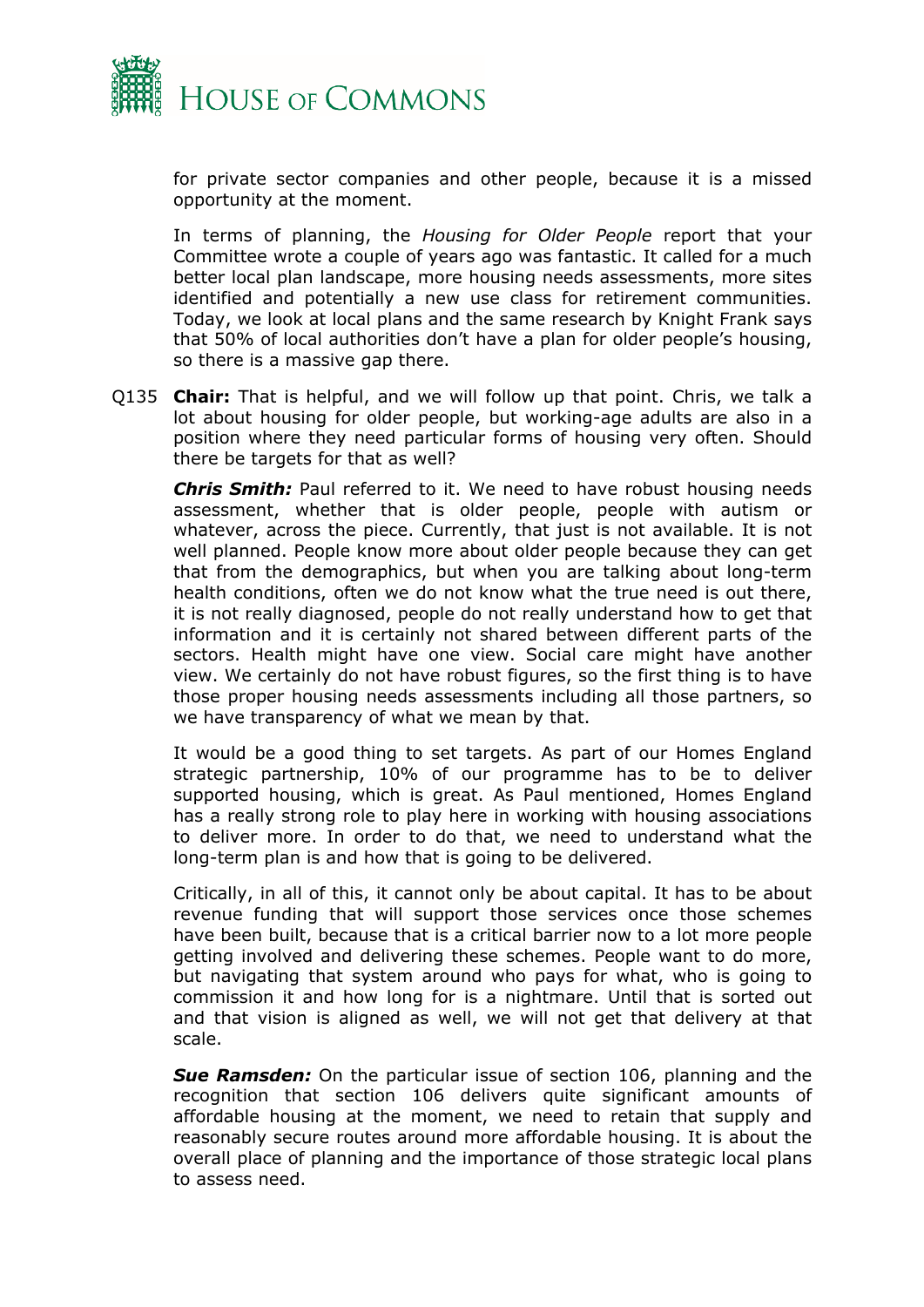

for private sector companies and other people, because it is a missed opportunity at the moment.

In terms of planning, the *Housing for Older People* report that your Committee wrote a couple of years ago was fantastic. It called for a much better local plan landscape, more housing needs assessments, more sites identified and potentially a new use class for retirement communities. Today, we look at local plans and the same research by Knight Frank says that 50% of local authorities don't have a plan for older people's housing, so there is a massive gap there.

Q135 **Chair:** That is helpful, and we will follow up that point. Chris, we talk a lot about housing for older people, but working-age adults are also in a position where they need particular forms of housing very often. Should there be targets for that as well?

*Chris Smith:* Paul referred to it. We need to have robust housing needs assessment, whether that is older people, people with autism or whatever, across the piece. Currently, that just is not available. It is not well planned. People know more about older people because they can get that from the demographics, but when you are talking about long-term health conditions, often we do not know what the true need is out there, it is not really diagnosed, people do not really understand how to get that information and it is certainly not shared between different parts of the sectors. Health might have one view. Social care might have another view. We certainly do not have robust figures, so the first thing is to have those proper housing needs assessments including all those partners, so we have transparency of what we mean by that.

It would be a good thing to set targets. As part of our Homes England strategic partnership, 10% of our programme has to be to deliver supported housing, which is great. As Paul mentioned, Homes England has a really strong role to play here in working with housing associations to deliver more. In order to do that, we need to understand what the long-term plan is and how that is going to be delivered.

Critically, in all of this, it cannot only be about capital. It has to be about revenue funding that will support those services once those schemes have been built, because that is a critical barrier now to a lot more people getting involved and delivering these schemes. People want to do more, but navigating that system around who pays for what, who is going to commission it and how long for is a nightmare. Until that is sorted out and that vision is aligned as well, we will not get that delivery at that scale.

*Sue Ramsden:* On the particular issue of section 106, planning and the recognition that section 106 delivers quite significant amounts of affordable housing at the moment, we need to retain that supply and reasonably secure routes around more affordable housing. It is about the overall place of planning and the importance of those strategic local plans to assess need.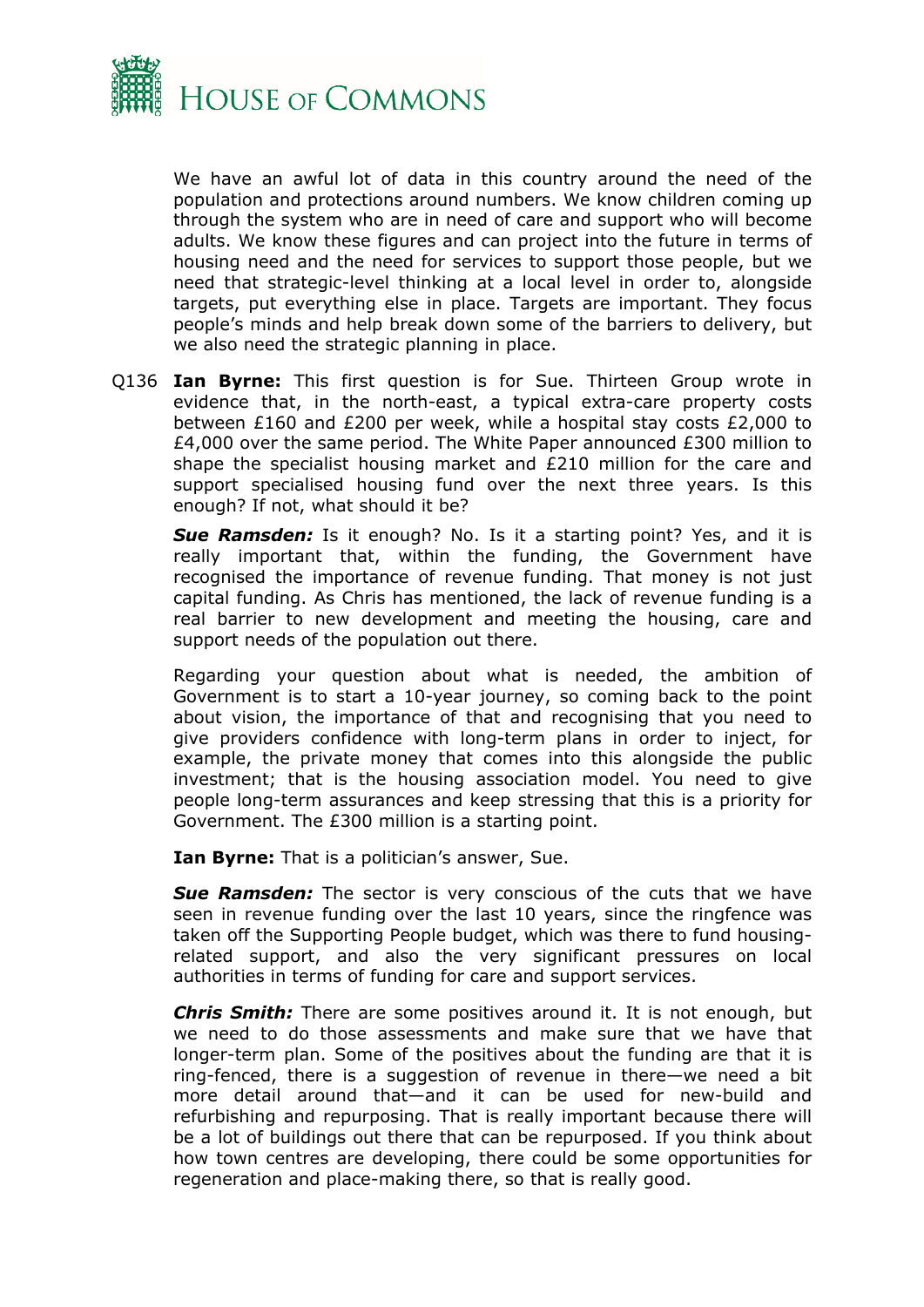

We have an awful lot of data in this country around the need of the population and protections around numbers. We know children coming up through the system who are in need of care and support who will become adults. We know these figures and can project into the future in terms of housing need and the need for services to support those people, but we need that strategic-level thinking at a local level in order to, alongside targets, put everything else in place. Targets are important. They focus people's minds and help break down some of the barriers to delivery, but we also need the strategic planning in place.

Q136 **Ian Byrne:** This first question is for Sue. Thirteen Group wrote in evidence that, in the north-east, a typical extra-care property costs between £160 and £200 per week, while a hospital stay costs £2,000 to £4,000 over the same period. The White Paper announced £300 million to shape the specialist housing market and £210 million for the care and support specialised housing fund over the next three years. Is this enough? If not, what should it be?

**Sue Ramsden:** Is it enough? No. Is it a starting point? Yes, and it is really important that, within the funding, the Government have recognised the importance of revenue funding. That money is not just capital funding. As Chris has mentioned, the lack of revenue funding is a real barrier to new development and meeting the housing, care and support needs of the population out there.

Regarding your question about what is needed, the ambition of Government is to start a 10-year journey, so coming back to the point about vision, the importance of that and recognising that you need to give providers confidence with long-term plans in order to inject, for example, the private money that comes into this alongside the public investment; that is the housing association model. You need to give people long-term assurances and keep stressing that this is a priority for Government. The £300 million is a starting point.

**Ian Byrne:** That is a politician's answer, Sue.

*Sue Ramsden:* The sector is very conscious of the cuts that we have seen in revenue funding over the last 10 years, since the ringfence was taken off the Supporting People budget, which was there to fund housingrelated support, and also the very significant pressures on local authorities in terms of funding for care and support services.

*Chris Smith:* There are some positives around it. It is not enough, but we need to do those assessments and make sure that we have that longer-term plan. Some of the positives about the funding are that it is ring-fenced, there is a suggestion of revenue in there—we need a bit more detail around that—and it can be used for new-build and refurbishing and repurposing. That is really important because there will be a lot of buildings out there that can be repurposed. If you think about how town centres are developing, there could be some opportunities for regeneration and place-making there, so that is really good.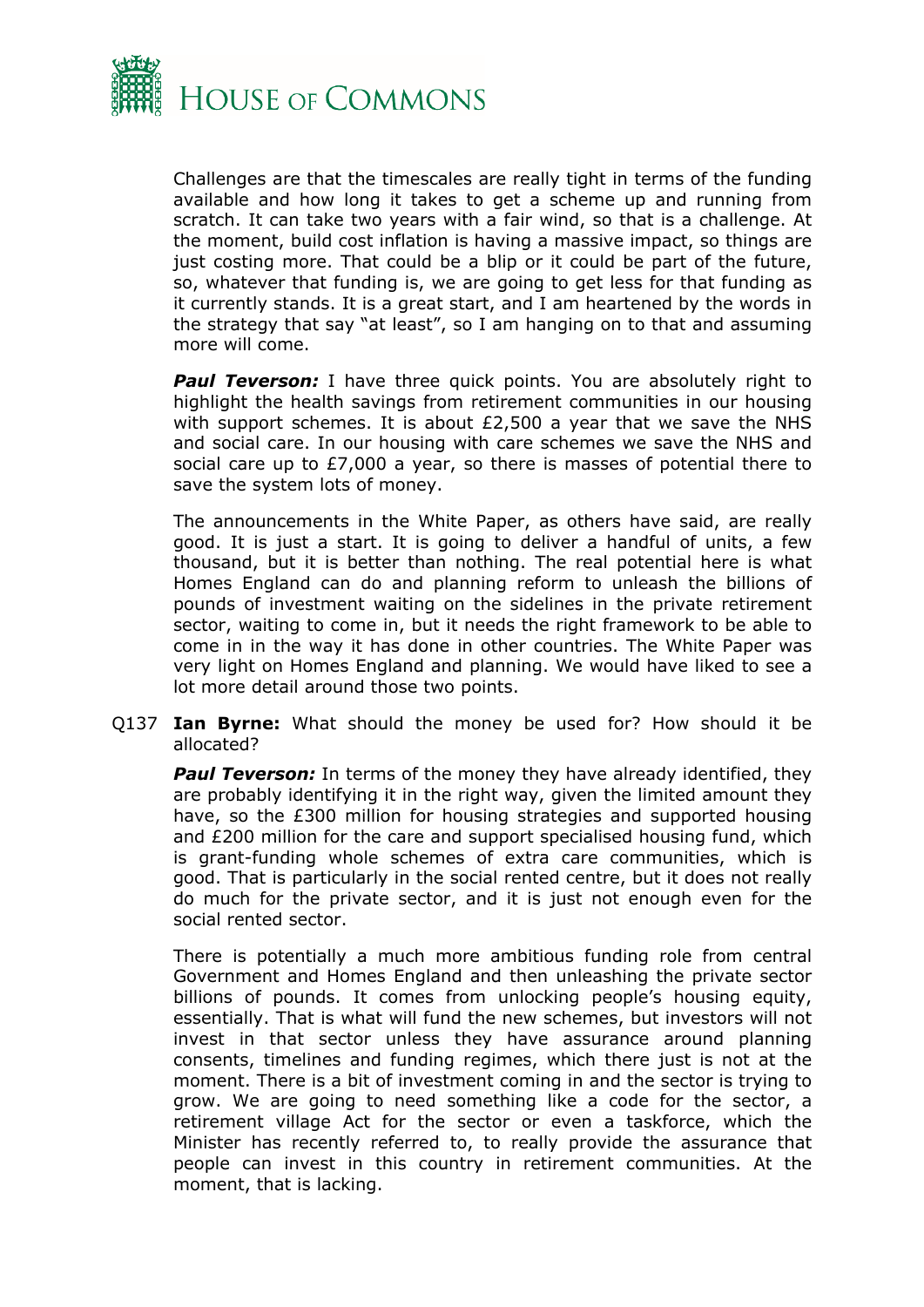

Challenges are that the timescales are really tight in terms of the funding available and how long it takes to get a scheme up and running from scratch. It can take two years with a fair wind, so that is a challenge. At the moment, build cost inflation is having a massive impact, so things are just costing more. That could be a blip or it could be part of the future, so, whatever that funding is, we are going to get less for that funding as it currently stands. It is a great start, and I am heartened by the words in the strategy that say "at least", so I am hanging on to that and assuming more will come.

**Paul Teverson:** I have three quick points. You are absolutely right to highlight the health savings from retirement communities in our housing with support schemes. It is about £2,500 a year that we save the NHS and social care. In our housing with care schemes we save the NHS and social care up to £7,000 a year, so there is masses of potential there to save the system lots of money.

The announcements in the White Paper, as others have said, are really good. It is just a start. It is going to deliver a handful of units, a few thousand, but it is better than nothing. The real potential here is what Homes England can do and planning reform to unleash the billions of pounds of investment waiting on the sidelines in the private retirement sector, waiting to come in, but it needs the right framework to be able to come in in the way it has done in other countries. The White Paper was very light on Homes England and planning. We would have liked to see a lot more detail around those two points.

Q137 **Ian Byrne:** What should the money be used for? How should it be allocated?

**Paul Teverson:** In terms of the money they have already identified, they are probably identifying it in the right way, given the limited amount they have, so the £300 million for housing strategies and supported housing and £200 million for the care and support specialised housing fund, which is grant-funding whole schemes of extra care communities, which is good. That is particularly in the social rented centre, but it does not really do much for the private sector, and it is just not enough even for the social rented sector.

There is potentially a much more ambitious funding role from central Government and Homes England and then unleashing the private sector billions of pounds. It comes from unlocking people's housing equity, essentially. That is what will fund the new schemes, but investors will not invest in that sector unless they have assurance around planning consents, timelines and funding regimes, which there just is not at the moment. There is a bit of investment coming in and the sector is trying to grow. We are going to need something like a code for the sector, a retirement village Act for the sector or even a taskforce, which the Minister has recently referred to, to really provide the assurance that people can invest in this country in retirement communities. At the moment, that is lacking.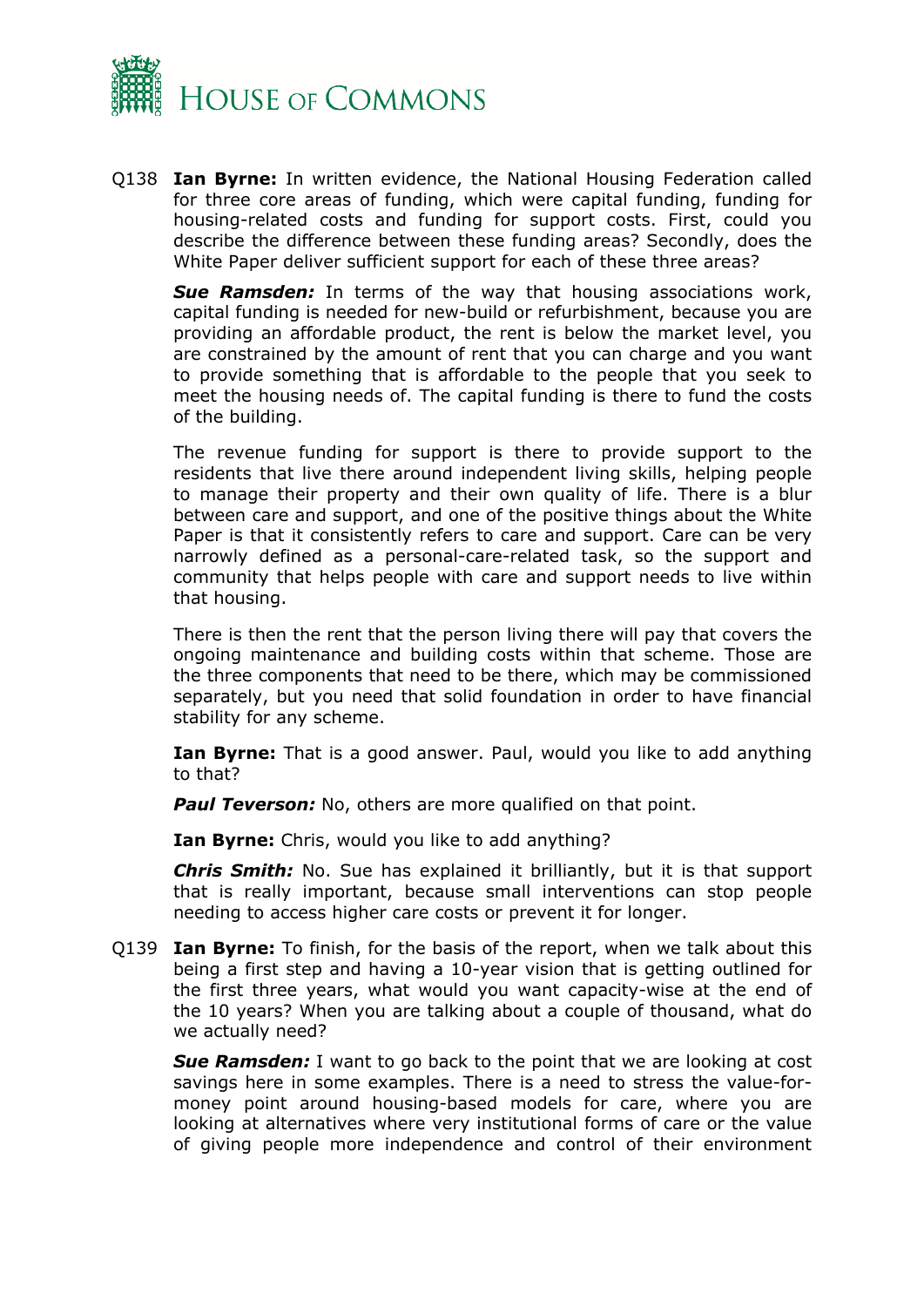

Q138 **Ian Byrne:** In written evidence, the National Housing Federation called for three core areas of funding, which were capital funding, funding for housing-related costs and funding for support costs. First, could you describe the difference between these funding areas? Secondly, does the White Paper deliver sufficient support for each of these three areas?

*Sue Ramsden:* In terms of the way that housing associations work, capital funding is needed for new-build or refurbishment, because you are providing an affordable product, the rent is below the market level, you are constrained by the amount of rent that you can charge and you want to provide something that is affordable to the people that you seek to meet the housing needs of. The capital funding is there to fund the costs of the building.

The revenue funding for support is there to provide support to the residents that live there around independent living skills, helping people to manage their property and their own quality of life. There is a blur between care and support, and one of the positive things about the White Paper is that it consistently refers to care and support. Care can be very narrowly defined as a personal-care-related task, so the support and community that helps people with care and support needs to live within that housing.

There is then the rent that the person living there will pay that covers the ongoing maintenance and building costs within that scheme. Those are the three components that need to be there, which may be commissioned separately, but you need that solid foundation in order to have financial stability for any scheme.

**Ian Byrne:** That is a good answer. Paul, would you like to add anything to that?

**Paul Teverson:** No, others are more qualified on that point.

**Ian Byrne:** Chris, would you like to add anything?

*Chris Smith:* No. Sue has explained it brilliantly, but it is that support that is really important, because small interventions can stop people needing to access higher care costs or prevent it for longer.

Q139 **Ian Byrne:** To finish, for the basis of the report, when we talk about this being a first step and having a 10-year vision that is getting outlined for the first three years, what would you want capacity-wise at the end of the 10 years? When you are talking about a couple of thousand, what do we actually need?

*Sue Ramsden:* I want to go back to the point that we are looking at cost savings here in some examples. There is a need to stress the value-formoney point around housing-based models for care, where you are looking at alternatives where very institutional forms of care or the value of giving people more independence and control of their environment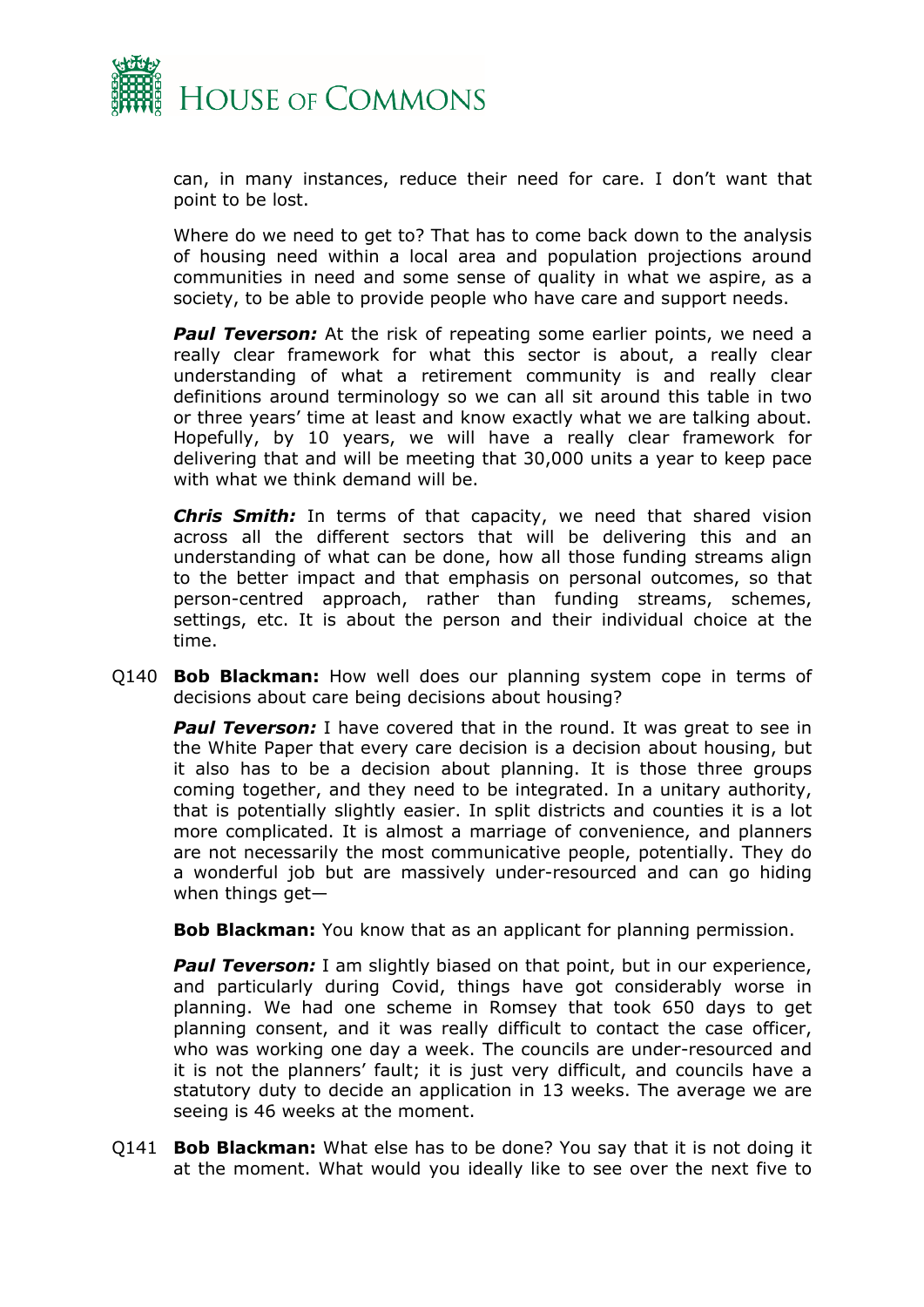

can, in many instances, reduce their need for care. I don't want that point to be lost.

Where do we need to get to? That has to come back down to the analysis of housing need within a local area and population projections around communities in need and some sense of quality in what we aspire, as a society, to be able to provide people who have care and support needs.

*Paul Teverson:* At the risk of repeating some earlier points, we need a really clear framework for what this sector is about, a really clear understanding of what a retirement community is and really clear definitions around terminology so we can all sit around this table in two or three years' time at least and know exactly what we are talking about. Hopefully, by 10 years, we will have a really clear framework for delivering that and will be meeting that 30,000 units a year to keep pace with what we think demand will be.

*Chris Smith:* In terms of that capacity, we need that shared vision across all the different sectors that will be delivering this and an understanding of what can be done, how all those funding streams align to the better impact and that emphasis on personal outcomes, so that person-centred approach, rather than funding streams, schemes, settings, etc. It is about the person and their individual choice at the time.

Q140 **Bob Blackman:** How well does our planning system cope in terms of decisions about care being decisions about housing?

**Paul Teverson:** I have covered that in the round. It was great to see in the White Paper that every care decision is a decision about housing, but it also has to be a decision about planning. It is those three groups coming together, and they need to be integrated. In a unitary authority, that is potentially slightly easier. In split districts and counties it is a lot more complicated. It is almost a marriage of convenience, and planners are not necessarily the most communicative people, potentially. They do a wonderful job but are massively under-resourced and can go hiding when things get—

**Bob Blackman:** You know that as an applicant for planning permission.

**Paul Teverson:** I am slightly biased on that point, but in our experience, and particularly during Covid, things have got considerably worse in planning. We had one scheme in Romsey that took 650 days to get planning consent, and it was really difficult to contact the case officer, who was working one day a week. The councils are under-resourced and it is not the planners' fault; it is just very difficult, and councils have a statutory duty to decide an application in 13 weeks. The average we are seeing is 46 weeks at the moment.

Q141 **Bob Blackman:** What else has to be done? You say that it is not doing it at the moment. What would you ideally like to see over the next five to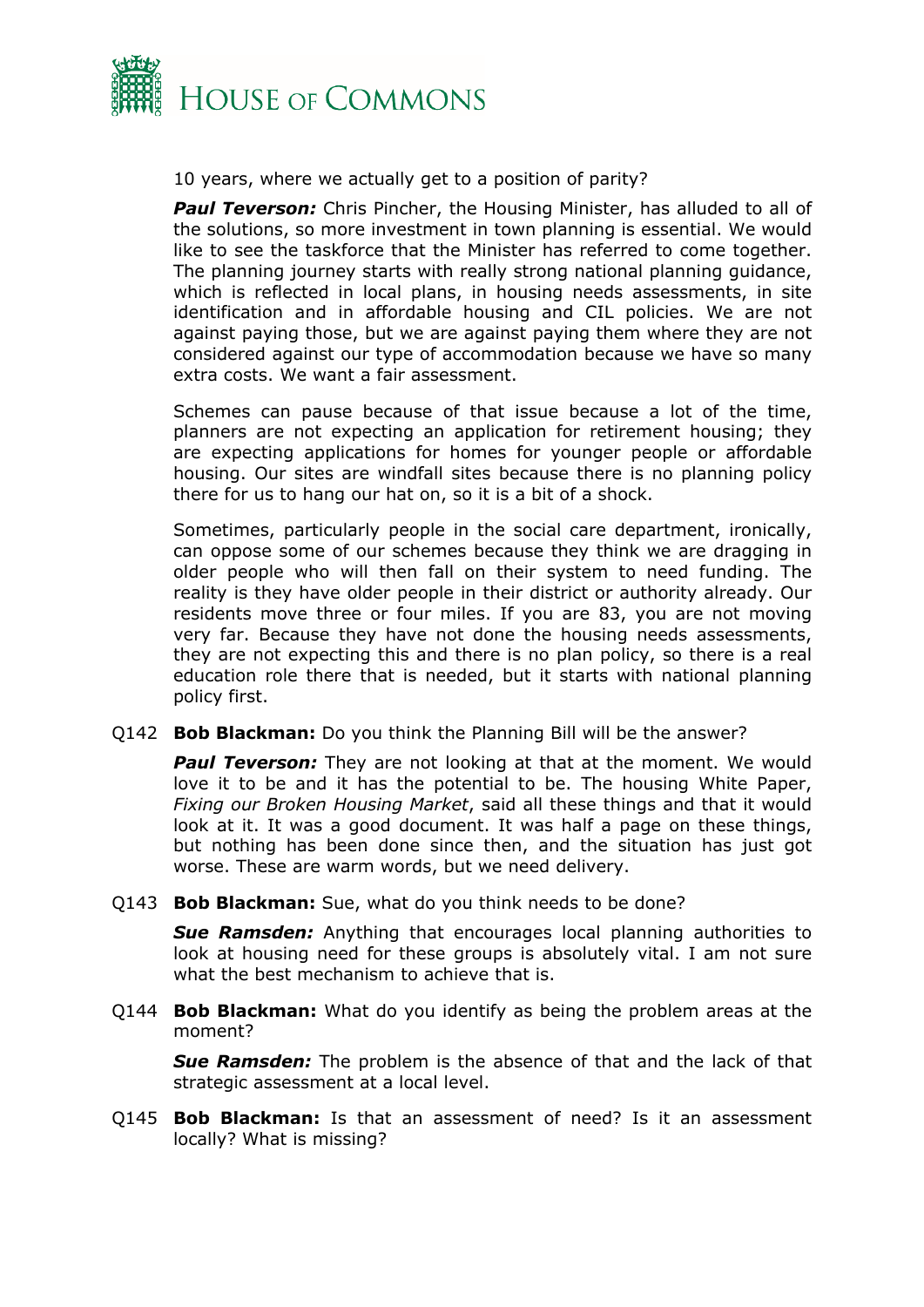

10 years, where we actually get to a position of parity?

**Paul Teverson:** Chris Pincher, the Housing Minister, has alluded to all of the solutions, so more investment in town planning is essential. We would like to see the taskforce that the Minister has referred to come together. The planning journey starts with really strong national planning guidance, which is reflected in local plans, in housing needs assessments, in site identification and in affordable housing and CIL policies. We are not against paying those, but we are against paying them where they are not considered against our type of accommodation because we have so many extra costs. We want a fair assessment.

Schemes can pause because of that issue because a lot of the time, planners are not expecting an application for retirement housing; they are expecting applications for homes for younger people or affordable housing. Our sites are windfall sites because there is no planning policy there for us to hang our hat on, so it is a bit of a shock.

Sometimes, particularly people in the social care department, ironically, can oppose some of our schemes because they think we are dragging in older people who will then fall on their system to need funding. The reality is they have older people in their district or authority already. Our residents move three or four miles. If you are 83, you are not moving very far. Because they have not done the housing needs assessments, they are not expecting this and there is no plan policy, so there is a real education role there that is needed, but it starts with national planning policy first.

Q142 **Bob Blackman:** Do you think the Planning Bill will be the answer?

**Paul Teverson:** They are not looking at that at the moment. We would love it to be and it has the potential to be. The housing White Paper, *Fixing our Broken Housing Market*, said all these things and that it would look at it. It was a good document. It was half a page on these things, but nothing has been done since then, and the situation has just got worse. These are warm words, but we need delivery.

Q143 **Bob Blackman:** Sue, what do you think needs to be done?

*Sue Ramsden:* Anything that encourages local planning authorities to look at housing need for these groups is absolutely vital. I am not sure what the best mechanism to achieve that is.

Q144 **Bob Blackman:** What do you identify as being the problem areas at the moment?

*Sue Ramsden:* The problem is the absence of that and the lack of that strategic assessment at a local level.

Q145 **Bob Blackman:** Is that an assessment of need? Is it an assessment locally? What is missing?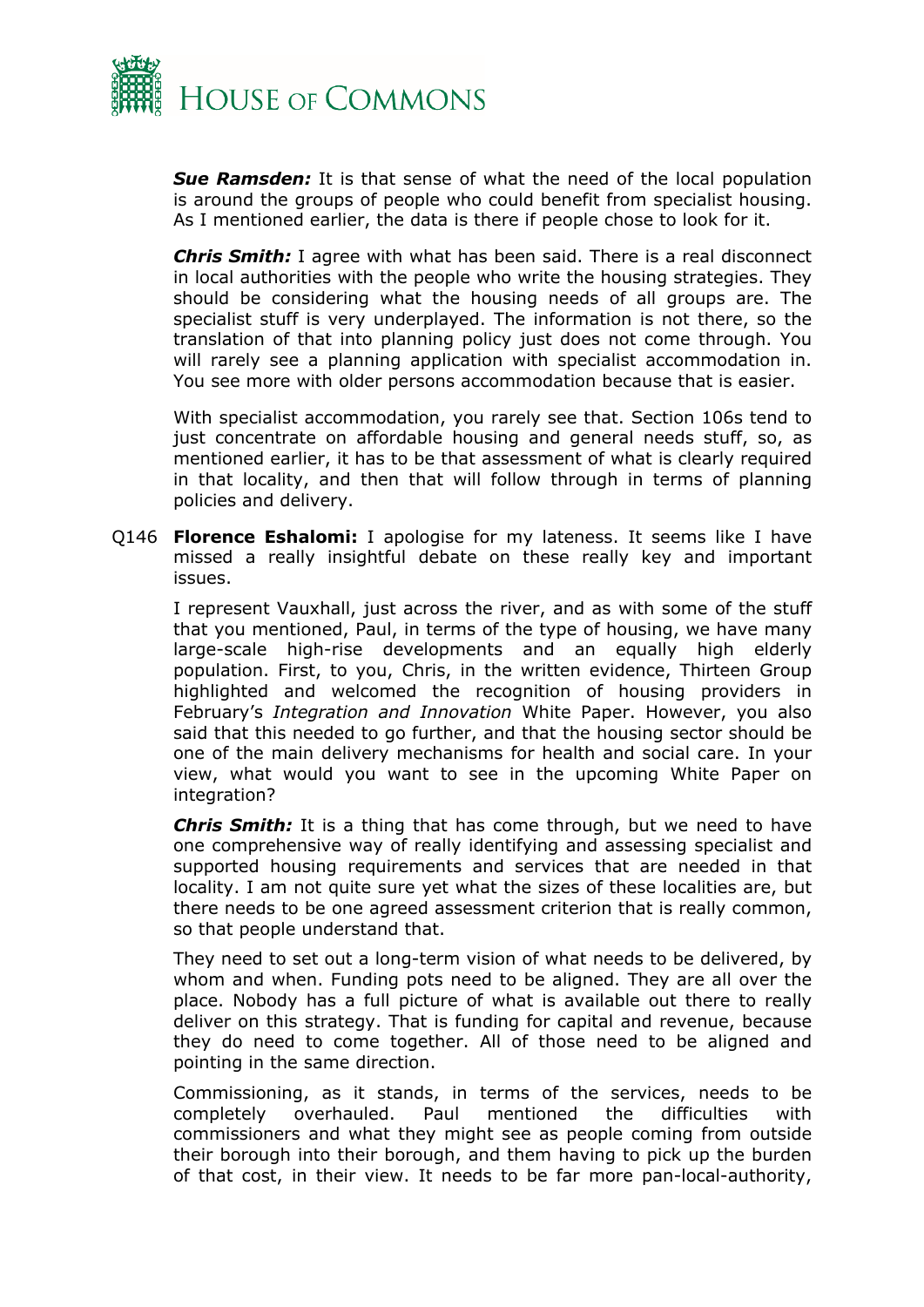

*Sue Ramsden:* It is that sense of what the need of the local population is around the groups of people who could benefit from specialist housing. As I mentioned earlier, the data is there if people chose to look for it.

*Chris Smith:* I agree with what has been said. There is a real disconnect in local authorities with the people who write the housing strategies. They should be considering what the housing needs of all groups are. The specialist stuff is very underplayed. The information is not there, so the translation of that into planning policy just does not come through. You will rarely see a planning application with specialist accommodation in. You see more with older persons accommodation because that is easier.

With specialist accommodation, you rarely see that. Section 106s tend to just concentrate on affordable housing and general needs stuff, so, as mentioned earlier, it has to be that assessment of what is clearly required in that locality, and then that will follow through in terms of planning policies and delivery.

Q146 **Florence Eshalomi:** I apologise for my lateness. It seems like I have missed a really insightful debate on these really key and important issues.

I represent Vauxhall, just across the river, and as with some of the stuff that you mentioned, Paul, in terms of the type of housing, we have many large-scale high-rise developments and an equally high elderly population. First, to you, Chris, in the written evidence, Thirteen Group highlighted and welcomed the recognition of housing providers in February's *Integration and Innovation* White Paper. However, you also said that this needed to go further, and that the housing sector should be one of the main delivery mechanisms for health and social care. In your view, what would you want to see in the upcoming White Paper on integration?

*Chris Smith:* It is a thing that has come through, but we need to have one comprehensive way of really identifying and assessing specialist and supported housing requirements and services that are needed in that locality. I am not quite sure yet what the sizes of these localities are, but there needs to be one agreed assessment criterion that is really common, so that people understand that.

They need to set out a long-term vision of what needs to be delivered, by whom and when. Funding pots need to be aligned. They are all over the place. Nobody has a full picture of what is available out there to really deliver on this strategy. That is funding for capital and revenue, because they do need to come together. All of those need to be aligned and pointing in the same direction.

Commissioning, as it stands, in terms of the services, needs to be completely overhauled. Paul mentioned the difficulties with commissioners and what they might see as people coming from outside their borough into their borough, and them having to pick up the burden of that cost, in their view. It needs to be far more pan-local-authority,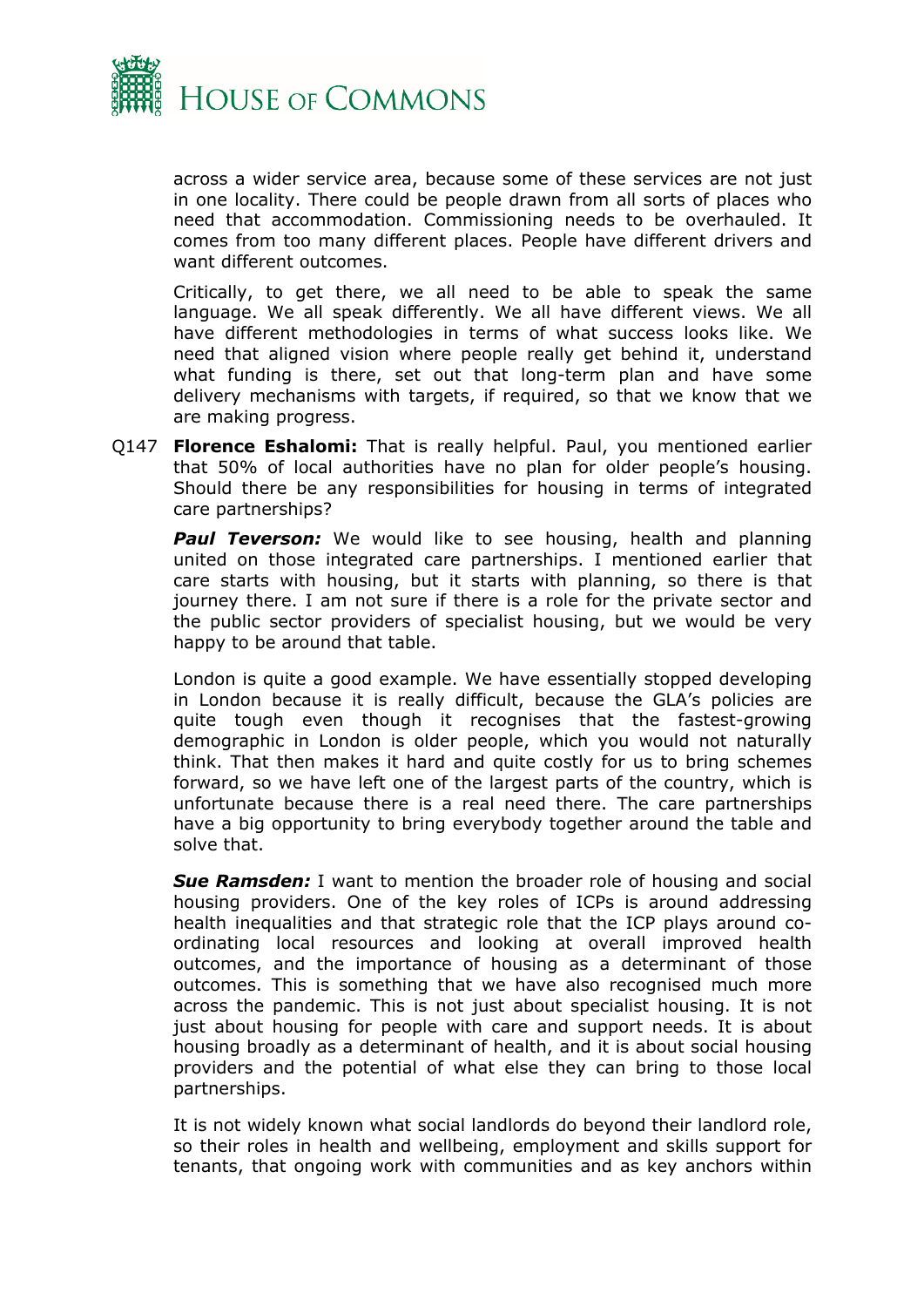

across a wider service area, because some of these services are not just in one locality. There could be people drawn from all sorts of places who need that accommodation. Commissioning needs to be overhauled. It comes from too many different places. People have different drivers and want different outcomes.

Critically, to get there, we all need to be able to speak the same language. We all speak differently. We all have different views. We all have different methodologies in terms of what success looks like. We need that aligned vision where people really get behind it, understand what funding is there, set out that long-term plan and have some delivery mechanisms with targets, if required, so that we know that we are making progress.

Q147 **Florence Eshalomi:** That is really helpful. Paul, you mentioned earlier that 50% of local authorities have no plan for older people's housing. Should there be any responsibilities for housing in terms of integrated care partnerships?

**Paul Teverson:** We would like to see housing, health and planning united on those integrated care partnerships. I mentioned earlier that care starts with housing, but it starts with planning, so there is that journey there. I am not sure if there is a role for the private sector and the public sector providers of specialist housing, but we would be very happy to be around that table.

London is quite a good example. We have essentially stopped developing in London because it is really difficult, because the GLA's policies are quite tough even though it recognises that the fastest-growing demographic in London is older people, which you would not naturally think. That then makes it hard and quite costly for us to bring schemes forward, so we have left one of the largest parts of the country, which is unfortunate because there is a real need there. The care partnerships have a big opportunity to bring everybody together around the table and solve that.

*Sue Ramsden:* I want to mention the broader role of housing and social housing providers. One of the key roles of ICPs is around addressing health inequalities and that strategic role that the ICP plays around coordinating local resources and looking at overall improved health outcomes, and the importance of housing as a determinant of those outcomes. This is something that we have also recognised much more across the pandemic. This is not just about specialist housing. It is not just about housing for people with care and support needs. It is about housing broadly as a determinant of health, and it is about social housing providers and the potential of what else they can bring to those local partnerships.

It is not widely known what social landlords do beyond their landlord role, so their roles in health and wellbeing, employment and skills support for tenants, that ongoing work with communities and as key anchors within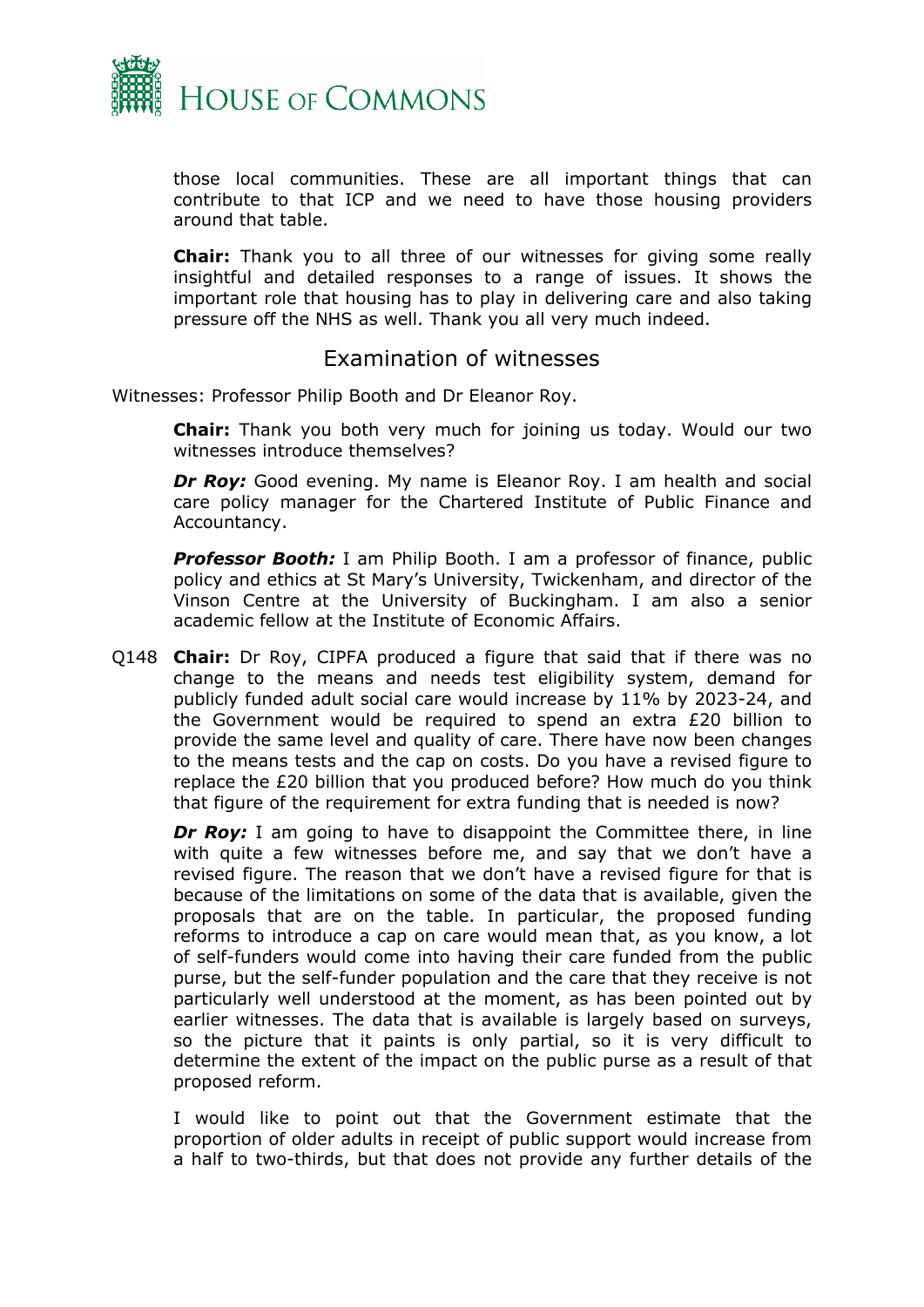

those local communities. These are all important things that can contribute to that ICP and we need to have those housing providers around that table.

**Chair:** Thank you to all three of our witnesses for giving some really insightful and detailed responses to a range of issues. It shows the important role that housing has to play in delivering care and also taking pressure off the NHS as well. Thank you all very much indeed.

## <span id="page-30-0"></span>Examination of witnesses

Witnesses: Professor Philip Booth and Dr Eleanor Roy.

**Chair:** Thank you both very much for joining us today. Would our two witnesses introduce themselves?

**Dr Roy:** Good evening. My name is Eleanor Roy. I am health and social care policy manager for the Chartered Institute of Public Finance and Accountancy.

**Professor Booth:** I am Philip Booth. I am a professor of finance, public policy and ethics at St Mary's University, Twickenham, and director of the Vinson Centre at the University of Buckingham. I am also a senior academic fellow at the Institute of Economic Affairs.

Q148 **Chair:** Dr Roy, CIPFA produced a figure that said that if there was no change to the means and needs test eligibility system, demand for publicly funded adult social care would increase by 11% by 2023-24, and the Government would be required to spend an extra £20 billion to provide the same level and quality of care. There have now been changes to the means tests and the cap on costs. Do you have a revised figure to replace the £20 billion that you produced before? How much do you think that figure of the requirement for extra funding that is needed is now?

**Dr Roy:** I am going to have to disappoint the Committee there, in line with quite a few witnesses before me, and say that we don't have a revised figure. The reason that we don't have a revised figure for that is because of the limitations on some of the data that is available, given the proposals that are on the table. In particular, the proposed funding reforms to introduce a cap on care would mean that, as you know, a lot of self-funders would come into having their care funded from the public purse, but the self-funder population and the care that they receive is not particularly well understood at the moment, as has been pointed out by earlier witnesses. The data that is available is largely based on surveys, so the picture that it paints is only partial, so it is very difficult to determine the extent of the impact on the public purse as a result of that proposed reform.

I would like to point out that the Government estimate that the proportion of older adults in receipt of public support would increase from a half to two-thirds, but that does not provide any further details of the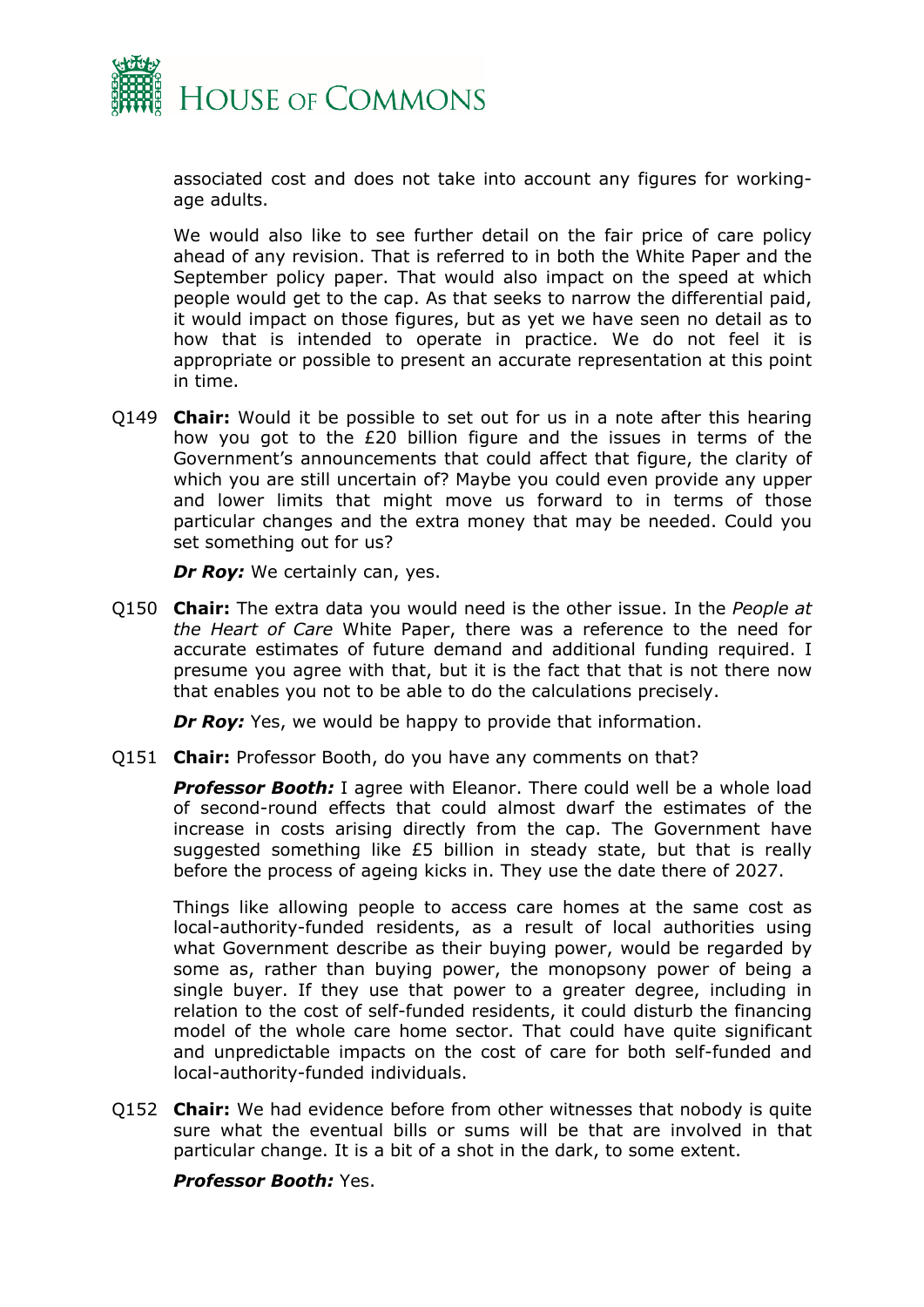

associated cost and does not take into account any figures for workingage adults.

We would also like to see further detail on the fair price of care policy ahead of any revision. That is referred to in both the White Paper and the September policy paper. That would also impact on the speed at which people would get to the cap. As that seeks to narrow the differential paid, it would impact on those figures, but as yet we have seen no detail as to how that is intended to operate in practice. We do not feel it is appropriate or possible to present an accurate representation at this point in time.

Q149 **Chair:** Would it be possible to set out for us in a note after this hearing how you got to the £20 billion figure and the issues in terms of the Government's announcements that could affect that figure, the clarity of which you are still uncertain of? Maybe you could even provide any upper and lower limits that might move us forward to in terms of those particular changes and the extra money that may be needed. Could you set something out for us?

*Dr Roy:* We certainly can, yes.

Q150 **Chair:** The extra data you would need is the other issue. In the *People at the Heart of Care* White Paper, there was a reference to the need for accurate estimates of future demand and additional funding required. I presume you agree with that, but it is the fact that that is not there now that enables you not to be able to do the calculations precisely.

*Dr Roy:* Yes, we would be happy to provide that information.

Q151 **Chair:** Professor Booth, do you have any comments on that?

*Professor Booth:* I agree with Eleanor. There could well be a whole load of second-round effects that could almost dwarf the estimates of the increase in costs arising directly from the cap. The Government have suggested something like £5 billion in steady state, but that is really before the process of ageing kicks in. They use the date there of 2027.

Things like allowing people to access care homes at the same cost as local-authority-funded residents, as a result of local authorities using what Government describe as their buying power, would be regarded by some as, rather than buying power, the monopsony power of being a single buyer. If they use that power to a greater degree, including in relation to the cost of self-funded residents, it could disturb the financing model of the whole care home sector. That could have quite significant and unpredictable impacts on the cost of care for both self-funded and local-authority-funded individuals.

Q152 **Chair:** We had evidence before from other witnesses that nobody is quite sure what the eventual bills or sums will be that are involved in that particular change. It is a bit of a shot in the dark, to some extent.

*Professor Booth:* Yes.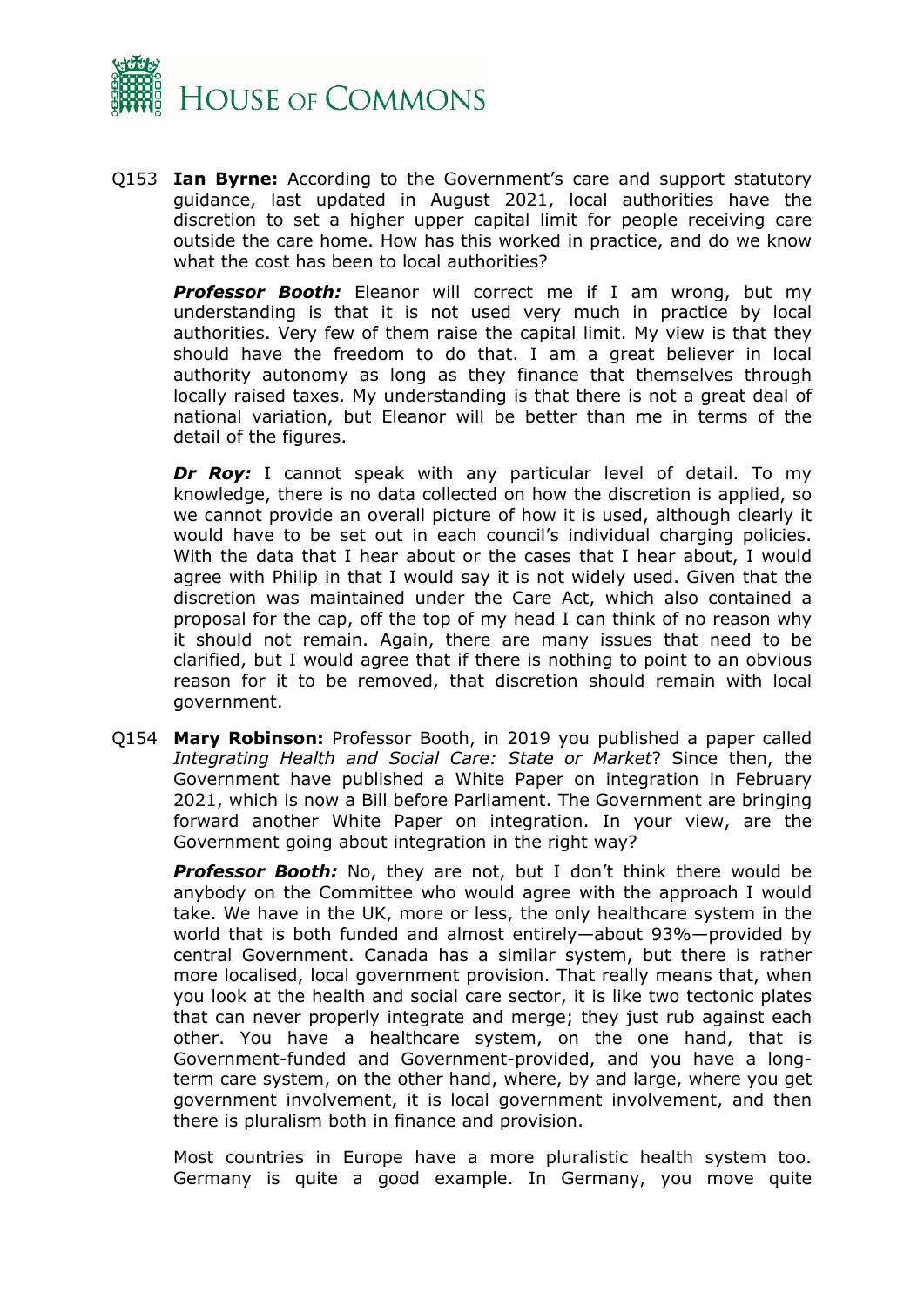

Q153 **Ian Byrne:** According to the Government's care and support statutory guidance, last updated in August 2021, local authorities have the discretion to set a higher upper capital limit for people receiving care outside the care home. How has this worked in practice, and do we know what the cost has been to local authorities?

*Professor Booth:* Eleanor will correct me if I am wrong, but my understanding is that it is not used very much in practice by local authorities. Very few of them raise the capital limit. My view is that they should have the freedom to do that. I am a great believer in local authority autonomy as long as they finance that themselves through locally raised taxes. My understanding is that there is not a great deal of national variation, but Eleanor will be better than me in terms of the detail of the figures.

*Dr Roy:* I cannot speak with any particular level of detail. To my knowledge, there is no data collected on how the discretion is applied, so we cannot provide an overall picture of how it is used, although clearly it would have to be set out in each council's individual charging policies. With the data that I hear about or the cases that I hear about, I would agree with Philip in that I would say it is not widely used. Given that the discretion was maintained under the Care Act, which also contained a proposal for the cap, off the top of my head I can think of no reason why it should not remain. Again, there are many issues that need to be clarified, but I would agree that if there is nothing to point to an obvious reason for it to be removed, that discretion should remain with local government.

Q154 **Mary Robinson:** Professor Booth, in 2019 you published a paper called *Integrating Health and Social Care: State or Market*? Since then, the Government have published a White Paper on integration in February 2021, which is now a Bill before Parliament. The Government are bringing forward another White Paper on integration. In your view, are the Government going about integration in the right way?

**Professor Booth:** No, they are not, but I don't think there would be anybody on the Committee who would agree with the approach I would take. We have in the UK, more or less, the only healthcare system in the world that is both funded and almost entirely—about 93%—provided by central Government. Canada has a similar system, but there is rather more localised, local government provision. That really means that, when you look at the health and social care sector, it is like two tectonic plates that can never properly integrate and merge; they just rub against each other. You have a healthcare system, on the one hand, that is Government-funded and Government-provided, and you have a longterm care system, on the other hand, where, by and large, where you get government involvement, it is local government involvement, and then there is pluralism both in finance and provision.

Most countries in Europe have a more pluralistic health system too. Germany is quite a good example. In Germany, you move quite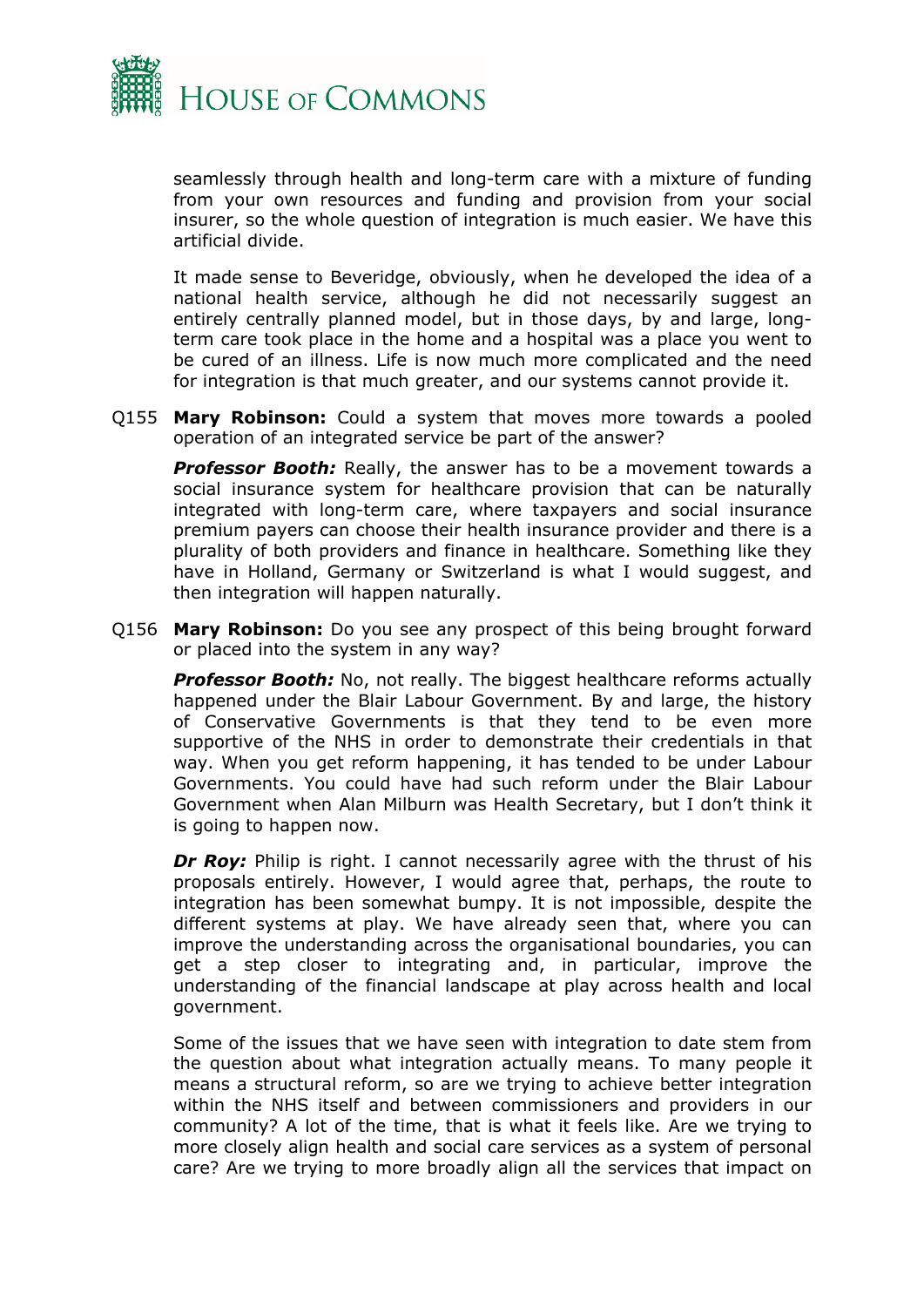

seamlessly through health and long-term care with a mixture of funding from your own resources and funding and provision from your social insurer, so the whole question of integration is much easier. We have this artificial divide.

It made sense to Beveridge, obviously, when he developed the idea of a national health service, although he did not necessarily suggest an entirely centrally planned model, but in those days, by and large, longterm care took place in the home and a hospital was a place you went to be cured of an illness. Life is now much more complicated and the need for integration is that much greater, and our systems cannot provide it.

Q155 **Mary Robinson:** Could a system that moves more towards a pooled operation of an integrated service be part of the answer?

**Professor Booth:** Really, the answer has to be a movement towards a social insurance system for healthcare provision that can be naturally integrated with long-term care, where taxpayers and social insurance premium payers can choose their health insurance provider and there is a plurality of both providers and finance in healthcare. Something like they have in Holland, Germany or Switzerland is what I would suggest, and then integration will happen naturally.

Q156 **Mary Robinson:** Do you see any prospect of this being brought forward or placed into the system in any way?

**Professor Booth:** No, not really. The biggest healthcare reforms actually happened under the Blair Labour Government. By and large, the history of Conservative Governments is that they tend to be even more supportive of the NHS in order to demonstrate their credentials in that way. When you get reform happening, it has tended to be under Labour Governments. You could have had such reform under the Blair Labour Government when Alan Milburn was Health Secretary, but I don't think it is going to happen now.

*Dr Rov:* Philip is right. I cannot necessarily agree with the thrust of his proposals entirely. However, I would agree that, perhaps, the route to integration has been somewhat bumpy. It is not impossible, despite the different systems at play. We have already seen that, where you can improve the understanding across the organisational boundaries, you can get a step closer to integrating and, in particular, improve the understanding of the financial landscape at play across health and local government.

Some of the issues that we have seen with integration to date stem from the question about what integration actually means. To many people it means a structural reform, so are we trying to achieve better integration within the NHS itself and between commissioners and providers in our community? A lot of the time, that is what it feels like. Are we trying to more closely align health and social care services as a system of personal care? Are we trying to more broadly align all the services that impact on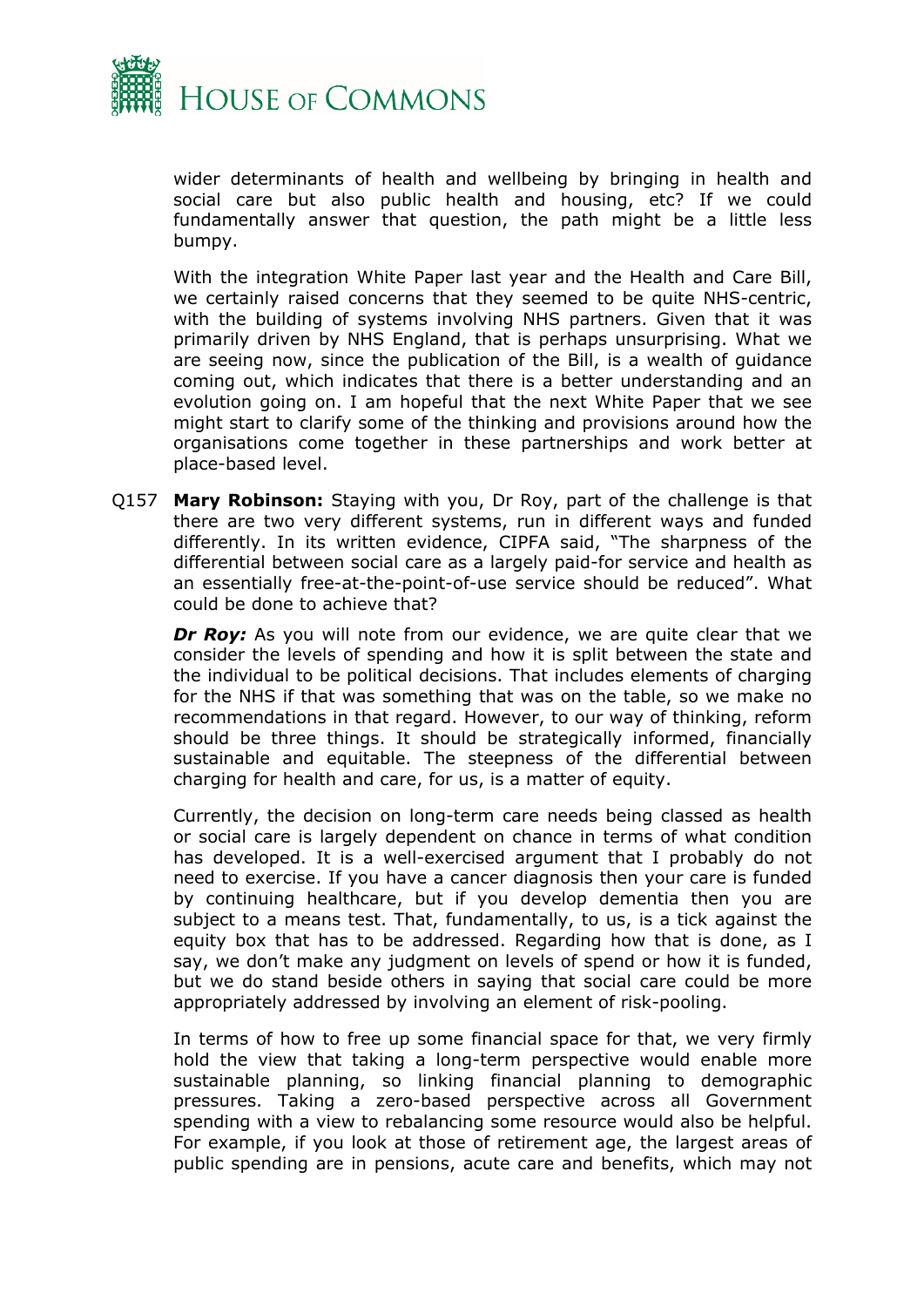

wider determinants of health and wellbeing by bringing in health and social care but also public health and housing, etc? If we could fundamentally answer that question, the path might be a little less bumpy.

With the integration White Paper last year and the Health and Care Bill, we certainly raised concerns that they seemed to be quite NHS-centric, with the building of systems involving NHS partners. Given that it was primarily driven by NHS England, that is perhaps unsurprising. What we are seeing now, since the publication of the Bill, is a wealth of guidance coming out, which indicates that there is a better understanding and an evolution going on. I am hopeful that the next White Paper that we see might start to clarify some of the thinking and provisions around how the organisations come together in these partnerships and work better at place-based level.

Q157 **Mary Robinson:** Staying with you, Dr Roy, part of the challenge is that there are two very different systems, run in different ways and funded differently. In its written evidence, CIPFA said, "The sharpness of the differential between social care as a largely paid-for service and health as an essentially free-at-the-point-of-use service should be reduced". What could be done to achieve that?

*Dr Roy:* As you will note from our evidence, we are quite clear that we consider the levels of spending and how it is split between the state and the individual to be political decisions. That includes elements of charging for the NHS if that was something that was on the table, so we make no recommendations in that regard. However, to our way of thinking, reform should be three things. It should be strategically informed, financially sustainable and equitable. The steepness of the differential between charging for health and care, for us, is a matter of equity.

Currently, the decision on long-term care needs being classed as health or social care is largely dependent on chance in terms of what condition has developed. It is a well-exercised argument that I probably do not need to exercise. If you have a cancer diagnosis then your care is funded by continuing healthcare, but if you develop dementia then you are subject to a means test. That, fundamentally, to us, is a tick against the equity box that has to be addressed. Regarding how that is done, as I say, we don't make any judgment on levels of spend or how it is funded, but we do stand beside others in saying that social care could be more appropriately addressed by involving an element of risk-pooling.

In terms of how to free up some financial space for that, we very firmly hold the view that taking a long-term perspective would enable more sustainable planning, so linking financial planning to demographic pressures. Taking a zero-based perspective across all Government spending with a view to rebalancing some resource would also be helpful. For example, if you look at those of retirement age, the largest areas of public spending are in pensions, acute care and benefits, which may not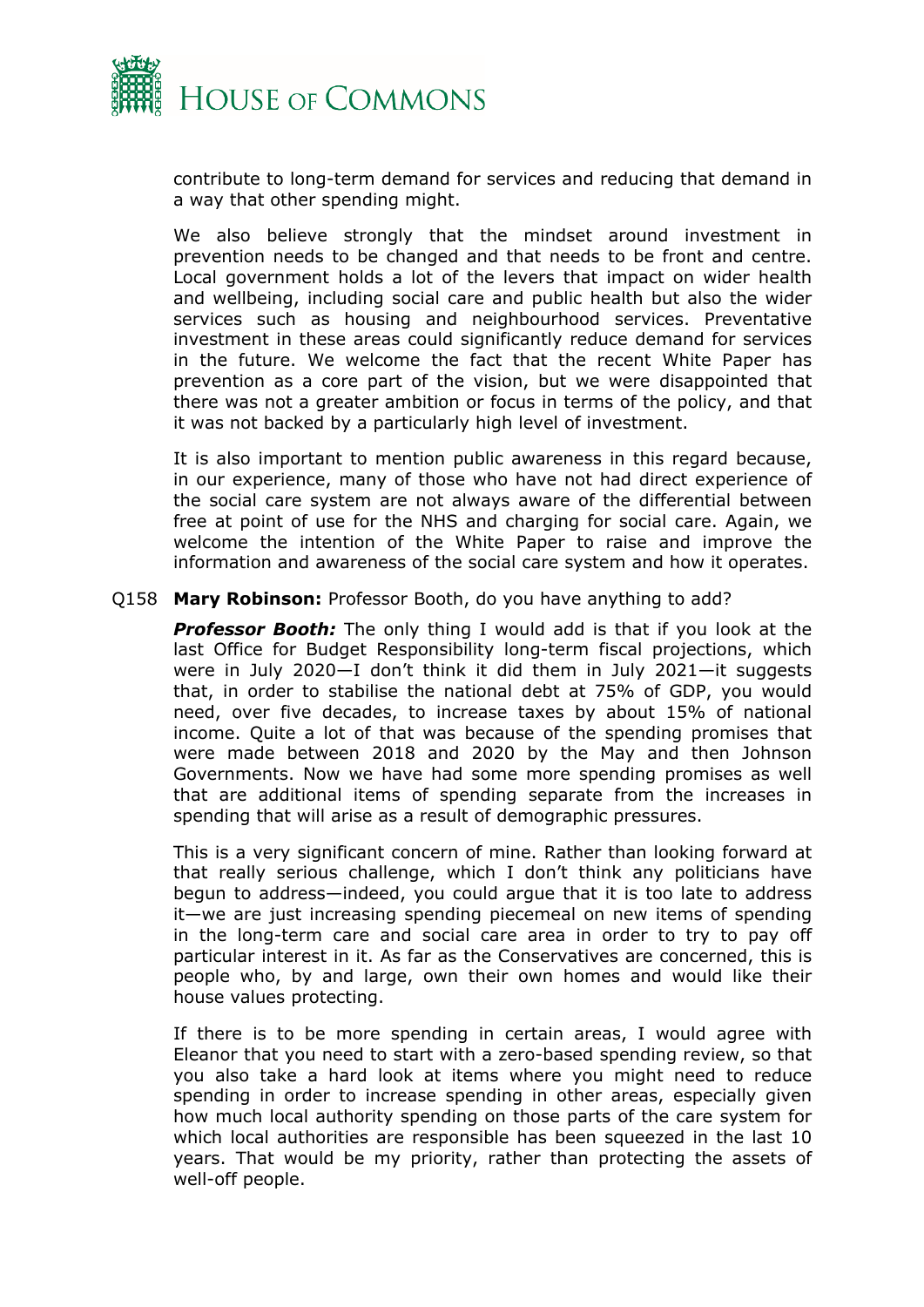

contribute to long-term demand for services and reducing that demand in a way that other spending might.

We also believe strongly that the mindset around investment in prevention needs to be changed and that needs to be front and centre. Local government holds a lot of the levers that impact on wider health and wellbeing, including social care and public health but also the wider services such as housing and neighbourhood services. Preventative investment in these areas could significantly reduce demand for services in the future. We welcome the fact that the recent White Paper has prevention as a core part of the vision, but we were disappointed that there was not a greater ambition or focus in terms of the policy, and that it was not backed by a particularly high level of investment.

It is also important to mention public awareness in this regard because, in our experience, many of those who have not had direct experience of the social care system are not always aware of the differential between free at point of use for the NHS and charging for social care. Again, we welcome the intention of the White Paper to raise and improve the information and awareness of the social care system and how it operates.

#### Q158 **Mary Robinson:** Professor Booth, do you have anything to add?

**Professor Booth:** The only thing I would add is that if you look at the last Office for Budget Responsibility long-term fiscal projections, which were in July 2020—I don't think it did them in July 2021—it suggests that, in order to stabilise the national debt at 75% of GDP, you would need, over five decades, to increase taxes by about 15% of national income. Quite a lot of that was because of the spending promises that were made between 2018 and 2020 by the May and then Johnson Governments. Now we have had some more spending promises as well that are additional items of spending separate from the increases in spending that will arise as a result of demographic pressures.

This is a very significant concern of mine. Rather than looking forward at that really serious challenge, which I don't think any politicians have begun to address—indeed, you could argue that it is too late to address it—we are just increasing spending piecemeal on new items of spending in the long-term care and social care area in order to try to pay off particular interest in it. As far as the Conservatives are concerned, this is people who, by and large, own their own homes and would like their house values protecting.

If there is to be more spending in certain areas, I would agree with Eleanor that you need to start with a zero-based spending review, so that you also take a hard look at items where you might need to reduce spending in order to increase spending in other areas, especially given how much local authority spending on those parts of the care system for which local authorities are responsible has been squeezed in the last 10 years. That would be my priority, rather than protecting the assets of well-off people.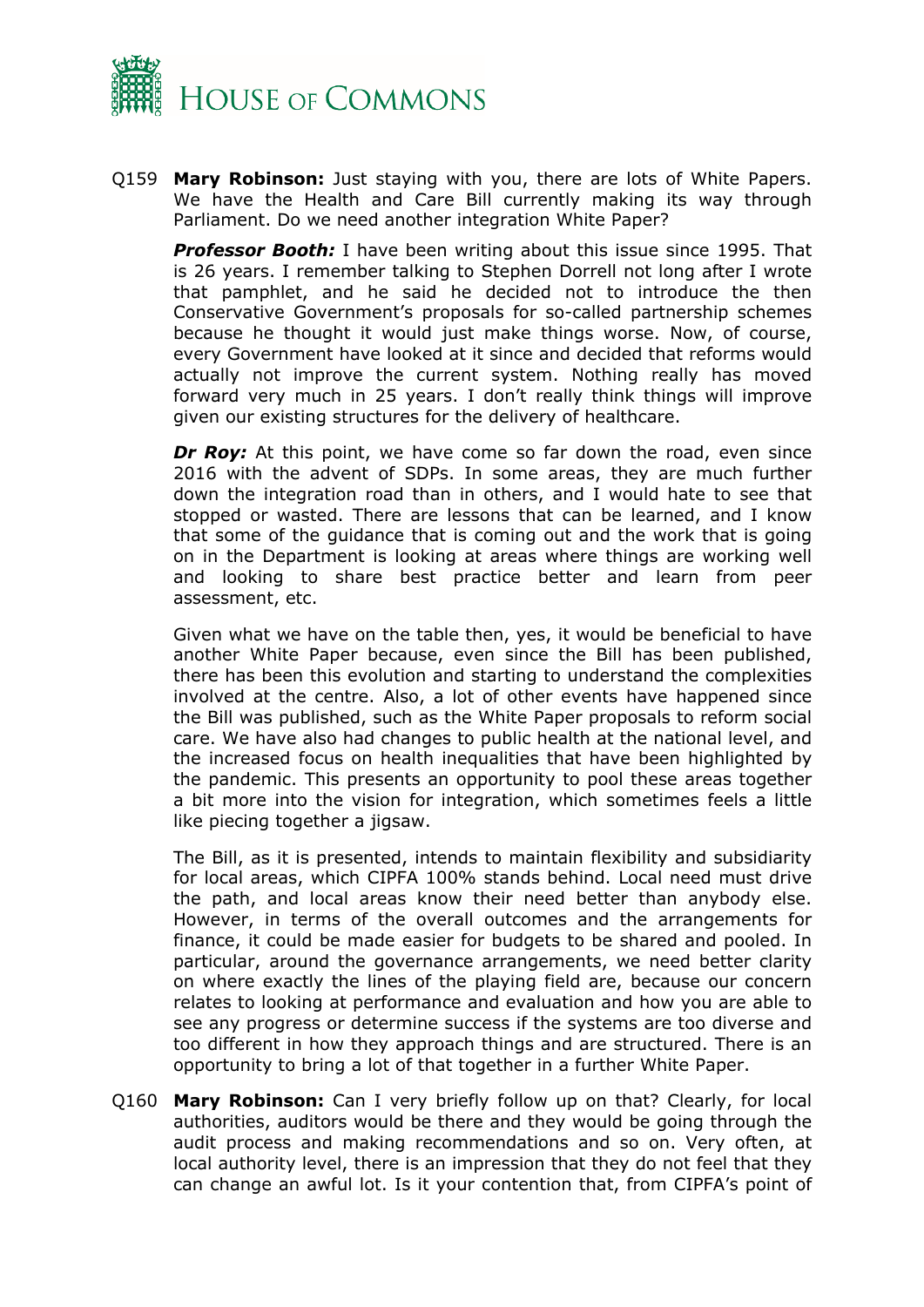

Q159 **Mary Robinson:** Just staying with you, there are lots of White Papers. We have the Health and Care Bill currently making its way through Parliament. Do we need another integration White Paper?

*Professor Booth:* I have been writing about this issue since 1995. That is 26 years. I remember talking to Stephen Dorrell not long after I wrote that pamphlet, and he said he decided not to introduce the then Conservative Government's proposals for so-called partnership schemes because he thought it would just make things worse. Now, of course, every Government have looked at it since and decided that reforms would actually not improve the current system. Nothing really has moved forward very much in 25 years. I don't really think things will improve given our existing structures for the delivery of healthcare.

*Dr Roy:* At this point, we have come so far down the road, even since 2016 with the advent of SDPs. In some areas, they are much further down the integration road than in others, and I would hate to see that stopped or wasted. There are lessons that can be learned, and I know that some of the guidance that is coming out and the work that is going on in the Department is looking at areas where things are working well and looking to share best practice better and learn from peer assessment, etc.

Given what we have on the table then, yes, it would be beneficial to have another White Paper because, even since the Bill has been published, there has been this evolution and starting to understand the complexities involved at the centre. Also, a lot of other events have happened since the Bill was published, such as the White Paper proposals to reform social care. We have also had changes to public health at the national level, and the increased focus on health inequalities that have been highlighted by the pandemic. This presents an opportunity to pool these areas together a bit more into the vision for integration, which sometimes feels a little like piecing together a jigsaw.

The Bill, as it is presented, intends to maintain flexibility and subsidiarity for local areas, which CIPFA 100% stands behind. Local need must drive the path, and local areas know their need better than anybody else. However, in terms of the overall outcomes and the arrangements for finance, it could be made easier for budgets to be shared and pooled. In particular, around the governance arrangements, we need better clarity on where exactly the lines of the playing field are, because our concern relates to looking at performance and evaluation and how you are able to see any progress or determine success if the systems are too diverse and too different in how they approach things and are structured. There is an opportunity to bring a lot of that together in a further White Paper.

Q160 **Mary Robinson:** Can I very briefly follow up on that? Clearly, for local authorities, auditors would be there and they would be going through the audit process and making recommendations and so on. Very often, at local authority level, there is an impression that they do not feel that they can change an awful lot. Is it your contention that, from CIPFA's point of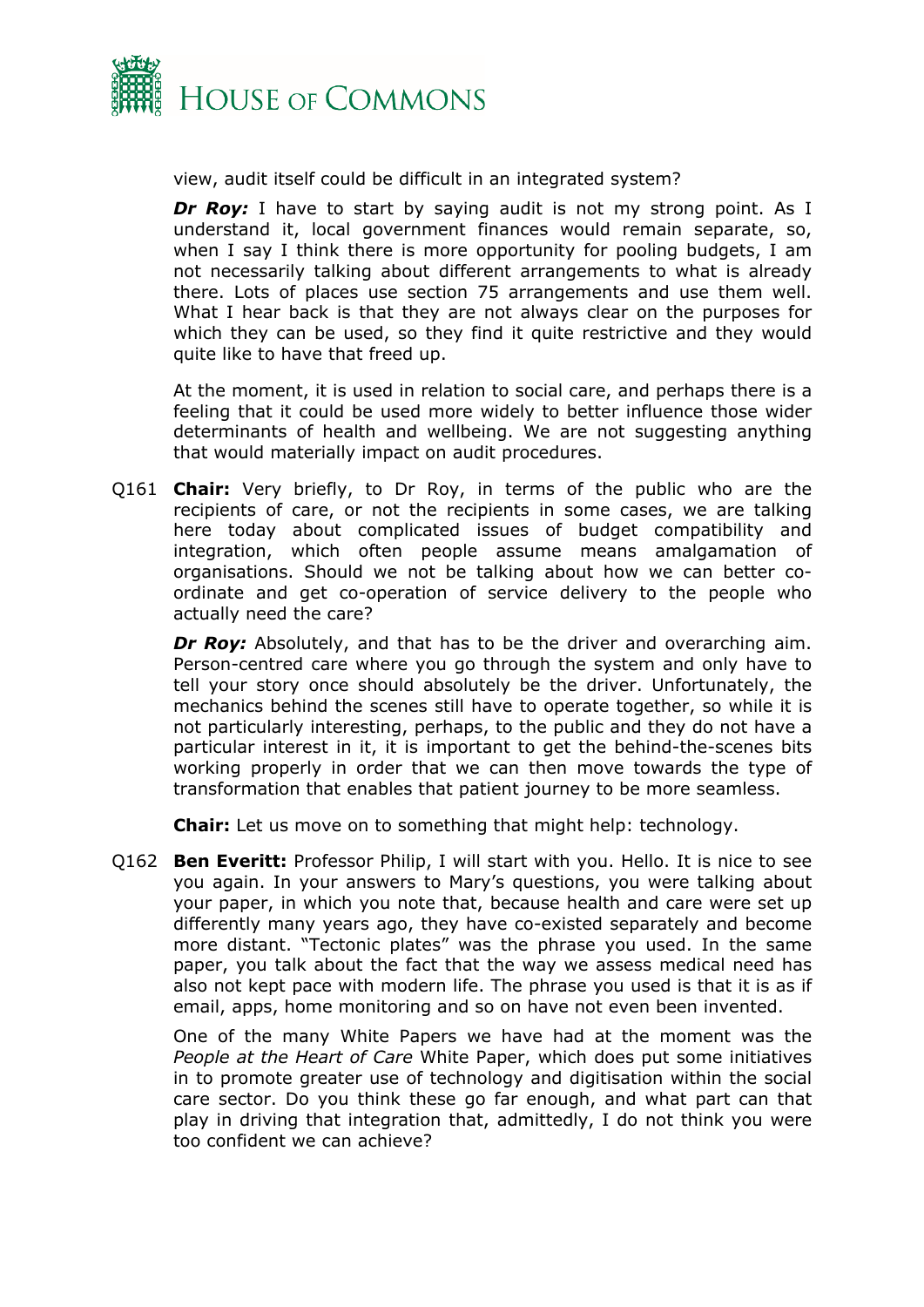

view, audit itself could be difficult in an integrated system?

**Dr Roy:** I have to start by saying audit is not my strong point. As I understand it, local government finances would remain separate, so, when I say I think there is more opportunity for pooling budgets, I am not necessarily talking about different arrangements to what is already there. Lots of places use section 75 arrangements and use them well. What I hear back is that they are not always clear on the purposes for which they can be used, so they find it quite restrictive and they would quite like to have that freed up.

At the moment, it is used in relation to social care, and perhaps there is a feeling that it could be used more widely to better influence those wider determinants of health and wellbeing. We are not suggesting anything that would materially impact on audit procedures.

Q161 **Chair:** Very briefly, to Dr Roy, in terms of the public who are the recipients of care, or not the recipients in some cases, we are talking here today about complicated issues of budget compatibility and integration, which often people assume means amalgamation of organisations. Should we not be talking about how we can better coordinate and get co-operation of service delivery to the people who actually need the care?

*Dr Roy:* Absolutely, and that has to be the driver and overarching aim. Person-centred care where you go through the system and only have to tell your story once should absolutely be the driver. Unfortunately, the mechanics behind the scenes still have to operate together, so while it is not particularly interesting, perhaps, to the public and they do not have a particular interest in it, it is important to get the behind-the-scenes bits working properly in order that we can then move towards the type of transformation that enables that patient journey to be more seamless.

**Chair:** Let us move on to something that might help: technology.

Q162 **Ben Everitt:** Professor Philip, I will start with you. Hello. It is nice to see you again. In your answers to Mary's questions, you were talking about your paper, in which you note that, because health and care were set up differently many years ago, they have co-existed separately and become more distant. "Tectonic plates" was the phrase you used. In the same paper, you talk about the fact that the way we assess medical need has also not kept pace with modern life. The phrase you used is that it is as if email, apps, home monitoring and so on have not even been invented.

One of the many White Papers we have had at the moment was the *People at the Heart of Care* White Paper, which does put some initiatives in to promote greater use of technology and digitisation within the social care sector. Do you think these go far enough, and what part can that play in driving that integration that, admittedly, I do not think you were too confident we can achieve?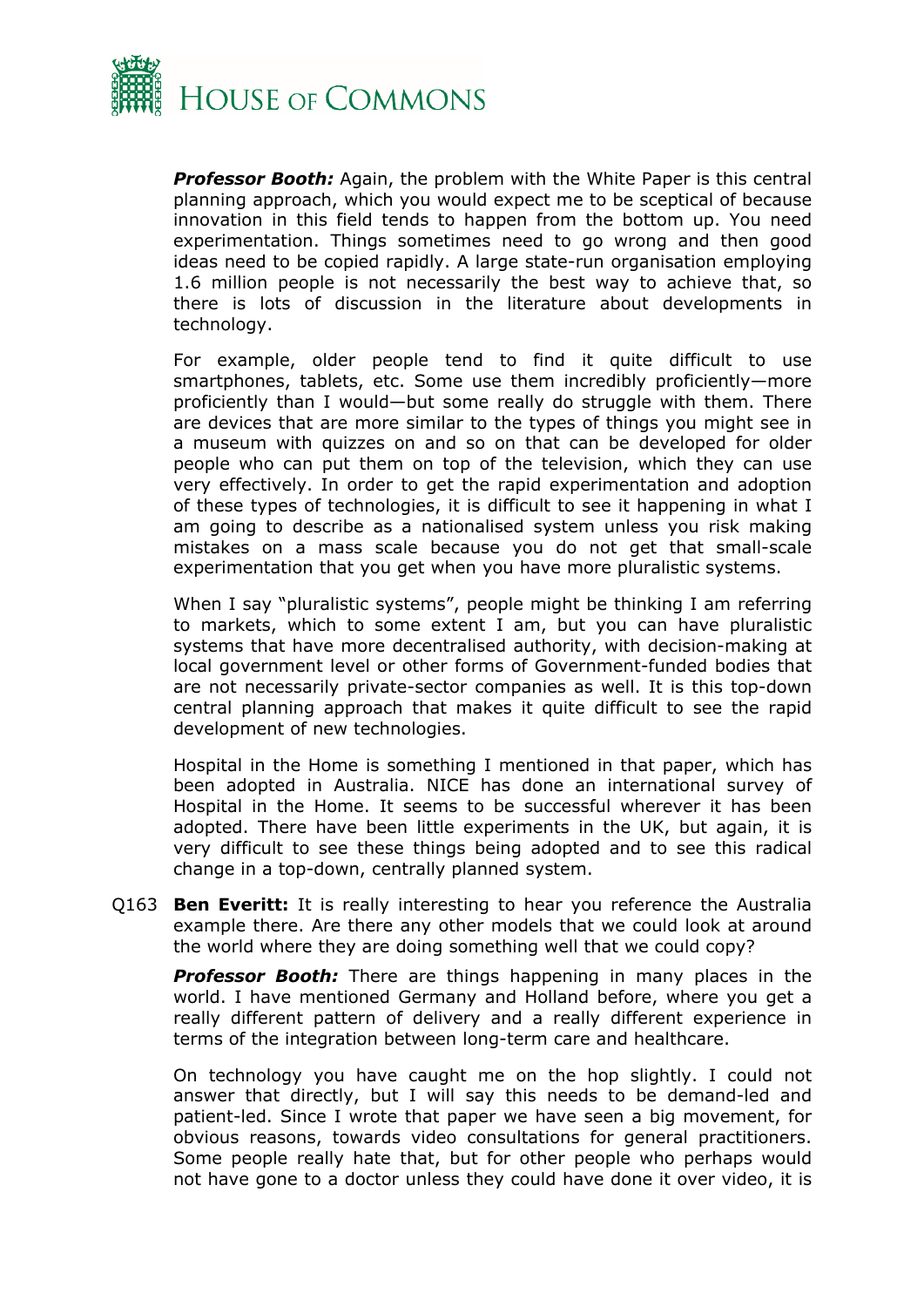

*Professor Booth:* Again, the problem with the White Paper is this central planning approach, which you would expect me to be sceptical of because innovation in this field tends to happen from the bottom up. You need experimentation. Things sometimes need to go wrong and then good ideas need to be copied rapidly. A large state-run organisation employing 1.6 million people is not necessarily the best way to achieve that, so there is lots of discussion in the literature about developments in technology.

For example, older people tend to find it quite difficult to use smartphones, tablets, etc. Some use them incredibly proficiently—more proficiently than I would—but some really do struggle with them. There are devices that are more similar to the types of things you might see in a museum with quizzes on and so on that can be developed for older people who can put them on top of the television, which they can use very effectively. In order to get the rapid experimentation and adoption of these types of technologies, it is difficult to see it happening in what I am going to describe as a nationalised system unless you risk making mistakes on a mass scale because you do not get that small-scale experimentation that you get when you have more pluralistic systems.

When I say "pluralistic systems", people might be thinking I am referring to markets, which to some extent I am, but you can have pluralistic systems that have more decentralised authority, with decision-making at local government level or other forms of Government-funded bodies that are not necessarily private-sector companies as well. It is this top-down central planning approach that makes it quite difficult to see the rapid development of new technologies.

Hospital in the Home is something I mentioned in that paper, which has been adopted in Australia. NICE has done an international survey of Hospital in the Home. It seems to be successful wherever it has been adopted. There have been little experiments in the UK, but again, it is very difficult to see these things being adopted and to see this radical change in a top-down, centrally planned system.

Q163 **Ben Everitt:** It is really interesting to hear you reference the Australia example there. Are there any other models that we could look at around the world where they are doing something well that we could copy?

**Professor Booth:** There are things happening in many places in the world. I have mentioned Germany and Holland before, where you get a really different pattern of delivery and a really different experience in terms of the integration between long-term care and healthcare.

On technology you have caught me on the hop slightly. I could not answer that directly, but I will say this needs to be demand-led and patient-led. Since I wrote that paper we have seen a big movement, for obvious reasons, towards video consultations for general practitioners. Some people really hate that, but for other people who perhaps would not have gone to a doctor unless they could have done it over video, it is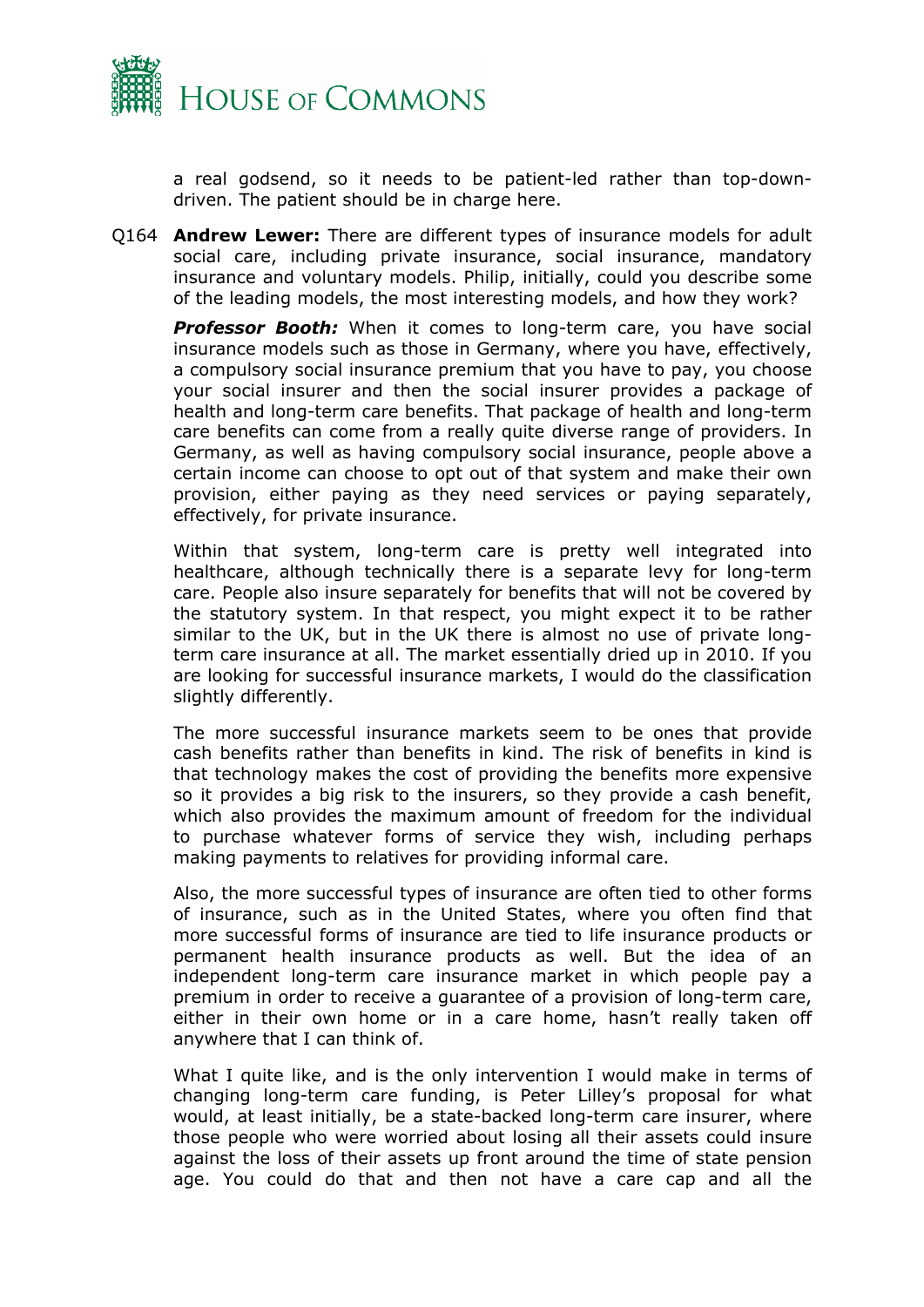

a real godsend, so it needs to be patient-led rather than top-downdriven. The patient should be in charge here.

Q164 **Andrew Lewer:** There are different types of insurance models for adult social care, including private insurance, social insurance, mandatory insurance and voluntary models. Philip, initially, could you describe some of the leading models, the most interesting models, and how they work?

**Professor Booth:** When it comes to long-term care, you have social insurance models such as those in Germany, where you have, effectively, a compulsory social insurance premium that you have to pay, you choose your social insurer and then the social insurer provides a package of health and long-term care benefits. That package of health and long-term care benefits can come from a really quite diverse range of providers. In Germany, as well as having compulsory social insurance, people above a certain income can choose to opt out of that system and make their own provision, either paying as they need services or paying separately, effectively, for private insurance.

Within that system, long-term care is pretty well integrated into healthcare, although technically there is a separate levy for long-term care. People also insure separately for benefits that will not be covered by the statutory system. In that respect, you might expect it to be rather similar to the UK, but in the UK there is almost no use of private longterm care insurance at all. The market essentially dried up in 2010. If you are looking for successful insurance markets, I would do the classification slightly differently.

The more successful insurance markets seem to be ones that provide cash benefits rather than benefits in kind. The risk of benefits in kind is that technology makes the cost of providing the benefits more expensive so it provides a big risk to the insurers, so they provide a cash benefit, which also provides the maximum amount of freedom for the individual to purchase whatever forms of service they wish, including perhaps making payments to relatives for providing informal care.

Also, the more successful types of insurance are often tied to other forms of insurance, such as in the United States, where you often find that more successful forms of insurance are tied to life insurance products or permanent health insurance products as well. But the idea of an independent long-term care insurance market in which people pay a premium in order to receive a guarantee of a provision of long-term care, either in their own home or in a care home, hasn't really taken off anywhere that I can think of.

What I quite like, and is the only intervention I would make in terms of changing long-term care funding, is Peter Lilley's proposal for what would, at least initially, be a state-backed long-term care insurer, where those people who were worried about losing all their assets could insure against the loss of their assets up front around the time of state pension age. You could do that and then not have a care cap and all the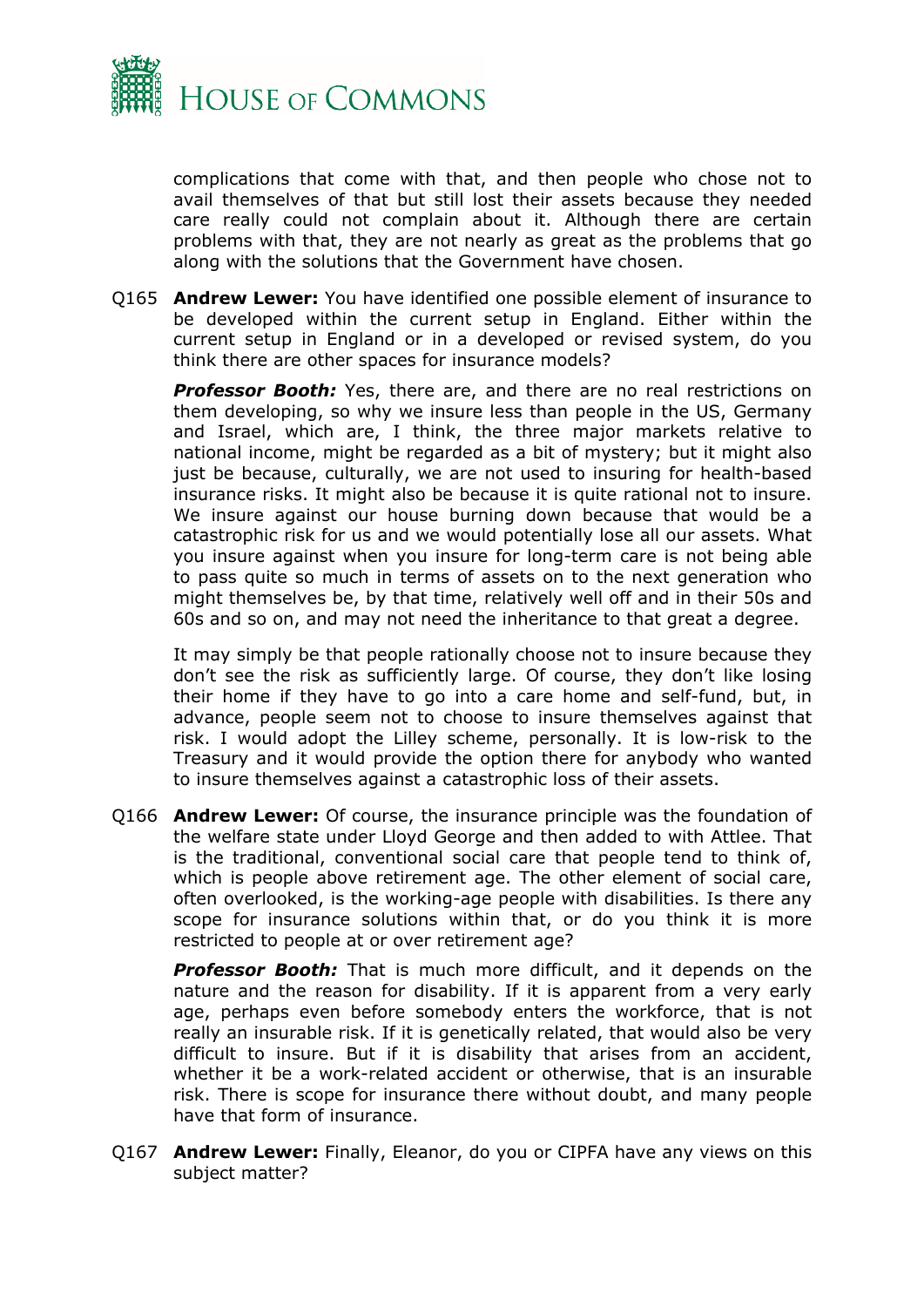

complications that come with that, and then people who chose not to avail themselves of that but still lost their assets because they needed care really could not complain about it. Although there are certain problems with that, they are not nearly as great as the problems that go along with the solutions that the Government have chosen.

Q165 **Andrew Lewer:** You have identified one possible element of insurance to be developed within the current setup in England. Either within the current setup in England or in a developed or revised system, do you think there are other spaces for insurance models?

**Professor Booth:** Yes, there are, and there are no real restrictions on them developing, so why we insure less than people in the US, Germany and Israel, which are, I think, the three major markets relative to national income, might be regarded as a bit of mystery; but it might also just be because, culturally, we are not used to insuring for health-based insurance risks. It might also be because it is quite rational not to insure. We insure against our house burning down because that would be a catastrophic risk for us and we would potentially lose all our assets. What you insure against when you insure for long-term care is not being able to pass quite so much in terms of assets on to the next generation who might themselves be, by that time, relatively well off and in their 50s and 60s and so on, and may not need the inheritance to that great a degree.

It may simply be that people rationally choose not to insure because they don't see the risk as sufficiently large. Of course, they don't like losing their home if they have to go into a care home and self-fund, but, in advance, people seem not to choose to insure themselves against that risk. I would adopt the Lilley scheme, personally. It is low-risk to the Treasury and it would provide the option there for anybody who wanted to insure themselves against a catastrophic loss of their assets.

Q166 **Andrew Lewer:** Of course, the insurance principle was the foundation of the welfare state under Lloyd George and then added to with Attlee. That is the traditional, conventional social care that people tend to think of, which is people above retirement age. The other element of social care, often overlooked, is the working-age people with disabilities. Is there any scope for insurance solutions within that, or do you think it is more restricted to people at or over retirement age?

*Professor Booth:* That is much more difficult, and it depends on the nature and the reason for disability. If it is apparent from a very early age, perhaps even before somebody enters the workforce, that is not really an insurable risk. If it is genetically related, that would also be very difficult to insure. But if it is disability that arises from an accident, whether it be a work-related accident or otherwise, that is an insurable risk. There is scope for insurance there without doubt, and many people have that form of insurance.

Q167 **Andrew Lewer:** Finally, Eleanor, do you or CIPFA have any views on this subject matter?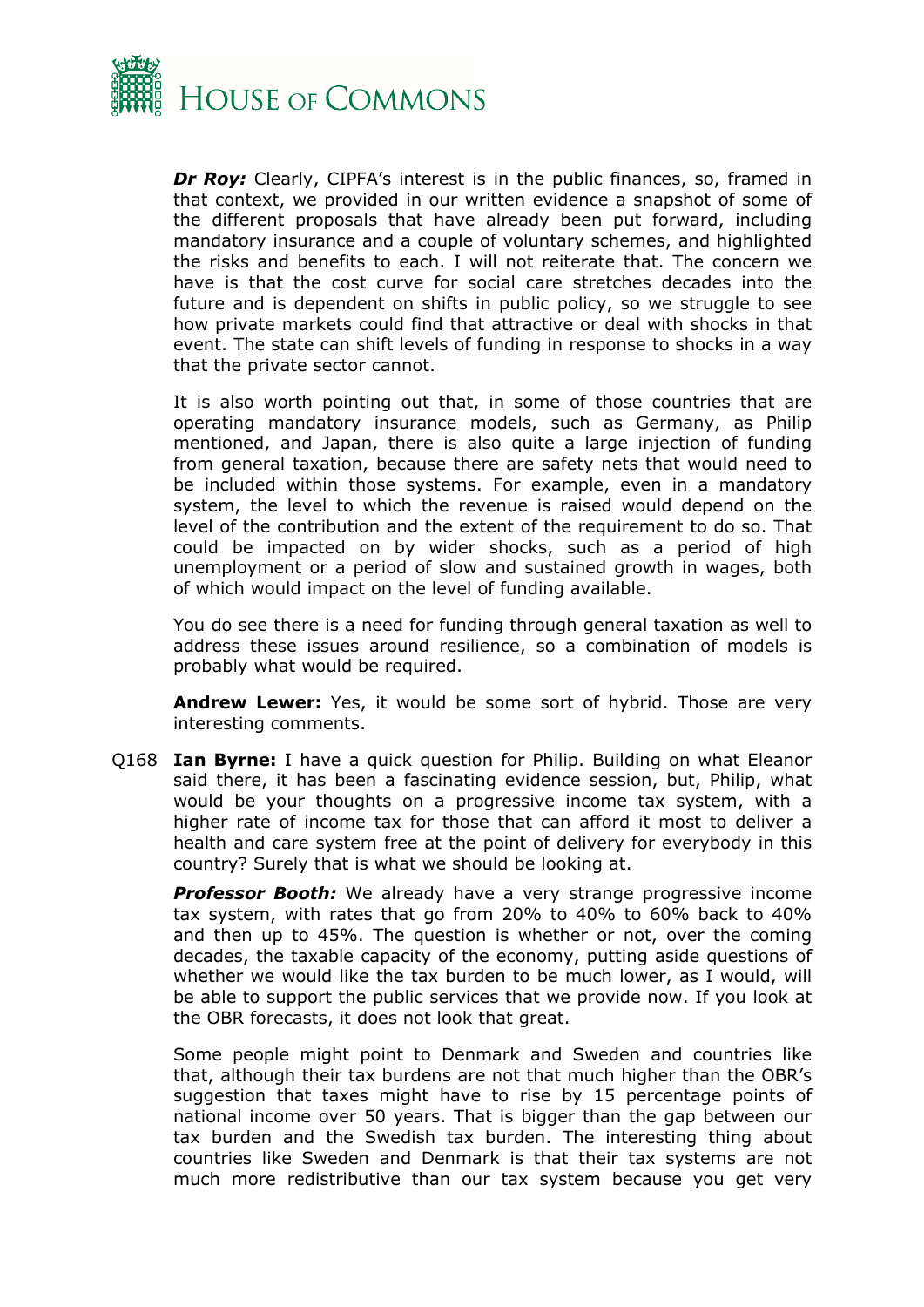

*Dr Roy:* Clearly, CIPFA's interest is in the public finances, so, framed in that context, we provided in our written evidence a snapshot of some of the different proposals that have already been put forward, including mandatory insurance and a couple of voluntary schemes, and highlighted the risks and benefits to each. I will not reiterate that. The concern we have is that the cost curve for social care stretches decades into the future and is dependent on shifts in public policy, so we struggle to see how private markets could find that attractive or deal with shocks in that event. The state can shift levels of funding in response to shocks in a way that the private sector cannot.

It is also worth pointing out that, in some of those countries that are operating mandatory insurance models, such as Germany, as Philip mentioned, and Japan, there is also quite a large injection of funding from general taxation, because there are safety nets that would need to be included within those systems. For example, even in a mandatory system, the level to which the revenue is raised would depend on the level of the contribution and the extent of the requirement to do so. That could be impacted on by wider shocks, such as a period of high unemployment or a period of slow and sustained growth in wages, both of which would impact on the level of funding available.

You do see there is a need for funding through general taxation as well to address these issues around resilience, so a combination of models is probably what would be required.

**Andrew Lewer:** Yes, it would be some sort of hybrid. Those are very interesting comments.

Q168 **Ian Byrne:** I have a quick question for Philip. Building on what Eleanor said there, it has been a fascinating evidence session, but, Philip, what would be your thoughts on a progressive income tax system, with a higher rate of income tax for those that can afford it most to deliver a health and care system free at the point of delivery for everybody in this country? Surely that is what we should be looking at.

**Professor Booth:** We already have a very strange progressive income tax system, with rates that go from 20% to 40% to 60% back to 40% and then up to 45%. The question is whether or not, over the coming decades, the taxable capacity of the economy, putting aside questions of whether we would like the tax burden to be much lower, as I would, will be able to support the public services that we provide now. If you look at the OBR forecasts, it does not look that great.

Some people might point to Denmark and Sweden and countries like that, although their tax burdens are not that much higher than the OBR's suggestion that taxes might have to rise by 15 percentage points of national income over 50 years. That is bigger than the gap between our tax burden and the Swedish tax burden. The interesting thing about countries like Sweden and Denmark is that their tax systems are not much more redistributive than our tax system because you get very